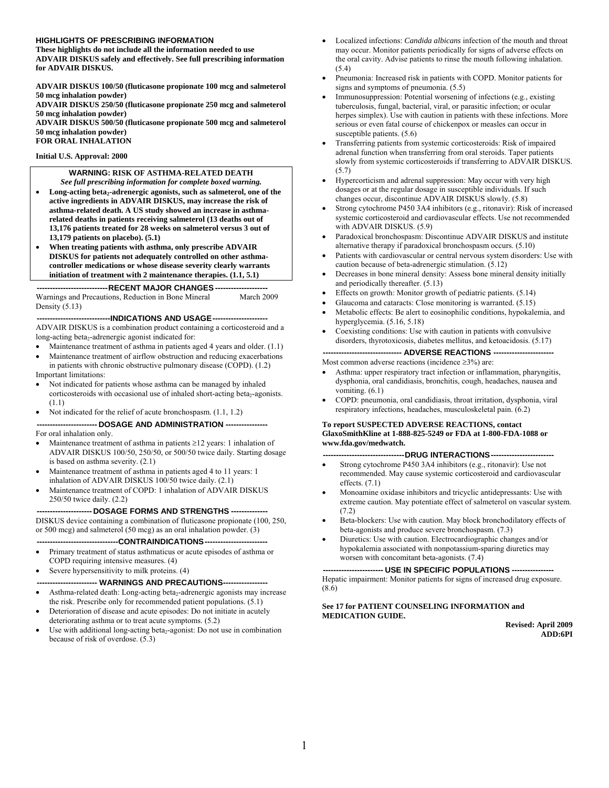#### **HIGHLIGHTS OF PRESCRIBING INFORMATION**

**These highlights do not include all the information needed to use ADVAIR DISKUS safely and effectively. See full prescribing information for ADVAIR DISKUS.** 

**ADVAIR DISKUS 100/50 (fluticasone propionate 100 mcg and salmeterol 50 mcg inhalation powder) ADVAIR DISKUS 250/50 (fluticasone propionate 250 mcg and salmeterol 50 mcg inhalation powder) ADVAIR DISKUS 500/50 (fluticasone propionate 500 mcg and salmeterol 50 mcg inhalation powder) FOR ORAL INHALATION** 

#### **Initial U.S. Approval: 2000**

#### **WARNING: RISK OF ASTHMA-RELATED DEATH**  *See full prescribing information for complete boxed warning.*

- Long-acting beta<sub>2</sub>-adrenergic agonists, such as salmeterol, one of the **active ingredients in ADVAIR DISKUS, may increase the risk of asthma-related death. A US study showed an increase in asthmarelated deaths in patients receiving salmeterol (13 deaths out of 13,176 patients treated for 28 weeks on salmeterol versus 3 out of 13,179 patients on placebo). (5.1)**
- **When treating patients with asthma, only prescribe ADVAIR DISKUS for patients not adequately controlled on other asthmacontroller medications or whose disease severity clearly warrants initiation of treatment with 2 maintenance therapies. (1.1, 5.1)**

#### --RECENT MAJOR CHANGES

Warnings and Precautions, Reduction in Bone Mineral Density (5.13) March 2009

**----------------------------INDICATIONS AND USAGE---------------------** 

ADVAIR DISKUS is a combination product containing a corticosteroid and a long-acting beta<sub>2</sub>-adrenergic agonist indicated for:

- Maintenance treatment of asthma in patients aged 4 years and older. (1.1)
- Maintenance treatment of airflow obstruction and reducing exacerbations in patients with chronic obstructive pulmonary disease (COPD). (1.2) Important limitations:
- Not indicated for patients whose asthma can be managed by inhaled corticosteroids with occasional use of inhaled short-acting beta<sub>2</sub>-agonists.  $(1.1)$
- Not indicated for the relief of acute bronchospasm. (1.1, 1.2)

**----------------------- DOSAGE AND ADMINISTRATION ----------------**  For oral inhalation only.

- Maintenance treatment of asthma in patients ≥12 years: 1 inhalation of ADVAIR DISKUS 100/50, 250/50, or 500/50 twice daily. Starting dosage is based on asthma severity. (2.1)
- Maintenance treatment of asthma in patients aged 4 to 11 years: 1 inhalation of ADVAIR DISKUS 100/50 twice daily. (2.1)
- Maintenance treatment of COPD: 1 inhalation of ADVAIR DISKUS 250/50 twice daily. (2.2)

**--------------------- DOSAGE FORMS AND STRENGTHS --------------**  DISKUS device containing a combination of fluticasone propionate (100, 250, or 500 mcg) and salmeterol (50 mcg) as an oral inhalation powder. (3)

#### **-------------------------------CONTRAINDICATIONS------------------------**

- Primary treatment of status asthmaticus or acute episodes of asthma or COPD requiring intensive measures. (4)
- Severe hypersensitivity to milk proteins. (4)

#### **----------------------- WARNINGS AND PRECAUTIONS-----------------**

- Asthma-related death: Long-acting beta<sub>2</sub>-adrenergic agonists may increase the risk. Prescribe only for recommended patient populations. (5.1)
- Deterioration of disease and acute episodes: Do not initiate in acutely deteriorating asthma or to treat acute symptoms. (5.2)
- Use with additional long-acting beta<sub>2</sub>-agonist: Do not use in combination because of risk of overdose. (5.3)
- Localized infections: *Candida albicans* infection of the mouth and throat may occur. Monitor patients periodically for signs of adverse effects on the oral cavity. Advise patients to rinse the mouth following inhalation. (5.4)
- Pneumonia: Increased risk in patients with COPD. Monitor patients for signs and symptoms of pneumonia. (5.5)
- Immunosuppression: Potential worsening of infections (e.g., existing tuberculosis, fungal, bacterial, viral, or parasitic infection; or ocular herpes simplex). Use with caution in patients with these infections. More serious or even fatal course of chickenpox or measles can occur in susceptible patients.  $(5.6)$
- Transferring patients from systemic corticosteroids: Risk of impaired adrenal function when transferring from oral steroids. Taper patients slowly from systemic corticosteroids if transferring to ADVAIR DISKUS. (5.7)
- Hypercorticism and adrenal suppression: May occur with very high dosages or at the regular dosage in susceptible individuals. If such changes occur, discontinue ADVAIR DISKUS slowly. (5.8)
- Strong cytochrome P450 3A4 inhibitors (e.g., ritonavir): Risk of increased systemic corticosteroid and cardiovascular effects. Use not recommended with ADVAIR DISKUS. (5.9)
- Paradoxical bronchospasm: Discontinue ADVAIR DISKUS and institute alternative therapy if paradoxical bronchospasm occurs. (5.10)
- Patients with cardiovascular or central nervous system disorders: Use with caution because of beta-adrenergic stimulation. (5.12)
- Decreases in bone mineral density: Assess bone mineral density initially and periodically thereafter. (5.13)
- Effects on growth: Monitor growth of pediatric patients. (5.14)
- Glaucoma and cataracts: Close monitoring is warranted. (5.15)
- Metabolic effects: Be alert to eosinophilic conditions, hypokalemia, and hyperglycemia. (5.16, 5.18)
- Coexisting conditions: Use with caution in patients with convulsive disorders, thyrotoxicosis, diabetes mellitus, and ketoacidosis. (5.17)

#### **------------------------------ ADVERSE REACTIONS -----------------------**

Most common adverse reactions (incidence ≥3%) are:

- Asthma: upper respiratory tract infection or inflammation, pharyngitis, dysphonia, oral candidiasis, bronchitis, cough, headaches, nausea and vomiting.  $(6.1)$
- COPD: pneumonia, oral candidiasis, throat irritation, dysphonia, viral respiratory infections, headaches, musculoskeletal pain. (6.2)

#### **To report SUSPECTED ADVERSE REACTIONS, contact GlaxoSmithKline at 1-888-825-5249 or FDA at 1-800-FDA-1088 or [www.fda.gov/medwatch.](http://www.fda.gov/medwatch)**

**-------------------------------DRUG INTERACTIONS------------------------** 

- Strong cytochrome P450 3A4 inhibitors (e.g., ritonavir): Use not recommended. May cause systemic corticosteroid and cardiovascular effects. (7.1)
- Monoamine oxidase inhibitors and tricyclic antidepressants: Use with extreme caution. May potentiate effect of salmeterol on vascular system. (7.2)
- Beta-blockers: Use with caution. May block bronchodilatory effects of beta-agonists and produce severe bronchospasm. (7.3)
- Diuretics: Use with caution. Electrocardiographic changes and/or hypokalemia associated with nonpotassium-sparing diuretics may worsen with concomitant beta-agonists. (7.4)

#### **----------------------- USE IN SPECIFIC POPULATIONS ----------------**

Hepatic impairment: Monitor patients for signs of increased drug exposure. (8.6)

#### **See 17 for PATIENT COUNSELING INFORMATION and MEDICATION GUIDE.**

**Revised: April 2009 ADD:6PI**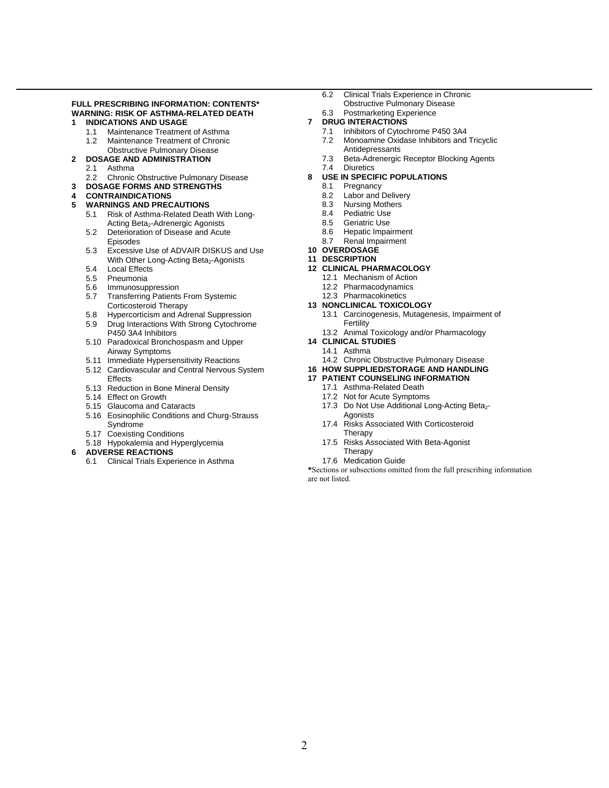#### **FULL PRESCRIBING INFORMATION: CONTENT[S\\*](#page-2-0) WARNING: RISK OF ASTHMA-RELATED DEATH**

- **[1](#page-2-0) [INDICATIONS AND USAGE](#page-2-0)**
	- [Maintenance Treatment of Asthma](#page-2-0)
	- [1.2](#page-2-0) [Maintenance Treatment of Chronic](#page-2-0)
	- [Obstructive Pulmonary Disease](#page-2-0)
- **[2](#page-3-0) DOSAGE AND ADMINISTRATION**<br>2.1 **Asthma** 
	- **[Asthma](#page-3-0)**
	- [2.2](#page-3-0) Chronic Obstructive Pulmonary Disease
- **[3](#page-4-0) [DOSAGE FORMS AND STRENGTHS](#page-4-0)**
- **[4](#page-4-0) [CONTRAINDICATIONS](#page-4-0)**

#### **WARNINGS AND PRECAUTIONS**

- [5.1](#page-4-0) [Risk of Asthma-Related Death With Long-](#page-4-0)Acting Beta<sub>2</sub>-Adrenergic Agonists
- [5.2](#page-7-0) [Deterioration of Disease and Acute](#page-7-0)  [Episodes](#page-7-0)
- [5.3](#page-8-0) [Excessive Use of ADVAIR DISKUS and Use](#page-8-0)  With Other L[o](#page-8-0)ng-Acting Beta<sub>2</sub>-Agonists
- [5.4](#page-8-0) [Local Effects](#page-8-0)
- **[Pneumonia](#page-8-0)**
- [5.6](#page-8-0) [Immunosuppression](#page-8-0)
- [5.7](#page-9-0) [Transferring Patients From Systemic](#page-9-0)  [Corticosteroid Therapy](#page-9-0)
- [5.8](#page-10-0) [Hypercorticism and Adrenal Suppression](#page-10-0) [5.9](#page-10-0) [Drug Interactions With Strong Cytochrome](#page-10-0)
- [P450 3A4 Inhibitors](#page-10-0) [5.10](#page-10-0) [Paradoxical Bronchospasm and Upper](#page-10-0)  [Airway Symptoms](#page-10-0)
- [5.11](#page-11-0) [Immediate Hypersensitivity Reactions](#page-11-0)
- [5.12](#page-11-0) [Cardiovascular and Central Nervous System](#page-11-0)  [Effects](#page-11-0)
- [5.13](#page-11-0) [Reduction in Bone Mineral Density](#page-11-0)
- [5.14](#page-12-0) [Effect on Growth](#page-12-0)
- [5.15](#page-12-0) [Glaucoma and Cataracts](#page-12-0)
- [5.16](#page-13-0) [Eosinophilic Conditions and Churg-Strauss](#page-13-0)  [Syndrome](#page-13-0)
- [5.17](#page-13-0) [Coexisting Conditions](#page-13-0)
- [5.18](#page-13-0) [Hypokalemia and Hyperglycemia](#page-13-0)

#### **[6](#page-13-0)** ADVERSE REACTIONS

[6.1](#page-14-0) [Clinical Trials Experience in Asthma](#page-14-0)

- [6.2](#page-16-0) [Clinical Trials Experience in Chronic](#page-16-0)  [Obstructive Pulmonary Disease](#page-16-0)
- [6.3](#page-18-0) [Postmarketing Experience](#page-18-0)

#### **[7](#page-19-0) [DRUG INTERACTIONS](#page-19-0)**

- [7.1](#page-19-0) [Inhibitors of Cytochrome P450 3A4](#page-19-0)
- [7.2](#page-20-0) [Monoamine Oxidase Inhibitors and Tricyclic](#page-20-0)  [Antidepressants](#page-20-0)
- [7.3](#page-20-0) [Beta-Adrenergic Receptor Blocking Agents](#page-20-0) [7.4](#page-20-0) [Diuretics](#page-20-0)

#### **[8](#page-20-0) USE IN SPECIFIC POPULATIONS**

- [8.1](#page-20-0) [Pregnancy](#page-20-0)<br>8.2 Labor and
- Labor and Deliverv
- [8.3](#page-22-0) [Nursing Mothers](#page-22-0)<br>8.4 Pediatric Use
- [Pediatric Use](#page-22-0)
- [8.5](#page-23-0) [Geriatric Use](#page-23-0)<br>8.6 Hepatic Impa
- [Hepatic Impairment](#page-23-0)
- [8.7](#page-23-0) [Renal Impairment](#page-23-0)
- **[10](#page-23-0) [OVERDOSAGE](#page-23-0)**

#### **[11](#page-24-0) [DESCRIPTION](#page-24-0)**

#### **[12](#page-26-0) [CLINICAL PHARMACOLOGY](#page-26-0)**

- [12.1](#page-26-0) [Mechanism of Actio](#page-26-0)[n](#page-27-0)
- [12.2](#page-27-0) Pharmacodynamics
- [12.3](#page-31-0) [Pharmacokinetics](#page-31-0)
- **[13](#page-36-0) NONCLINICAL TOXICOLOGY** 
	- [13.1](#page-36-0) [Carcinogenesis, Mutagenesis, Impairment of](#page-36-0)  [Fertility](#page-36-0)
	- [13.2](#page-37-0) [Animal Toxicology and/or Pharmacology](#page-37-0)
- **[14](#page-38-0) CLINICAL STUDIES** 
	- [14.1](#page-38-0) [Asthma](#page-38-0)
	- [14.2](#page-44-0) [Chronic Obstructive Pulmonary Disease](#page-44-0)
- **[16](#page-48-0) [HOW SUPPLIED/STORAGE AND HANDLING](#page-48-0)**
- **[17](#page-48-0) PATIENT COUNSELING INFORMATION** 
	- [17.1](#page-48-0) [Asthma-Related Death](#page-48-0)
	- [17.2](#page-49-0) [Not for Acute Symptoms](#page-49-0)
	- [17.3](#page-49-0) [Do Not Use Additional Long-Acting Beta2-](#page-49-0) **[Agonists](#page-49-0)**
	- [17.4](#page-49-0) [Risks Associated With Corticosteroid](#page-49-0)  **[Therapy](#page-49-0)**
	- [17.5](#page-50-0) [Risks Associated With Beta-Agonist](#page-50-0)  **[Therapy](#page-50-0)**
	- [17.6](#page-50-0) [Medication Guide](#page-50-0)

**\***Section[s o](#page-50-0)r subsections omitt[ed](#page-50-0) from the full prescribing information are not listed.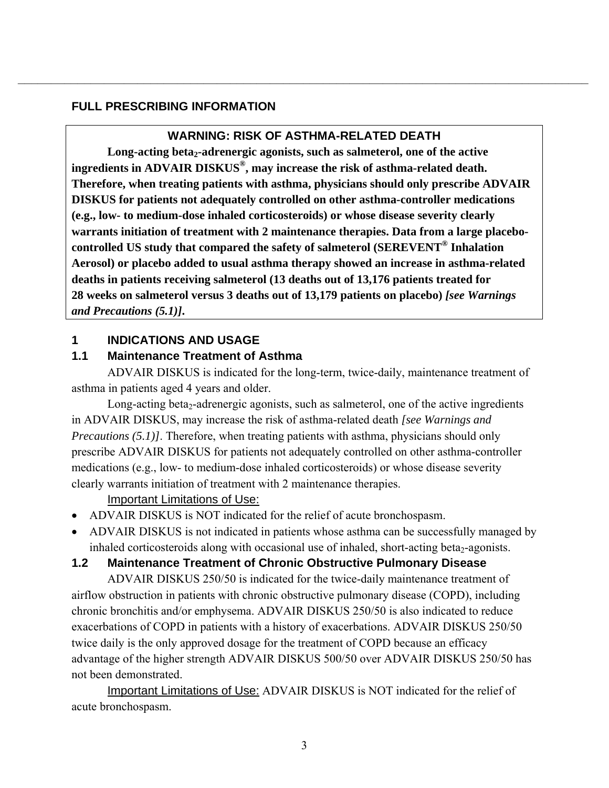### **FULL PRESCRIBING INFORMATION**

### **WARNING: RISK OF ASTHMA-RELATED DEATH**

<span id="page-2-0"></span>**\_\_\_\_\_\_\_\_\_\_\_\_\_\_\_\_\_\_\_\_\_\_\_\_\_\_\_\_\_\_\_\_\_\_\_\_\_\_\_\_\_\_\_\_\_\_\_\_\_\_\_\_\_\_\_\_\_\_\_\_\_\_\_\_\_\_\_\_\_\_\_\_\_\_\_\_\_\_\_\_\_\_\_\_\_\_** 

Long-acting beta<sub>2</sub>-adrenergic agonists, such as salmeterol, one of the active **ingredients in ADVAIR DISKUS®, may increase the risk of asthma-related death. Therefore, when treating patients with asthma, physicians should only prescribe ADVAIR DISKUS for patients not adequately controlled on other asthma-controller medications (e.g., low- to medium-dose inhaled corticosteroids) or whose disease severity clearly warrants initiation of treatment with 2 maintenance therapies. Data from a large placebocontrolled US study that compared the safety of salmeterol (SEREVENT® Inhalation Aerosol) or placebo added to usual asthma therapy showed an increase in asthma-related deaths in patients receiving salmeterol (13 deaths out of 13,176 patients treated for 28 weeks on salmeterol versus 3 deaths out of 13,179 patients on placebo)** *[see Warnings and Precautions (5.1)]***.** 

# **1 INDICATIONS AND USAGE**

### **1.1 Maintenance Treatment of Asthma**

 ADVAIR DISKUS is indicated for the long-term, twice-daily, maintenance treatment of asthma in patients aged 4 years and older.

Long-acting beta<sub>2</sub>-adrenergic agonists, such as salmeterol, one of the active ingredients in ADVAIR DISKUS, may increase the risk of asthma-related death *[see Warnings and Precautions (5.1)]*. Therefore, when treating patients with asthma, physicians should only prescribe ADVAIR DISKUS for patients not adequately controlled on other asthma-controller medications (e.g., low- to medium-dose inhaled corticosteroids) or whose disease severity clearly warrants initiation of treatment with 2 maintenance therapies.

Important Limitations of Use:

- ADVAIR DISKUS is NOT indicated for the relief of acute bronchospasm.
- ADVAIR DISKUS is not indicated in patients whose asthma can be successfully managed by inhaled corticosteroids along with occasional use of inhaled, short-acting beta<sub>2</sub>-agonists.

### **1.2 Maintenance Treatment of Chronic Obstructive Pulmonary Disease**

 ADVAIR DISKUS 250/50 is indicated for the twice-daily maintenance treatment of airflow obstruction in patients with chronic obstructive pulmonary disease (COPD), including chronic bronchitis and/or emphysema. ADVAIR DISKUS 250/50 is also indicated to reduce exacerbations of COPD in patients with a history of exacerbations. ADVAIR DISKUS 250/50 twice daily is the only approved dosage for the treatment of COPD because an efficacy advantage of the higher strength ADVAIR DISKUS 500/50 over ADVAIR DISKUS 250/50 has not been demonstrated.

Important Limitations of Use: ADVAIR DISKUS is NOT indicated for the relief of acute bronchospasm.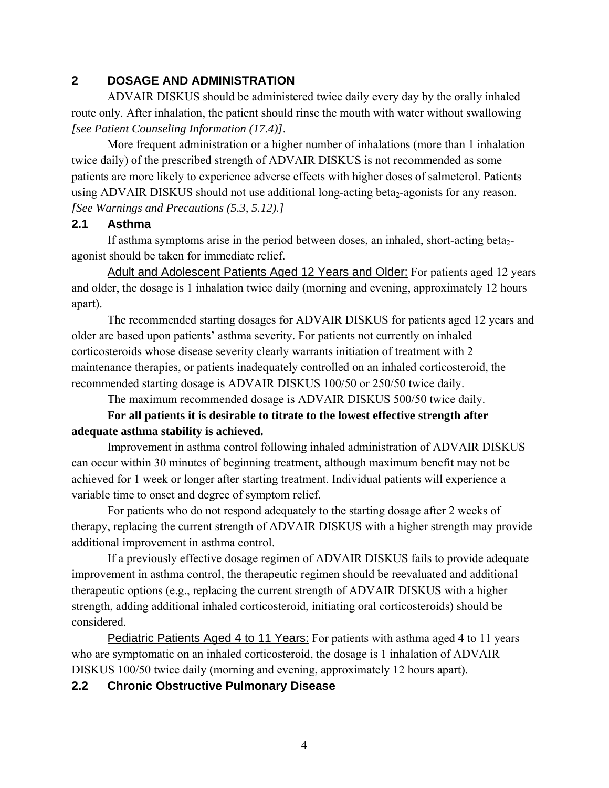# <span id="page-3-0"></span>**2 DOSAGE AND ADMINISTRATION**

 ADVAIR DISKUS should be administered twice daily every day by the orally inhaled route only. After inhalation, the patient should rinse the mouth with water without swallowing *[see Patient Counseling Information (17.4)]*.

 More frequent administration or a higher number of inhalations (more than 1 inhalation twice daily) of the prescribed strength of ADVAIR DISKUS is not recommended as some patients are more likely to experience adverse effects with higher doses of salmeterol. Patients using ADVAIR DISKUS should not use additional long-acting beta<sub>2</sub>-agonists for any reason. *[See Warnings and Precautions (5.3, 5.12).]*

### **2.1 Asthma**

If asthma symptoms arise in the period between doses, an inhaled, short-acting beta<sub>2</sub>agonist should be taken for immediate relief.

Adult and Adolescent Patients Aged 12 Years and Older: For patients aged 12 years and older, the dosage is 1 inhalation twice daily (morning and evening, approximately 12 hours apart).

 The recommended starting dosages for ADVAIR DISKUS for patients aged 12 years and older are based upon patients' asthma severity. For patients not currently on inhaled corticosteroids whose disease severity clearly warrants initiation of treatment with 2 maintenance therapies, or patients inadequately controlled on an inhaled corticosteroid, the recommended starting dosage is ADVAIR DISKUS 100/50 or 250/50 twice daily.

The maximum recommended dosage is ADVAIR DISKUS 500/50 twice daily.

# **For all patients it is desirable to titrate to the lowest effective strength after adequate asthma stability is achieved.**

 Improvement in asthma control following inhaled administration of ADVAIR DISKUS can occur within 30 minutes of beginning treatment, although maximum benefit may not be achieved for 1 week or longer after starting treatment. Individual patients will experience a variable time to onset and degree of symptom relief.

 For patients who do not respond adequately to the starting dosage after 2 weeks of therapy, replacing the current strength of ADVAIR DISKUS with a higher strength may provide additional improvement in asthma control.

 If a previously effective dosage regimen of ADVAIR DISKUS fails to provide adequate improvement in asthma control, the therapeutic regimen should be reevaluated and additional therapeutic options (e.g., replacing the current strength of ADVAIR DISKUS with a higher strength, adding additional inhaled corticosteroid, initiating oral corticosteroids) should be considered.

Pediatric Patients Aged 4 to 11 Years: For patients with asthma aged 4 to 11 years who are symptomatic on an inhaled corticosteroid, the dosage is 1 inhalation of ADVAIR DISKUS 100/50 twice daily (morning and evening, approximately 12 hours apart).

### **2.2 Chronic Obstructive Pulmonary Disease**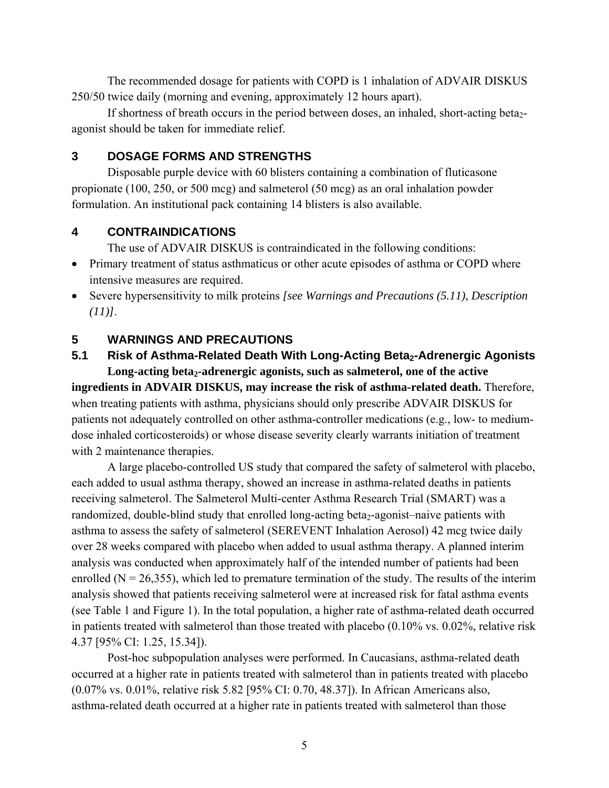<span id="page-4-0"></span>The recommended dosage for patients with COPD is 1 inhalation of ADVAIR DISKUS 250/50 twice daily (morning and evening, approximately 12 hours apart).

If shortness of breath occurs in the period between doses, an inhaled, short-acting beta<sub>2</sub>agonist should be taken for immediate relief.

#### **3 DOSAGE FORMS AND STRENGTHS**

 Disposable purple device with 60 blisters containing a combination of fluticasone propionate (100, 250, or 500 mcg) and salmeterol (50 mcg) as an oral inhalation powder formulation. An institutional pack containing 14 blisters is also available.

#### **4 CONTRAINDICATIONS**

The use of ADVAIR DISKUS is contraindicated in the following conditions:

- Primary treatment of status asthmaticus or other acute episodes of asthma or COPD where intensive measures are required.
- Severe hypersensitivity to milk proteins *[see Warnings and Precautions (5.11), Description (11)]*.

#### **5 WARNINGS AND PRECAUTIONS**

### **5.1 Risk of Asthma-Related Death With Long-Acting Beta<sub>2</sub>-Adrenergic Agonists** Long-acting beta<sub>2</sub>-adrenergic agonists, such as salmeterol, one of the active

**ingredients in ADVAIR DISKUS, may increase the risk of asthma-related death.** Therefore, when treating patients with asthma, physicians should only prescribe ADVAIR DISKUS for patients not adequately controlled on other asthma-controller medications (e.g., low- to mediumdose inhaled corticosteroids) or whose disease severity clearly warrants initiation of treatment with 2 maintenance therapies.

A large placebo-controlled US study that compared the safety of salmeterol with placebo, each added to usual asthma therapy, showed an increase in asthma-related deaths in patients receiving salmeterol. The Salmeterol Multi-center Asthma Research Trial (SMART) was a randomized, double-blind study that enrolled long-acting beta<sub>2</sub>-agonist–naive patients with asthma to assess the safety of salmeterol (SEREVENT Inhalation Aerosol) 42 mcg twice daily over 28 weeks compared with placebo when added to usual asthma therapy. A planned interim analysis was conducted when approximately half of the intended number of patients had been enrolled ( $N = 26,355$ ), which led to premature termination of the study. The results of the interim analysis showed that patients receiving salmeterol were at increased risk for fatal asthma events (see Table 1 and Figure 1). In the total population, a higher rate of asthma-related death occurred in patients treated with salmeterol than those treated with placebo (0.10% vs. 0.02%, relative risk 4.37 [95% CI: 1.25, 15.34]).

 Post-hoc subpopulation analyses were performed. In Caucasians, asthma-related death occurred at a higher rate in patients treated with salmeterol than in patients treated with placebo (0.07% vs. 0.01%, relative risk 5.82 [95% CI: 0.70, 48.37]). In African Americans also, asthma-related death occurred at a higher rate in patients treated with salmeterol than those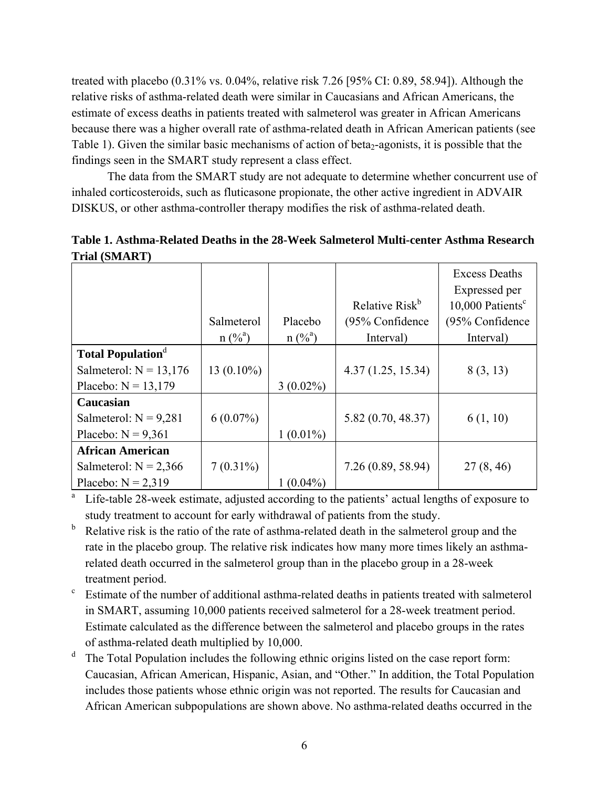treated with placebo (0.31% vs. 0.04%, relative risk 7.26 [95% CI: 0.89, 58.94]). Although the relative risks of asthma-related death were similar in Caucasians and African Americans, the estimate of excess deaths in patients treated with salmeterol was greater in African Americans because there was a higher overall rate of asthma-related death in African American patients (see Table 1). Given the similar basic mechanisms of action of beta<sub>2</sub>-agonists, it is possible that the findings seen in the SMART study represent a class effect.

 The data from the SMART study are not adequate to determine whether concurrent use of inhaled corticosteroids, such as fluticasone propionate, the other active ingredient in ADVAIR DISKUS, or other asthma-controller therapy modifies the risk of asthma-related death.

|                                      |                |                |                            | <b>Excess Deaths</b>         |
|--------------------------------------|----------------|----------------|----------------------------|------------------------------|
|                                      |                |                |                            | Expressed per                |
|                                      |                |                | Relative Risk <sup>b</sup> | 10,000 Patients <sup>c</sup> |
|                                      | Salmeterol     | Placebo        | (95% Confidence            | (95% Confidence              |
|                                      | $n(^{0}/_0^a)$ | $n(^{0}/_0^a)$ | Interval)                  | Interval)                    |
| <b>Total Population</b> <sup>d</sup> |                |                |                            |                              |
| Salmeterol: $N = 13,176$             | $13(0.10\%)$   |                | 4.37(1.25, 15.34)          | 8(3, 13)                     |
| Placebo: $N = 13,179$                |                | $3(0.02\%)$    |                            |                              |
| Caucasian                            |                |                |                            |                              |
| Salmeterol: $N = 9,281$              | $6(0.07\%)$    |                | 5.82(0.70, 48.37)          | 6(1, 10)                     |
| Placebo: $N = 9,361$                 |                | $1(0.01\%)$    |                            |                              |
| <b>African American</b>              |                |                |                            |                              |
| Salmeterol: $N = 2,366$              | $7(0.31\%)$    |                | 7.26(0.89, 58.94)          | 27(8, 46)                    |
| Placebo: $N = 2,319$                 |                | $1(0.04\%)$    |                            |                              |

**Table 1. Asthma-Related Deaths in the 28-Week Salmeterol Multi-center Asthma Research Trial (SMART)** 

Placebo:  $N = 2,319$  1 (0.04%)  $\mid$  1 (0.04%)  $\mid$  1 (0.04%)  $\mid$  1 (0.04%)  $\mid$  1.1 (0.04%)  $\mid$  1.1 (0.04%)  $\mid$  1.1 (0.04%)  $\mid$  1.1 (0.04%)  $\mid$  1.1 (0.04%)  $\mid$  1.1 (0.04%)  $\mid$  1.1 (0.04%)  $\mid$  1.1 (0.04%)  $\mid$  1.1 ( study treatment to account for early withdrawal of patients from the study.

- <sup>b</sup> Relative risk is the ratio of the rate of asthma-related death in the salmeterol group and the rate in the placebo group. The relative risk indicates how many more times likely an asthmarelated death occurred in the salmeterol group than in the placebo group in a 28-week treatment period.
- Estimate of the number of additional asthma-related deaths in patients treated with salmeterol in SMART, assuming 10,000 patients received salmeterol for a 28-week treatment period. Estimate calculated as the difference between the salmeterol and placebo groups in the rates of asthma-related death multiplied by 10,000.
- <sup>d</sup> The Total Population includes the following ethnic origins listed on the case report form: Caucasian, African American, Hispanic, Asian, and "Other." In addition, the Total Population includes those patients whose ethnic origin was not reported. The results for Caucasian and African American subpopulations are shown above. No asthma-related deaths occurred in the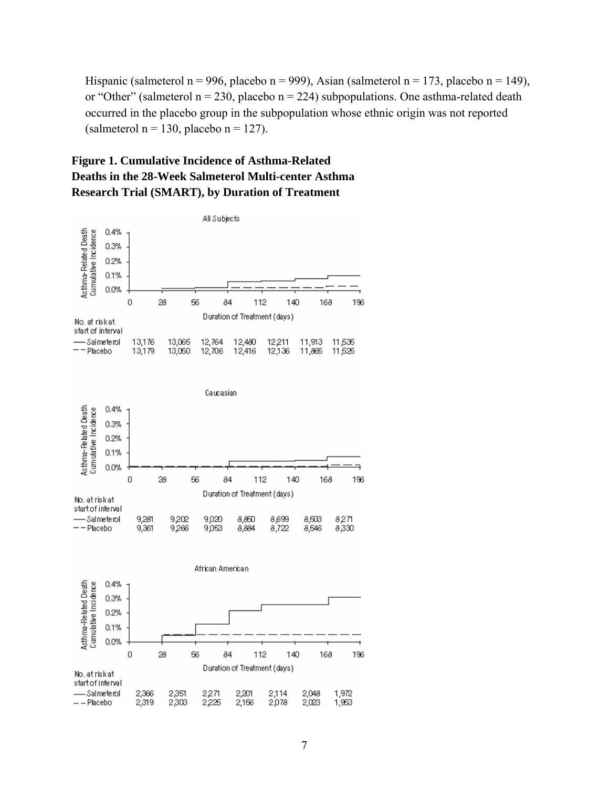Hispanic (salmeterol n = 996, placebo n = 999), Asian (salmeterol n = 173, placebo n = 149), or "Other" (salmeterol  $n = 230$ , placebo  $n = 224$ ) subpopulations. One asthma-related death occurred in the placebo group in the subpopulation whose ethnic origin was not reported (salmeterol  $n = 130$ , placebo  $n = 127$ ).

# **Figure 1. Cumulative Incidence of Asthma-Related Deaths in the 28-Week Salmeterol Multi-center Asthma Research Trial (SMART), by Duration of Treatment**

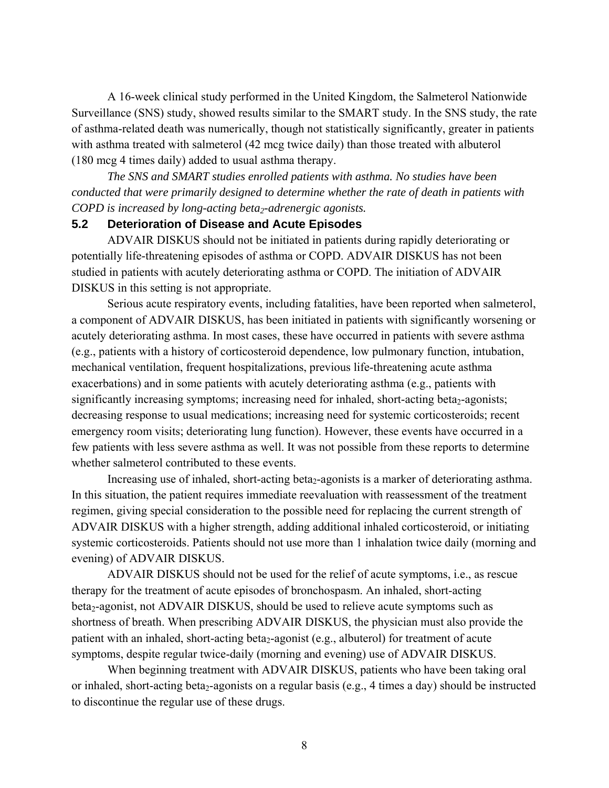<span id="page-7-0"></span> A 16-week clinical study performed in the United Kingdom, the Salmeterol Nationwide Surveillance (SNS) study, showed results similar to the SMART study. In the SNS study, the rate of asthma-related death was numerically, though not statistically significantly, greater in patients with asthma treated with salmeterol (42 mcg twice daily) than those treated with albuterol (180 mcg 4 times daily) added to usual asthma therapy.

*The SNS and SMART studies enrolled patients with asthma. No studies have been conducted that were primarily designed to determine whether the rate of death in patients with COPD is increased by long-acting beta<sub>2</sub>-adrenergic agonists.* 

#### **5.2 Deterioration of Disease and Acute Episodes**

 ADVAIR DISKUS should not be initiated in patients during rapidly deteriorating or potentially life-threatening episodes of asthma or COPD. ADVAIR DISKUS has not been studied in patients with acutely deteriorating asthma or COPD. The initiation of ADVAIR DISKUS in this setting is not appropriate.

 Serious acute respiratory events, including fatalities, have been reported when salmeterol, a component of ADVAIR DISKUS, has been initiated in patients with significantly worsening or acutely deteriorating asthma. In most cases, these have occurred in patients with severe asthma (e.g., patients with a history of corticosteroid dependence, low pulmonary function, intubation, mechanical ventilation, frequent hospitalizations, previous life-threatening acute asthma exacerbations) and in some patients with acutely deteriorating asthma (e.g., patients with significantly increasing symptoms; increasing need for inhaled, short-acting beta<sub>2</sub>-agonists; decreasing response to usual medications; increasing need for systemic corticosteroids; recent emergency room visits; deteriorating lung function). However, these events have occurred in a few patients with less severe asthma as well. It was not possible from these reports to determine whether salmeterol contributed to these events.

Increasing use of inhaled, short-acting beta<sub>2</sub>-agonists is a marker of deteriorating asthma. In this situation, the patient requires immediate reevaluation with reassessment of the treatment regimen, giving special consideration to the possible need for replacing the current strength of ADVAIR DISKUS with a higher strength, adding additional inhaled corticosteroid, or initiating systemic corticosteroids. Patients should not use more than 1 inhalation twice daily (morning and evening) of ADVAIR DISKUS.

 ADVAIR DISKUS should not be used for the relief of acute symptoms, i.e., as rescue therapy for the treatment of acute episodes of bronchospasm. An inhaled, short-acting beta<sub>2</sub>-agonist, not ADVAIR DISKUS, should be used to relieve acute symptoms such as shortness of breath. When prescribing ADVAIR DISKUS, the physician must also provide the patient with an inhaled, short-acting beta<sub>2</sub>-agonist (e.g., albuterol) for treatment of acute symptoms, despite regular twice-daily (morning and evening) use of ADVAIR DISKUS.

 When beginning treatment with ADVAIR DISKUS, patients who have been taking oral or inhaled, short-acting beta<sub>2</sub>-agonists on a regular basis (e.g., 4 times a day) should be instructed to discontinue the regular use of these drugs.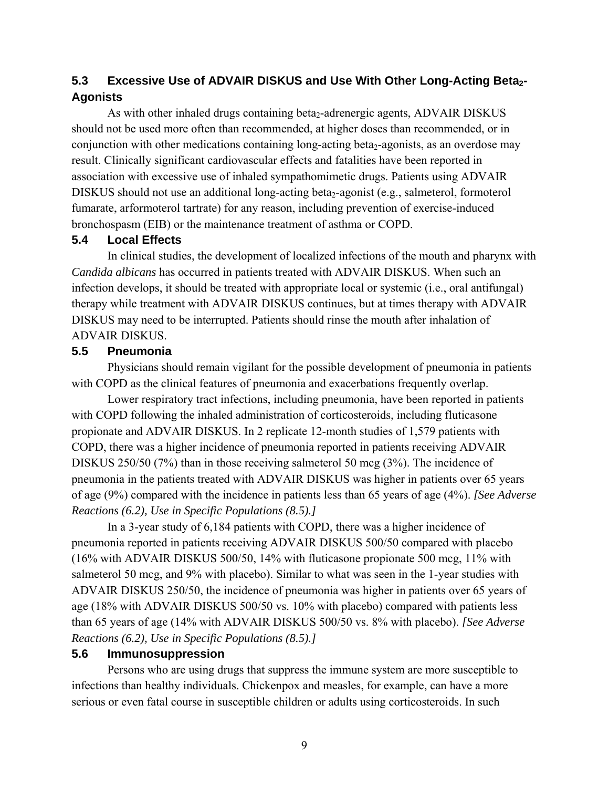# <span id="page-8-0"></span>**5.3 Excessive Use of ADVAIR DISKUS and Use With Other Long-Acting Beta<sub>2</sub>-Agonists**

As with other inhaled drugs containing beta<sub>2</sub>-adrenergic agents, ADVAIR DISKUS should not be used more often than recommended, at higher doses than recommended, or in conjunction with other medications containing long-acting beta<sub>2</sub>-agonists, as an overdose may result. Clinically significant cardiovascular effects and fatalities have been reported in association with excessive use of inhaled sympathomimetic drugs. Patients using ADVAIR DISKUS should not use an additional long-acting beta<sub>2</sub>-agonist (e.g., salmeterol, formoterol fumarate, arformoterol tartrate) for any reason, including prevention of exercise-induced bronchospasm (EIB) or the maintenance treatment of asthma or COPD.

#### **5.4 Local Effects**

 In clinical studies, the development of localized infections of the mouth and pharynx with *Candida albicans* has occurred in patients treated with ADVAIR DISKUS. When such an infection develops, it should be treated with appropriate local or systemic (i.e., oral antifungal) therapy while treatment with ADVAIR DISKUS continues, but at times therapy with ADVAIR DISKUS may need to be interrupted. Patients should rinse the mouth after inhalation of ADVAIR DISKUS.

#### **5.5 Pneumonia**

 Physicians should remain vigilant for the possible development of pneumonia in patients with COPD as the clinical features of pneumonia and exacerbations frequently overlap.

 Lower respiratory tract infections, including pneumonia, have been reported in patients with COPD following the inhaled administration of corticosteroids, including fluticasone propionate and ADVAIR DISKUS. In 2 replicate 12-month studies of 1,579 patients with COPD, there was a higher incidence of pneumonia reported in patients receiving ADVAIR DISKUS 250/50 (7%) than in those receiving salmeterol 50 mcg (3%). The incidence of pneumonia in the patients treated with ADVAIR DISKUS was higher in patients over 65 years of age (9%) compared with the incidence in patients less than 65 years of age (4%). *[See Adverse Reactions (6.2), Use in Specific Populations (8.5).]*

 In a 3-year study of 6,184 patients with COPD, there was a higher incidence of pneumonia reported in patients receiving ADVAIR DISKUS 500/50 compared with placebo (16% with ADVAIR DISKUS 500/50, 14% with fluticasone propionate 500 mcg, 11% with salmeterol 50 mcg, and 9% with placebo). Similar to what was seen in the 1-year studies with ADVAIR DISKUS 250/50, the incidence of pneumonia was higher in patients over 65 years of age (18% with ADVAIR DISKUS 500/50 vs. 10% with placebo) compared with patients less than 65 years of age (14% with ADVAIR DISKUS 500/50 vs. 8% with placebo). *[See Adverse Reactions (6.2), Use in Specific Populations (8.5).]*

#### **5.6 Immunosuppression**

 Persons who are using drugs that suppress the immune system are more susceptible to infections than healthy individuals. Chickenpox and measles, for example, can have a more serious or even fatal course in susceptible children or adults using corticosteroids. In such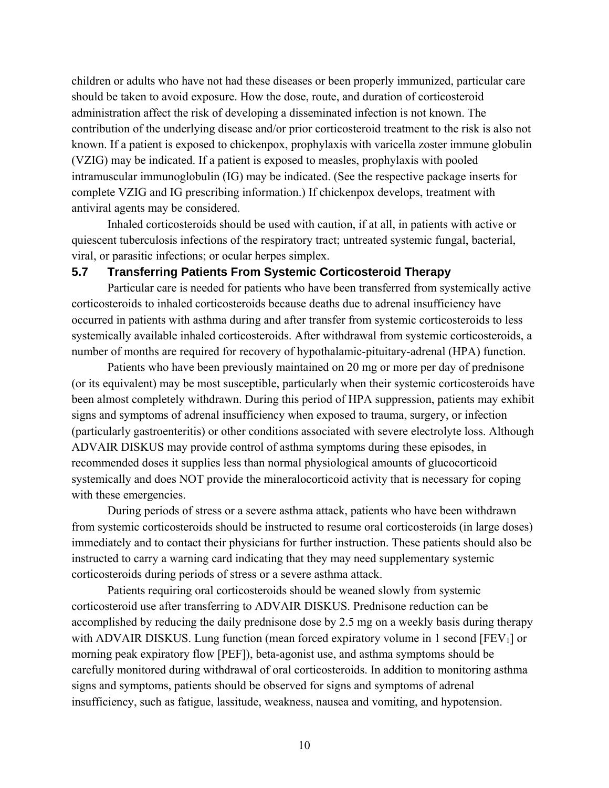<span id="page-9-0"></span>children or adults who have not had these diseases or been properly immunized, particular care should be taken to avoid exposure. How the dose, route, and duration of corticosteroid administration affect the risk of developing a disseminated infection is not known. The contribution of the underlying disease and/or prior corticosteroid treatment to the risk is also not known. If a patient is exposed to chickenpox, prophylaxis with varicella zoster immune globulin (VZIG) may be indicated. If a patient is exposed to measles, prophylaxis with pooled intramuscular immunoglobulin (IG) may be indicated. (See the respective package inserts for complete VZIG and IG prescribing information.) If chickenpox develops, treatment with antiviral agents may be considered.

 Inhaled corticosteroids should be used with caution, if at all, in patients with active or quiescent tuberculosis infections of the respiratory tract; untreated systemic fungal, bacterial, viral, or parasitic infections; or ocular herpes simplex.

#### **5.7 Transferring Patients From Systemic Corticosteroid Therapy**

 Particular care is needed for patients who have been transferred from systemically active corticosteroids to inhaled corticosteroids because deaths due to adrenal insufficiency have occurred in patients with asthma during and after transfer from systemic corticosteroids to less systemically available inhaled corticosteroids. After withdrawal from systemic corticosteroids, a number of months are required for recovery of hypothalamic-pituitary-adrenal (HPA) function.

 Patients who have been previously maintained on 20 mg or more per day of prednisone (or its equivalent) may be most susceptible, particularly when their systemic corticosteroids have been almost completely withdrawn. During this period of HPA suppression, patients may exhibit signs and symptoms of adrenal insufficiency when exposed to trauma, surgery, or infection (particularly gastroenteritis) or other conditions associated with severe electrolyte loss. Although ADVAIR DISKUS may provide control of asthma symptoms during these episodes, in recommended doses it supplies less than normal physiological amounts of glucocorticoid systemically and does NOT provide the mineralocorticoid activity that is necessary for coping with these emergencies.

 During periods of stress or a severe asthma attack, patients who have been withdrawn from systemic corticosteroids should be instructed to resume oral corticosteroids (in large doses) immediately and to contact their physicians for further instruction. These patients should also be instructed to carry a warning card indicating that they may need supplementary systemic corticosteroids during periods of stress or a severe asthma attack.

 Patients requiring oral corticosteroids should be weaned slowly from systemic corticosteroid use after transferring to ADVAIR DISKUS. Prednisone reduction can be accomplished by reducing the daily prednisone dose by 2.5 mg on a weekly basis during therapy with ADVAIR DISKUS. Lung function (mean forced expiratory volume in 1 second  $[FEV<sub>1</sub>]$  or morning peak expiratory flow [PEF]), beta-agonist use, and asthma symptoms should be carefully monitored during withdrawal of oral corticosteroids. In addition to monitoring asthma signs and symptoms, patients should be observed for signs and symptoms of adrenal insufficiency, such as fatigue, lassitude, weakness, nausea and vomiting, and hypotension.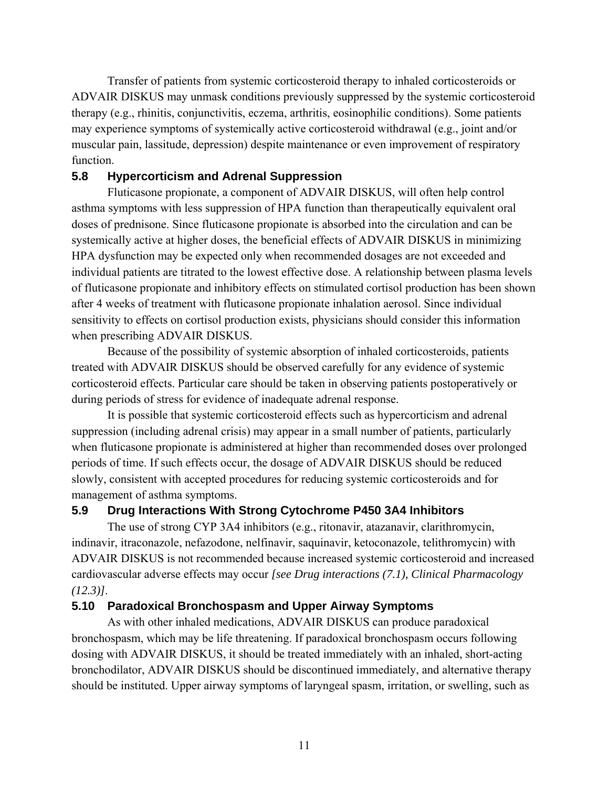<span id="page-10-0"></span> Transfer of patients from systemic corticosteroid therapy to inhaled corticosteroids or ADVAIR DISKUS may unmask conditions previously suppressed by the systemic corticosteroid therapy (e.g., rhinitis, conjunctivitis, eczema, arthritis, eosinophilic conditions). Some patients may experience symptoms of systemically active corticosteroid withdrawal (e.g., joint and/or muscular pain, lassitude, depression) despite maintenance or even improvement of respiratory function.

#### **5.8 Hypercorticism and Adrenal Suppression**

 Fluticasone propionate, a component of ADVAIR DISKUS, will often help control asthma symptoms with less suppression of HPA function than therapeutically equivalent oral doses of prednisone. Since fluticasone propionate is absorbed into the circulation and can be systemically active at higher doses, the beneficial effects of ADVAIR DISKUS in minimizing HPA dysfunction may be expected only when recommended dosages are not exceeded and individual patients are titrated to the lowest effective dose. A relationship between plasma levels of fluticasone propionate and inhibitory effects on stimulated cortisol production has been shown after 4 weeks of treatment with fluticasone propionate inhalation aerosol. Since individual sensitivity to effects on cortisol production exists, physicians should consider this information when prescribing ADVAIR DISKUS.

 Because of the possibility of systemic absorption of inhaled corticosteroids, patients treated with ADVAIR DISKUS should be observed carefully for any evidence of systemic corticosteroid effects. Particular care should be taken in observing patients postoperatively or during periods of stress for evidence of inadequate adrenal response.

 It is possible that systemic corticosteroid effects such as hypercorticism and adrenal suppression (including adrenal crisis) may appear in a small number of patients, particularly when fluticasone propionate is administered at higher than recommended doses over prolonged periods of time. If such effects occur, the dosage of ADVAIR DISKUS should be reduced slowly, consistent with accepted procedures for reducing systemic corticosteroids and for management of asthma symptoms.

#### **5.9 Drug Interactions With Strong Cytochrome P450 3A4 Inhibitors**

 The use of strong CYP 3A4 inhibitors (e.g., ritonavir, atazanavir, clarithromycin, indinavir, itraconazole, nefazodone, nelfinavir, saquinavir, ketoconazole, telithromycin) with ADVAIR DISKUS is not recommended because increased systemic corticosteroid and increased cardiovascular adverse effects may occur *[see Drug interactions (7.1), Clinical Pharmacology (12.3)]*.

#### **5.10 Paradoxical Bronchospasm and Upper Airway Symptoms**

 As with other inhaled medications, ADVAIR DISKUS can produce paradoxical bronchospasm, which may be life threatening. If paradoxical bronchospasm occurs following dosing with ADVAIR DISKUS, it should be treated immediately with an inhaled, short-acting bronchodilator, ADVAIR DISKUS should be discontinued immediately, and alternative therapy should be instituted. Upper airway symptoms of laryngeal spasm, irritation, or swelling, such as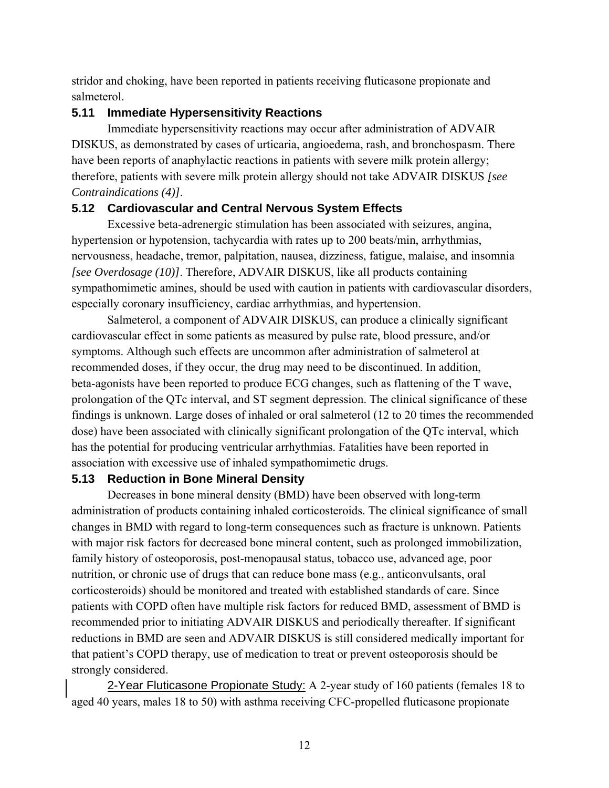<span id="page-11-0"></span>stridor and choking, have been reported in patients receiving fluticasone propionate and salmeterol.

#### **5.11 Immediate Hypersensitivity Reactions**

 Immediate hypersensitivity reactions may occur after administration of ADVAIR DISKUS, as demonstrated by cases of urticaria, angioedema, rash, and bronchospasm. There have been reports of anaphylactic reactions in patients with severe milk protein allergy; therefore, patients with severe milk protein allergy should not take ADVAIR DISKUS *[see Contraindications (4)]*.

#### **5.12 Cardiovascular and Central Nervous System Effects**

 Excessive beta-adrenergic stimulation has been associated with seizures, angina, hypertension or hypotension, tachycardia with rates up to 200 beats/min, arrhythmias, nervousness, headache, tremor, palpitation, nausea, dizziness, fatigue, malaise, and insomnia *[see Overdosage (10)]*. Therefore, ADVAIR DISKUS, like all products containing sympathomimetic amines, should be used with caution in patients with cardiovascular disorders, especially coronary insufficiency, cardiac arrhythmias, and hypertension.

 Salmeterol, a component of ADVAIR DISKUS, can produce a clinically significant cardiovascular effect in some patients as measured by pulse rate, blood pressure, and/or symptoms. Although such effects are uncommon after administration of salmeterol at recommended doses, if they occur, the drug may need to be discontinued. In addition, beta-agonists have been reported to produce ECG changes, such as flattening of the T wave, prolongation of the QTc interval, and ST segment depression. The clinical significance of these findings is unknown. Large doses of inhaled or oral salmeterol (12 to 20 times the recommended dose) have been associated with clinically significant prolongation of the QTc interval, which has the potential for producing ventricular arrhythmias. Fatalities have been reported in association with excessive use of inhaled sympathomimetic drugs.

#### **5.13 Reduction in Bone Mineral Density**

 Decreases in bone mineral density (BMD) have been observed with long-term administration of products containing inhaled corticosteroids. The clinical significance of small changes in BMD with regard to long-term consequences such as fracture is unknown. Patients with major risk factors for decreased bone mineral content, such as prolonged immobilization, family history of osteoporosis, post-menopausal status, tobacco use, advanced age, poor nutrition, or chronic use of drugs that can reduce bone mass (e.g., anticonvulsants, oral corticosteroids) should be monitored and treated with established standards of care. Since patients with COPD often have multiple risk factors for reduced BMD, assessment of BMD is recommended prior to initiating ADVAIR DISKUS and periodically thereafter. If significant reductions in BMD are seen and ADVAIR DISKUS is still considered medically important for that patient's COPD therapy, use of medication to treat or prevent osteoporosis should be strongly considered.

2-Year Fluticasone Propionate Study: A 2-year study of 160 patients (females 18 to aged 40 years, males 18 to 50) with asthma receiving CFC-propelled fluticasone propionate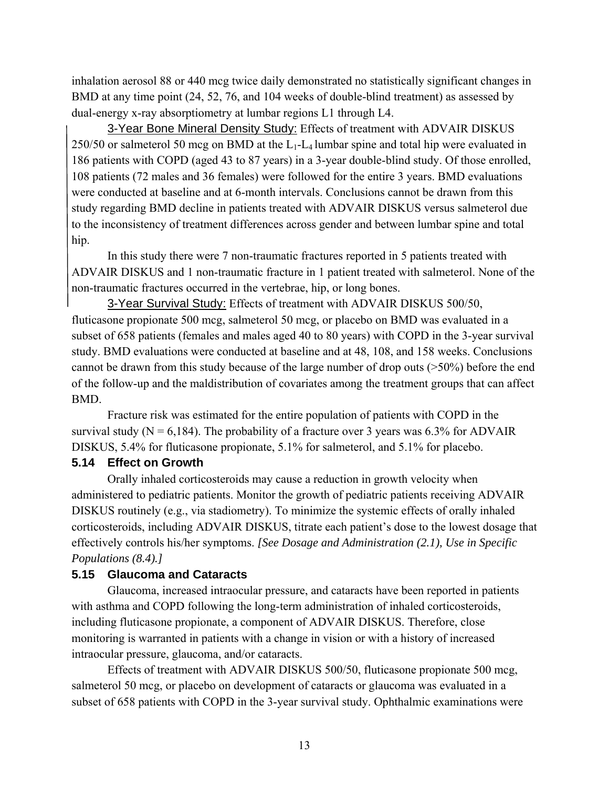<span id="page-12-0"></span>inhalation aerosol 88 or 440 mcg twice daily demonstrated no statistically significant changes in BMD at any time point (24, 52, 76, and 104 weeks of double-blind treatment) as assessed by dual-energy x-ray absorptiometry at lumbar regions L1 through L4.

3-Year Bone Mineral Density Study: Effects of treatment with ADVAIR DISKUS  $250/50$  or salmeterol 50 mcg on BMD at the  $L_1$ - $L_4$  lumbar spine and total hip were evaluated in 186 patients with COPD (aged 43 to 87 years) in a 3-year double-blind study. Of those enrolled, 108 patients (72 males and 36 females) were followed for the entire 3 years. BMD evaluations were conducted at baseline and at 6-month intervals. Conclusions cannot be drawn from this study regarding BMD decline in patients treated with ADVAIR DISKUS versus salmeterol due to the inconsistency of treatment differences across gender and between lumbar spine and total hip.

 In this study there were 7 non-traumatic fractures reported in 5 patients treated with ADVAIR DISKUS and 1 non-traumatic fracture in 1 patient treated with salmeterol. None of the non-traumatic fractures occurred in the vertebrae, hip, or long bones.

3-Year Survival Study: Effects of treatment with ADVAIR DISKUS 500/50, fluticasone propionate 500 mcg, salmeterol 50 mcg, or placebo on BMD was evaluated in a subset of 658 patients (females and males aged 40 to 80 years) with COPD in the 3-year survival study. BMD evaluations were conducted at baseline and at 48, 108, and 158 weeks. Conclusions cannot be drawn from this study because of the large number of drop outs (>50%) before the end of the follow-up and the maldistribution of covariates among the treatment groups that can affect BMD.

 Fracture risk was estimated for the entire population of patients with COPD in the survival study ( $N = 6,184$ ). The probability of a fracture over 3 years was 6.3% for ADVAIR DISKUS, 5.4% for fluticasone propionate, 5.1% for salmeterol, and 5.1% for placebo.

#### **5.14 Effect on Growth**

 Orally inhaled corticosteroids may cause a reduction in growth velocity when administered to pediatric patients. Monitor the growth of pediatric patients receiving ADVAIR DISKUS routinely (e.g., via stadiometry). To minimize the systemic effects of orally inhaled corticosteroids, including ADVAIR DISKUS, titrate each patient's dose to the lowest dosage that effectively controls his/her symptoms. *[See Dosage and Administration (2.1), Use in Specific Populations (8.4).]*

#### **5.15 Glaucoma and Cataracts**

 Glaucoma, increased intraocular pressure, and cataracts have been reported in patients with asthma and COPD following the long-term administration of inhaled corticosteroids, including fluticasone propionate, a component of ADVAIR DISKUS. Therefore, close monitoring is warranted in patients with a change in vision or with a history of increased intraocular pressure, glaucoma, and/or cataracts.

Effects of treatment with ADVAIR DISKUS 500/50, fluticasone propionate 500 mcg, salmeterol 50 mcg, or placebo on development of cataracts or glaucoma was evaluated in a subset of 658 patients with COPD in the 3-year survival study. Ophthalmic examinations were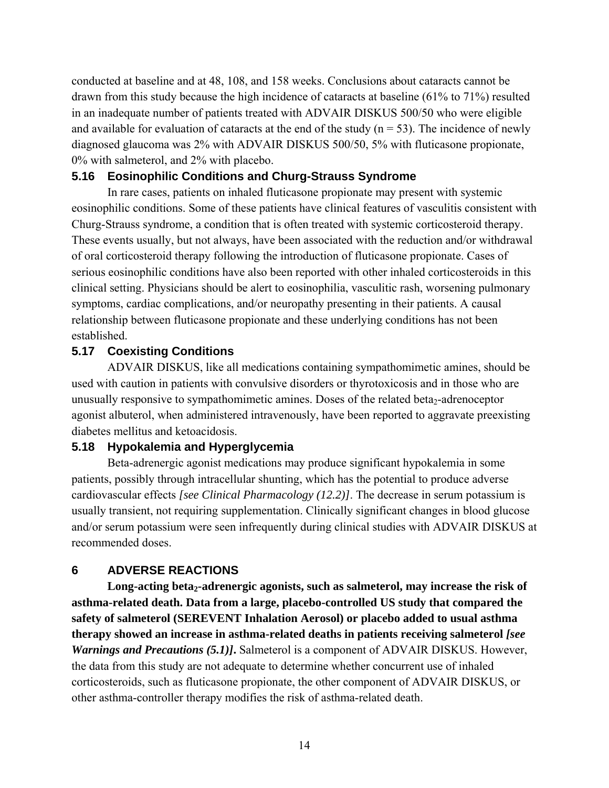<span id="page-13-0"></span>conducted at baseline and at 48, 108, and 158 weeks. Conclusions about cataracts cannot be drawn from this study because the high incidence of cataracts at baseline (61% to 71%) resulted in an inadequate number of patients treated with ADVAIR DISKUS 500/50 who were eligible and available for evaluation of cataracts at the end of the study ( $n = 53$ ). The incidence of newly diagnosed glaucoma was 2% with ADVAIR DISKUS 500/50, 5% with fluticasone propionate, 0% with salmeterol, and 2% with placebo.

#### **5.16 Eosinophilic Conditions and Churg-Strauss Syndrome**

 In rare cases, patients on inhaled fluticasone propionate may present with systemic eosinophilic conditions. Some of these patients have clinical features of vasculitis consistent with Churg-Strauss syndrome, a condition that is often treated with systemic corticosteroid therapy. These events usually, but not always, have been associated with the reduction and/or withdrawal of oral corticosteroid therapy following the introduction of fluticasone propionate. Cases of serious eosinophilic conditions have also been reported with other inhaled corticosteroids in this clinical setting. Physicians should be alert to eosinophilia, vasculitic rash, worsening pulmonary symptoms, cardiac complications, and/or neuropathy presenting in their patients. A causal relationship between fluticasone propionate and these underlying conditions has not been established.

#### **5.17 Coexisting Conditions**

 ADVAIR DISKUS, like all medications containing sympathomimetic amines, should be used with caution in patients with convulsive disorders or thyrotoxicosis and in those who are unusually responsive to sympathomimetic amines. Doses of the related beta $_2$ -adrenoceptor agonist albuterol, when administered intravenously, have been reported to aggravate preexisting diabetes mellitus and ketoacidosis.

#### **5.18 Hypokalemia and Hyperglycemia**

 Beta-adrenergic agonist medications may produce significant hypokalemia in some patients, possibly through intracellular shunting, which has the potential to produce adverse cardiovascular effects *[see Clinical Pharmacology (12.2)]*. The decrease in serum potassium is usually transient, not requiring supplementation. Clinically significant changes in blood glucose and/or serum potassium were seen infrequently during clinical studies with ADVAIR DISKUS at recommended doses.

#### **6 ADVERSE REACTIONS**

Long-acting beta<sub>2</sub>-adrenergic agonists, such as salmeterol, may increase the risk of **asthma-related death. Data from a large, placebo-controlled US study that compared the safety of salmeterol (SEREVENT Inhalation Aerosol) or placebo added to usual asthma therapy showed an increase in asthma-related deaths in patients receiving salmeterol** *[see Warnings and Precautions (5.1)]***.** Salmeterol is a component of ADVAIR DISKUS. However, the data from this study are not adequate to determine whether concurrent use of inhaled corticosteroids, such as fluticasone propionate, the other component of ADVAIR DISKUS, or other asthma-controller therapy modifies the risk of asthma-related death.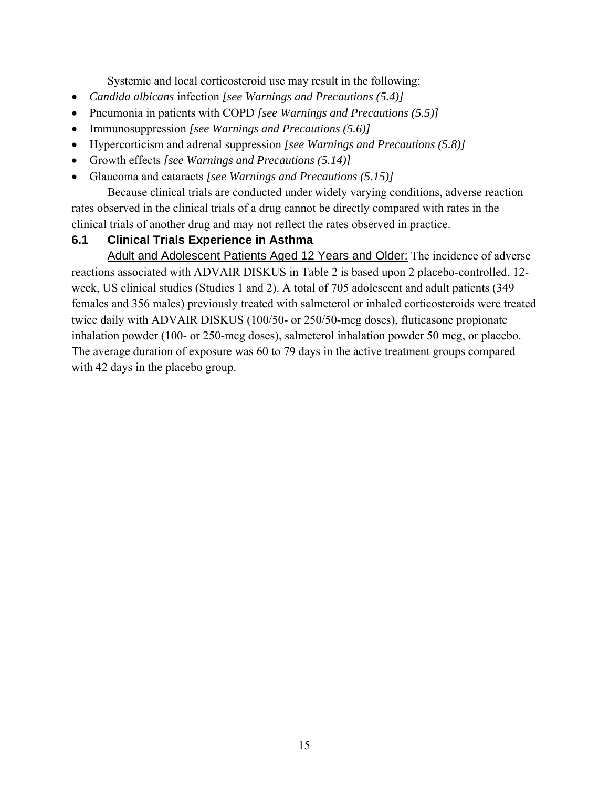Systemic and local corticosteroid use may result in the following:

- <span id="page-14-0"></span>• *Candida albicans* infection *[see Warnings and Precautions (5.4)]*
- Pneumonia in patients with COPD *[see Warnings and Precautions (5.5)]*
- Immunosuppression *[see Warnings and Precautions (5.6)]*
- Hypercorticism and adrenal suppression *[see Warnings and Precautions (5.8)]*
- Growth effects *[see Warnings and Precautions (5.14)]*
- Glaucoma and cataracts *[see Warnings and Precautions (5.15)]*

Because clinical trials are conducted under widely varying conditions, adverse reaction rates observed in the clinical trials of a drug cannot be directly compared with rates in the clinical trials of another drug and may not reflect the rates observed in practice.

# **6.1 Clinical Trials Experience in Asthma**

Adult and Adolescent Patients Aged 12 Years and Older: The incidence of adverse reactions associated with ADVAIR DISKUS in Table 2 is based upon 2 placebo-controlled, 12 week, US clinical studies (Studies 1 and 2). A total of 705 adolescent and adult patients (349 females and 356 males) previously treated with salmeterol or inhaled corticosteroids were treated twice daily with ADVAIR DISKUS (100/50- or 250/50-mcg doses), fluticasone propionate inhalation powder (100- or 250-mcg doses), salmeterol inhalation powder 50 mcg, or placebo. The average duration of exposure was 60 to 79 days in the active treatment groups compared with 42 days in the placebo group.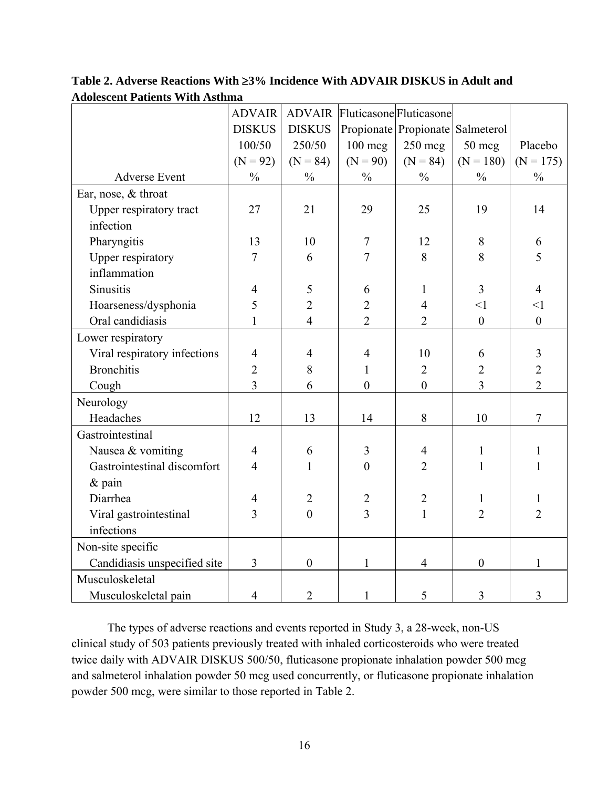|                              | <b>ADVAIR</b>  |                  | <b>ADVAIR</b> Fluticasone Fluticasone |                |                  |                         |
|------------------------------|----------------|------------------|---------------------------------------|----------------|------------------|-------------------------|
|                              | <b>DISKUS</b>  | <b>DISKUS</b>    | Propionate Propionate Salmeterol      |                |                  |                         |
|                              | 100/50         | 250/50           | $100$ mcg                             | $250$ mcg      | $50$ mcg         | Placebo                 |
|                              | $(N = 92)$     | $(N = 84)$       | $(N = 90)$                            | $(N = 84)$     | $(N = 180)$      | $(N = 175)$             |
| <b>Adverse Event</b>         | $\frac{0}{0}$  | $\frac{0}{0}$    | $\frac{0}{0}$                         | $\frac{0}{0}$  | $\frac{0}{0}$    | $\frac{0}{0}$           |
| Ear, nose, & throat          |                |                  |                                       |                |                  |                         |
| Upper respiratory tract      | 27             | 21               | 29                                    | 25             | 19               | 14                      |
| infection                    |                |                  |                                       |                |                  |                         |
| Pharyngitis                  | 13             | 10               | $\tau$                                | 12             | 8                | 6                       |
| Upper respiratory            | $\overline{7}$ | 6                | $\overline{7}$                        | 8              | 8                | 5                       |
| inflammation                 |                |                  |                                       |                |                  |                         |
| Sinusitis                    | $\overline{4}$ | 5                | 6                                     | $\mathbf{1}$   | $\overline{3}$   | $\overline{4}$          |
| Hoarseness/dysphonia         | 5              | $\overline{2}$   | $\overline{2}$                        | $\overline{4}$ | <1               | $\leq$ 1                |
| Oral candidiasis             | 1              | $\overline{4}$   | $\overline{2}$                        | $\overline{2}$ | $\overline{0}$   | $\mathbf{0}$            |
| Lower respiratory            |                |                  |                                       |                |                  |                         |
| Viral respiratory infections | $\overline{4}$ | $\overline{4}$   | $\overline{4}$                        | 10             | 6                | $\overline{\mathbf{3}}$ |
| <b>Bronchitis</b>            | $\overline{2}$ | 8                | 1                                     | $\overline{2}$ | $\overline{2}$   | $\overline{2}$          |
| Cough                        | $\overline{3}$ | 6                | $\boldsymbol{0}$                      | $\mathbf{0}$   | $\overline{3}$   | $\overline{2}$          |
| Neurology                    |                |                  |                                       |                |                  |                         |
| Headaches                    | 12             | 13               | 14                                    | 8              | 10               | $\overline{7}$          |
| Gastrointestinal             |                |                  |                                       |                |                  |                         |
| Nausea & vomiting            | $\overline{4}$ | 6                | 3                                     | $\overline{4}$ | $\mathbf{1}$     | $\mathbf{1}$            |
| Gastrointestinal discomfort  | $\overline{4}$ | $\mathbf{1}$     | $\overline{0}$                        | $\overline{2}$ | $\mathbf{1}$     | $\mathbf{1}$            |
| & pain                       |                |                  |                                       |                |                  |                         |
| Diarrhea                     | $\overline{4}$ | $\overline{2}$   | $\overline{2}$                        | $\overline{2}$ | 1                | $\mathbf{1}$            |
| Viral gastrointestinal       | $\overline{3}$ | $\overline{0}$   | $\overline{3}$                        | $\mathbf{1}$   | $\overline{2}$   | $\overline{2}$          |
| infections                   |                |                  |                                       |                |                  |                         |
| Non-site specific            |                |                  |                                       |                |                  |                         |
| Candidiasis unspecified site | $\overline{3}$ | $\boldsymbol{0}$ | $\mathbf{1}$                          | $\overline{4}$ | $\boldsymbol{0}$ | $\mathbf{1}$            |
| Musculoskeletal              |                |                  |                                       |                |                  |                         |
| Musculoskeletal pain         | $\overline{4}$ | $\overline{2}$   | $\mathbf{1}$                          | 5              | 3                | 3                       |

**Table 2. Adverse Reactions With** ≥**3% Incidence With ADVAIR DISKUS in Adult and Adolescent Patients With Asthma** 

 The types of adverse reactions and events reported in Study 3, a 28-week, non-US clinical study of 503 patients previously treated with inhaled corticosteroids who were treated twice daily with ADVAIR DISKUS 500/50, fluticasone propionate inhalation powder 500 mcg and salmeterol inhalation powder 50 mcg used concurrently, or fluticasone propionate inhalation powder 500 mcg, were similar to those reported in Table 2.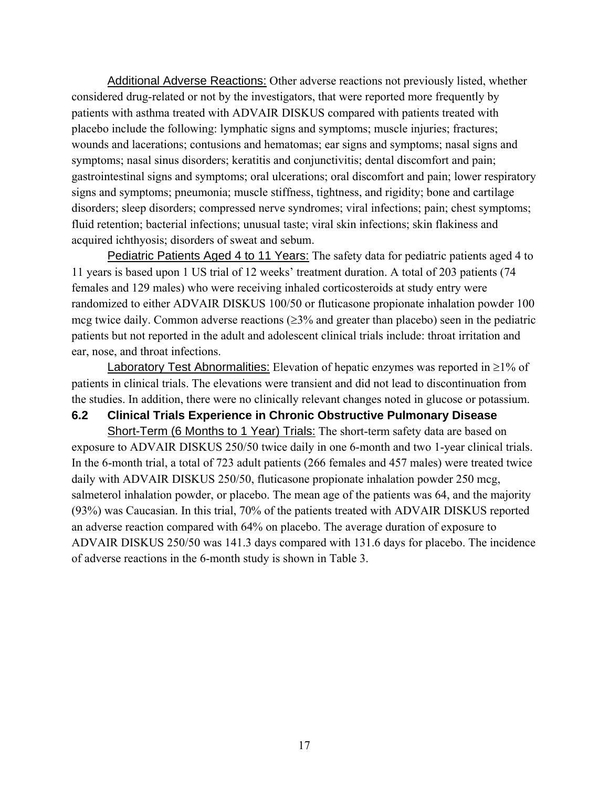<span id="page-16-0"></span>Additional Adverse Reactions: Other adverse reactions not previously listed, whether considered drug-related or not by the investigators, that were reported more frequently by patients with asthma treated with ADVAIR DISKUS compared with patients treated with placebo include the following: lymphatic signs and symptoms; muscle injuries; fractures; wounds and lacerations; contusions and hematomas; ear signs and symptoms; nasal signs and symptoms; nasal sinus disorders; keratitis and conjunctivitis; dental discomfort and pain; gastrointestinal signs and symptoms; oral ulcerations; oral discomfort and pain; lower respiratory signs and symptoms; pneumonia; muscle stiffness, tightness, and rigidity; bone and cartilage disorders; sleep disorders; compressed nerve syndromes; viral infections; pain; chest symptoms; fluid retention; bacterial infections; unusual taste; viral skin infections; skin flakiness and acquired ichthyosis; disorders of sweat and sebum.

Pediatric Patients Aged 4 to 11 Years: The safety data for pediatric patients aged 4 to 11 years is based upon 1 US trial of 12 weeks' treatment duration. A total of 203 patients (74 females and 129 males) who were receiving inhaled corticosteroids at study entry were randomized to either ADVAIR DISKUS 100/50 or fluticasone propionate inhalation powder 100 mcg twice daily. Common adverse reactions  $(\geq 3\%$  and greater than placebo) seen in the pediatric patients but not reported in the adult and adolescent clinical trials include: throat irritation and ear, nose, and throat infections.

Laboratory Test Abnormalities: Elevation of hepatic enzymes was reported in ≥1% of patients in clinical trials. The elevations were transient and did not lead to discontinuation from the studies. In addition, there were no clinically relevant changes noted in glucose or potassium.

# **6.2 Clinical Trials Experience in Chronic Obstructive Pulmonary Disease**

Short-Term (6 Months to 1 Year) Trials: The short-term safety data are based on exposure to ADVAIR DISKUS 250/50 twice daily in one 6-month and two 1-year clinical trials. In the 6-month trial, a total of 723 adult patients (266 females and 457 males) were treated twice daily with ADVAIR DISKUS 250/50, fluticasone propionate inhalation powder 250 mcg, salmeterol inhalation powder, or placebo. The mean age of the patients was 64, and the majority (93%) was Caucasian. In this trial, 70% of the patients treated with ADVAIR DISKUS reported an adverse reaction compared with 64% on placebo. The average duration of exposure to ADVAIR DISKUS 250/50 was 141.3 days compared with 131.6 days for placebo. The incidence of adverse reactions in the 6-month study is shown in Table 3.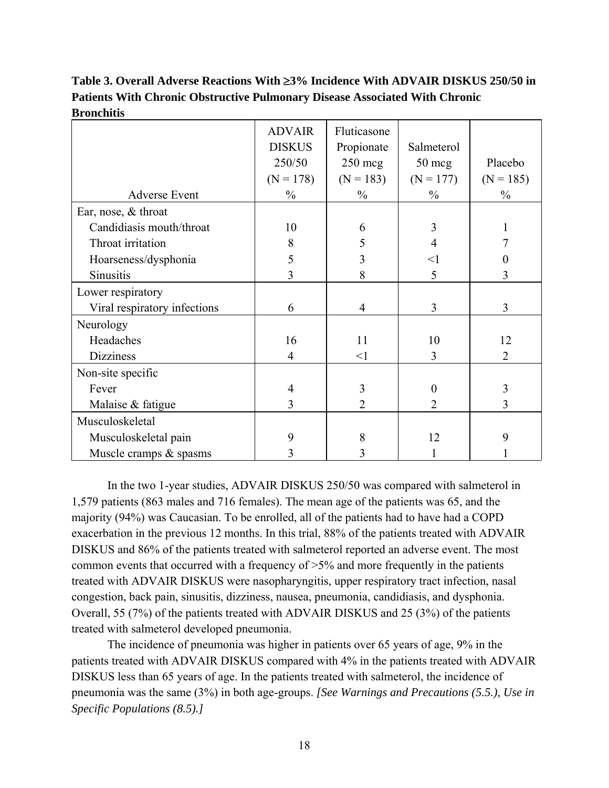# **Table 3. Overall Adverse Reactions With** ≥**3% Incidence With ADVAIR DISKUS 250/50 in Patients With Chronic Obstructive Pulmonary Disease Associated With Chronic Bronchitis**

|                              | <b>ADVAIR</b><br><b>DISKUS</b><br>250/50 | Fluticasone<br>Propionate<br>$250 \text{ mcg}$ | Salmeterol<br>50 mcg         | Placebo                      |
|------------------------------|------------------------------------------|------------------------------------------------|------------------------------|------------------------------|
| <b>Adverse Event</b>         | $(N = 178)$<br>$\frac{0}{0}$             | $(N = 183)$<br>$\frac{0}{0}$                   | $(N = 177)$<br>$\frac{0}{0}$ | $(N = 185)$<br>$\frac{0}{0}$ |
| Ear, nose, & throat          |                                          |                                                |                              |                              |
| Candidiasis mouth/throat     | 10                                       | 6                                              | 3                            |                              |
| Throat irritation            | 8                                        | 5                                              | 4                            |                              |
| Hoarseness/dysphonia         | 5                                        | 3                                              | $<$ 1                        |                              |
| <b>Sinusitis</b>             | 3                                        | 8                                              | 5                            | 3                            |
| Lower respiratory            |                                          |                                                |                              |                              |
| Viral respiratory infections | 6                                        | $\overline{4}$                                 | 3                            | 3                            |
| Neurology                    |                                          |                                                |                              |                              |
| Headaches                    | 16                                       | 11                                             | 10                           | 12                           |
| <b>Dizziness</b>             | 4                                        | $\leq$ 1                                       | 3                            | $\overline{2}$               |
| Non-site specific            |                                          |                                                |                              |                              |
| Fever                        | 4                                        | 3                                              | $\theta$                     | 3                            |
| Malaise & fatigue            | 3                                        | $\overline{2}$                                 | 2                            | 3                            |
| Musculoskeletal              |                                          |                                                |                              |                              |
| Musculoskeletal pain         | 9                                        | 8                                              | 12                           | 9                            |
| Muscle cramps & spasms       | 3                                        | 3                                              |                              |                              |

 In the two 1-year studies, ADVAIR DISKUS 250/50 was compared with salmeterol in 1,579 patients (863 males and 716 females). The mean age of the patients was 65, and the majority (94%) was Caucasian. To be enrolled, all of the patients had to have had a COPD exacerbation in the previous 12 months. In this trial, 88% of the patients treated with ADVAIR DISKUS and 86% of the patients treated with salmeterol reported an adverse event. The most common events that occurred with a frequency of >5% and more frequently in the patients treated with ADVAIR DISKUS were nasopharyngitis, upper respiratory tract infection, nasal congestion, back pain, sinusitis, dizziness, nausea, pneumonia, candidiasis, and dysphonia. Overall, 55 (7%) of the patients treated with ADVAIR DISKUS and 25 (3%) of the patients treated with salmeterol developed pneumonia.

 The incidence of pneumonia was higher in patients over 65 years of age, 9% in the patients treated with ADVAIR DISKUS compared with 4% in the patients treated with ADVAIR DISKUS less than 65 years of age. In the patients treated with salmeterol, the incidence of pneumonia was the same (3%) in both age-groups. *[See Warnings and Precautions (5.5.), Use in Specific Populations (8.5).]*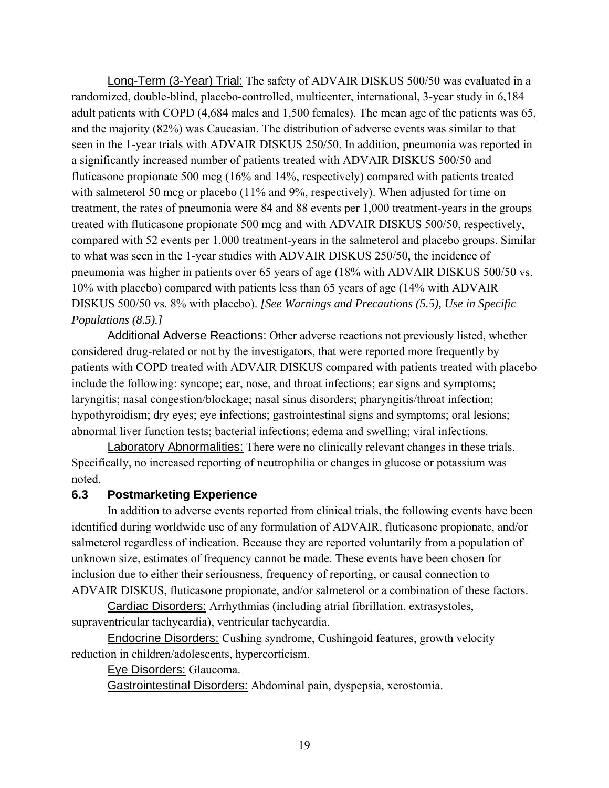<span id="page-18-0"></span>Long-Term (3-Year) Trial: The safety of ADVAIR DISKUS 500/50 was evaluated in a randomized, double-blind, placebo-controlled, multicenter, international, 3-year study in 6,184 adult patients with COPD (4,684 males and 1,500 females). The mean age of the patients was 65, and the majority (82%) was Caucasian. The distribution of adverse events was similar to that seen in the 1-year trials with ADVAIR DISKUS 250/50. In addition, pneumonia was reported in a significantly increased number of patients treated with ADVAIR DISKUS 500/50 and fluticasone propionate 500 mcg (16% and 14%, respectively) compared with patients treated with salmeterol 50 mcg or placebo (11% and 9%, respectively). When adjusted for time on treatment, the rates of pneumonia were 84 and 88 events per 1,000 treatment-years in the groups treated with fluticasone propionate 500 mcg and with ADVAIR DISKUS 500/50, respectively, compared with 52 events per 1,000 treatment-years in the salmeterol and placebo groups. Similar to what was seen in the 1-year studies with ADVAIR DISKUS 250/50, the incidence of pneumonia was higher in patients over 65 years of age (18% with ADVAIR DISKUS 500/50 vs. 10% with placebo) compared with patients less than 65 years of age (14% with ADVAIR DISKUS 500/50 vs. 8% with placebo). *[See Warnings and Precautions (5.5), Use in Specific Populations (8.5).]*

Additional Adverse Reactions: Other adverse reactions not previously listed, whether considered drug-related or not by the investigators, that were reported more frequently by patients with COPD treated with ADVAIR DISKUS compared with patients treated with placebo include the following: syncope; ear, nose, and throat infections; ear signs and symptoms; laryngitis; nasal congestion/blockage; nasal sinus disorders; pharyngitis/throat infection; hypothyroidism; dry eyes; eye infections; gastrointestinal signs and symptoms; oral lesions; abnormal liver function tests; bacterial infections; edema and swelling; viral infections.

Laboratory Abnormalities: There were no clinically relevant changes in these trials. Specifically, no increased reporting of neutrophilia or changes in glucose or potassium was noted.

### **6.3 Postmarketing Experience**

 In addition to adverse events reported from clinical trials, the following events have been identified during worldwide use of any formulation of ADVAIR, fluticasone propionate, and/or salmeterol regardless of indication. Because they are reported voluntarily from a population of unknown size, estimates of frequency cannot be made. These events have been chosen for inclusion due to either their seriousness, frequency of reporting, or causal connection to ADVAIR DISKUS, fluticasone propionate, and/or salmeterol or a combination of these factors.

Cardiac Disorders: Arrhythmias (including atrial fibrillation, extrasystoles, supraventricular tachycardia), ventricular tachycardia.

Endocrine Disorders: Cushing syndrome, Cushingoid features, growth velocity reduction in children/adolescents, hypercorticism.

Eye Disorders: Glaucoma.

Gastrointestinal Disorders: Abdominal pain, dyspepsia, xerostomia.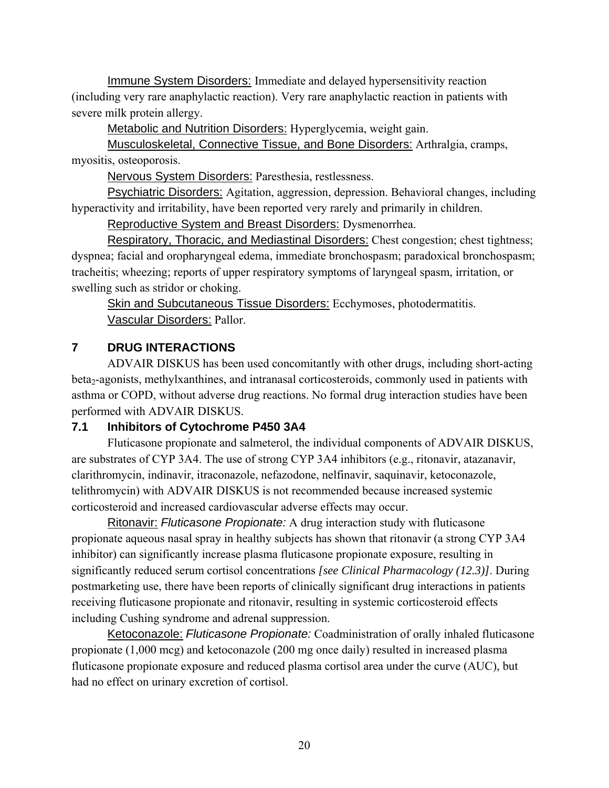<span id="page-19-0"></span>Immune System Disorders: Immediate and delayed hypersensitivity reaction (including very rare anaphylactic reaction). Very rare anaphylactic reaction in patients with severe milk protein allergy.

Metabolic and Nutrition Disorders: Hyperglycemia, weight gain.

Musculoskeletal, Connective Tissue, and Bone Disorders: Arthralgia, cramps, myositis, osteoporosis.

Nervous System Disorders: Paresthesia, restlessness.

Psychiatric Disorders: Agitation, aggression, depression. Behavioral changes, including hyperactivity and irritability, have been reported very rarely and primarily in children.

Reproductive System and Breast Disorders: Dysmenorrhea.

Respiratory, Thoracic, and Mediastinal Disorders: Chest congestion; chest tightness; dyspnea; facial and oropharyngeal edema, immediate bronchospasm; paradoxical bronchospasm; tracheitis; wheezing; reports of upper respiratory symptoms of laryngeal spasm, irritation, or swelling such as stridor or choking.

Skin and Subcutaneous Tissue Disorders: Ecchymoses, photodermatitis. Vascular Disorders: Pallor.

# **7 DRUG INTERACTIONS**

 ADVAIR DISKUS has been used concomitantly with other drugs, including short-acting beta<sub>2</sub>-agonists, methylxanthines, and intranasal corticosteroids, commonly used in patients with asthma or COPD, without adverse drug reactions. No formal drug interaction studies have been performed with ADVAIR DISKUS.

# **7.1 Inhibitors of Cytochrome P450 3A4**

 Fluticasone propionate and salmeterol, the individual components of ADVAIR DISKUS, are substrates of CYP 3A4. The use of strong CYP 3A4 inhibitors (e.g., ritonavir, atazanavir, clarithromycin, indinavir, itraconazole, nefazodone, nelfinavir, saquinavir, ketoconazole, telithromycin) with ADVAIR DISKUS is not recommended because increased systemic corticosteroid and increased cardiovascular adverse effects may occur.

Ritonavir: *Fluticasone Propionate:* A drug interaction study with fluticasone propionate aqueous nasal spray in healthy subjects has shown that ritonavir (a strong CYP 3A4 inhibitor) can significantly increase plasma fluticasone propionate exposure, resulting in significantly reduced serum cortisol concentrations *[see Clinical Pharmacology (12.3)]*. During postmarketing use, there have been reports of clinically significant drug interactions in patients receiving fluticasone propionate and ritonavir, resulting in systemic corticosteroid effects including Cushing syndrome and adrenal suppression.

Ketoconazole: *Fluticasone Propionate:* Coadministration of orally inhaled fluticasone propionate (1,000 mcg) and ketoconazole (200 mg once daily) resulted in increased plasma fluticasone propionate exposure and reduced plasma cortisol area under the curve (AUC), but had no effect on urinary excretion of cortisol.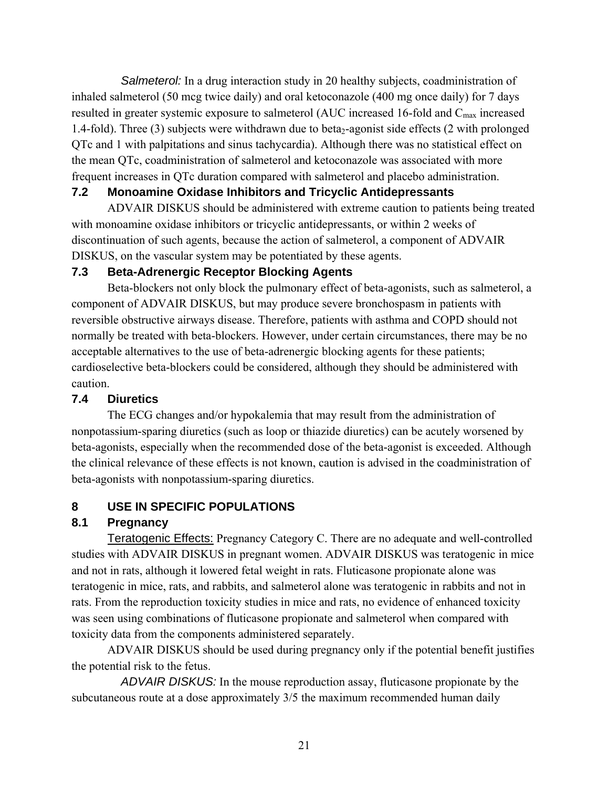<span id="page-20-0"></span> *Salmeterol:* In a drug interaction study in 20 healthy subjects, coadministration of inhaled salmeterol (50 mcg twice daily) and oral ketoconazole (400 mg once daily) for 7 days resulted in greater systemic exposure to salmeterol (AUC increased 16-fold and C<sub>max</sub> increased 1.4-fold). Three  $(3)$  subjects were withdrawn due to beta<sub>2</sub>-agonist side effects  $(2 \text{ with prolonged})$ QTc and 1 with palpitations and sinus tachycardia). Although there was no statistical effect on the mean QTc, coadministration of salmeterol and ketoconazole was associated with more frequent increases in QTc duration compared with salmeterol and placebo administration.

### **7.2 Monoamine Oxidase Inhibitors and Tricyclic Antidepressants**

ADVAIR DISKUS should be administered with extreme caution to patients being treated with monoamine oxidase inhibitors or tricyclic antidepressants, or within 2 weeks of discontinuation of such agents, because the action of salmeterol, a component of ADVAIR DISKUS, on the vascular system may be potentiated by these agents.

### **7.3 Beta-Adrenergic Receptor Blocking Agents**

Beta-blockers not only block the pulmonary effect of beta-agonists, such as salmeterol, a component of ADVAIR DISKUS, but may produce severe bronchospasm in patients with reversible obstructive airways disease. Therefore, patients with asthma and COPD should not normally be treated with beta-blockers. However, under certain circumstances, there may be no acceptable alternatives to the use of beta-adrenergic blocking agents for these patients; cardioselective beta-blockers could be considered, although they should be administered with caution.

# **7.4 Diuretics**

The ECG changes and/or hypokalemia that may result from the administration of nonpotassium-sparing diuretics (such as loop or thiazide diuretics) can be acutely worsened by beta-agonists, especially when the recommended dose of the beta-agonist is exceeded. Although the clinical relevance of these effects is not known, caution is advised in the coadministration of beta-agonists with nonpotassium-sparing diuretics.

# **8 USE IN SPECIFIC POPULATIONS**

# **8.1 Pregnancy**

Teratogenic Effects: Pregnancy Category C. There are no adequate and well-controlled studies with ADVAIR DISKUS in pregnant women. ADVAIR DISKUS was teratogenic in mice and not in rats, although it lowered fetal weight in rats. Fluticasone propionate alone was teratogenic in mice, rats, and rabbits, and salmeterol alone was teratogenic in rabbits and not in rats. From the reproduction toxicity studies in mice and rats, no evidence of enhanced toxicity was seen using combinations of fluticasone propionate and salmeterol when compared with toxicity data from the components administered separately.

 ADVAIR DISKUS should be used during pregnancy only if the potential benefit justifies the potential risk to the fetus.

 *ADVAIR DISKUS:* In the mouse reproduction assay, fluticasone propionate by the subcutaneous route at a dose approximately 3/5 the maximum recommended human daily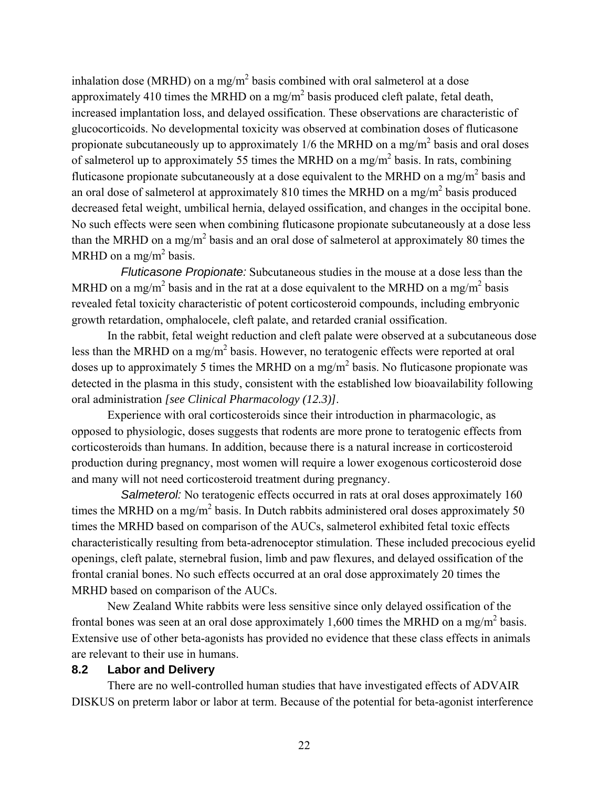<span id="page-21-0"></span>inhalation dose (MRHD) on a mg/m<sup>2</sup> basis combined with oral salmeterol at a dose approximately 410 times the MRHD on a mg/m<sup>2</sup> basis produced cleft palate, fetal death, increased implantation loss, and delayed ossification. These observations are characteristic of glucocorticoids. No developmental toxicity was observed at combination doses of fluticasone propionate subcutaneously up to approximately  $1/6$  the MRHD on a mg/m<sup>2</sup> basis and oral doses of salmeterol up to approximately 55 times the MRHD on a mg/m<sup>2</sup> basis. In rats, combining fluticasone propionate subcutaneously at a dose equivalent to the MRHD on a mg/m<sup>2</sup> basis and an oral dose of salmeterol at approximately 810 times the MRHD on a mg/m<sup>2</sup> basis produced decreased fetal weight, umbilical hernia, delayed ossification, and changes in the occipital bone. No such effects were seen when combining fluticasone propionate subcutaneously at a dose less than the MRHD on a mg/m<sup>2</sup> basis and an oral dose of salmeterol at approximately 80 times the MRHD on a mg/m<sup>2</sup> basis.

 *Fluticasone Propionate:* Subcutaneous studies in the mouse at a dose less than the MRHD on a mg/m<sup>2</sup> basis and in the rat at a dose equivalent to the MRHD on a mg/m<sup>2</sup> basis revealed fetal toxicity characteristic of potent corticosteroid compounds, including embryonic growth retardation, omphalocele, cleft palate, and retarded cranial ossification.

 In the rabbit, fetal weight reduction and cleft palate were observed at a subcutaneous dose less than the MRHD on a mg/m<sup>2</sup> basis. However, no teratogenic effects were reported at oral doses up to approximately 5 times the MRHD on a mg/m<sup>2</sup> basis. No fluticasone propionate was detected in the plasma in this study, consistent with the established low bioavailability following oral administration *[see Clinical Pharmacology (12.3)]*.

 Experience with oral corticosteroids since their introduction in pharmacologic, as opposed to physiologic, doses suggests that rodents are more prone to teratogenic effects from corticosteroids than humans. In addition, because there is a natural increase in corticosteroid production during pregnancy, most women will require a lower exogenous corticosteroid dose and many will not need corticosteroid treatment during pregnancy.

**Salmeterol:** No teratogenic effects occurred in rats at oral doses approximately 160 times the MRHD on a mg/m<sup>2</sup> basis. In Dutch rabbits administered oral doses approximately 50 times the MRHD based on comparison of the AUCs, salmeterol exhibited fetal toxic effects characteristically resulting from beta-adrenoceptor stimulation. These included precocious eyelid openings, cleft palate, sternebral fusion, limb and paw flexures, and delayed ossification of the frontal cranial bones. No such effects occurred at an oral dose approximately 20 times the MRHD based on comparison of the AUCs.

 New Zealand White rabbits were less sensitive since only delayed ossification of the frontal bones was seen at an oral dose approximately 1,600 times the MRHD on a mg/m<sup>2</sup> basis. Extensive use of other beta-agonists has provided no evidence that these class effects in animals are relevant to their use in humans.

#### **8.2 Labor and Delivery**

 There are no well-controlled human studies that have investigated effects of ADVAIR DISKUS on preterm labor or labor at term. Because of the potential for beta-agonist interference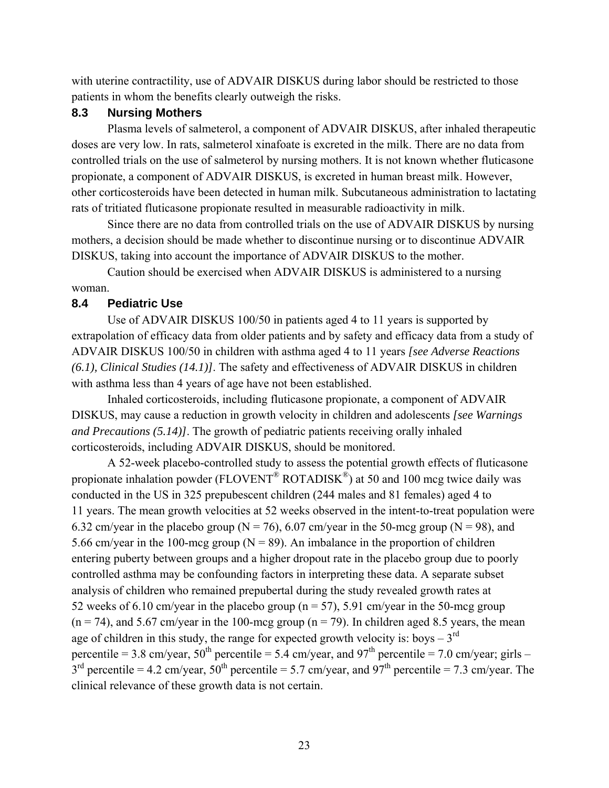<span id="page-22-0"></span>with uterine contractility, use of ADVAIR DISKUS during labor should be restricted to those patients in whom the benefits clearly outweigh the risks.

#### **8.3 Nursing Mothers**

 Plasma levels of salmeterol, a component of ADVAIR DISKUS, after inhaled therapeutic doses are very low. In rats, salmeterol xinafoate is excreted in the milk. There are no data from controlled trials on the use of salmeterol by nursing mothers. It is not known whether fluticasone propionate, a component of ADVAIR DISKUS, is excreted in human breast milk. However, other corticosteroids have been detected in human milk. Subcutaneous administration to lactating rats of tritiated fluticasone propionate resulted in measurable radioactivity in milk.

 Since there are no data from controlled trials on the use of ADVAIR DISKUS by nursing mothers, a decision should be made whether to discontinue nursing or to discontinue ADVAIR DISKUS, taking into account the importance of ADVAIR DISKUS to the mother.

 Caution should be exercised when ADVAIR DISKUS is administered to a nursing woman.

#### **8.4 Pediatric Use**

 Use of ADVAIR DISKUS 100/50 in patients aged 4 to 11 years is supported by extrapolation of efficacy data from older patients and by safety and efficacy data from a study of ADVAIR DISKUS 100/50 in children with asthma aged 4 to 11 years *[see Adverse Reactions (6.1), Clinical Studies (14.1)]*. The safety and effectiveness of ADVAIR DISKUS in children with asthma less than 4 years of age have not been established.

 Inhaled corticosteroids, including fluticasone propionate, a component of ADVAIR DISKUS, may cause a reduction in growth velocity in children and adolescents *[see Warnings and Precautions (5.14)]*. The growth of pediatric patients receiving orally inhaled corticosteroids, including ADVAIR DISKUS, should be monitored.

 A 52-week placebo-controlled study to assess the potential growth effects of fluticasone propionate inhalation powder (FLOVENT<sup>®</sup> ROTADISK<sup>®</sup>) at 50 and 100 mcg twice daily was conducted in the US in 325 prepubescent children (244 males and 81 females) aged 4 to 11 years. The mean growth velocities at 52 weeks observed in the intent-to-treat population were 6.32 cm/year in the placebo group ( $N = 76$ ), 6.07 cm/year in the 50-mcg group ( $N = 98$ ), and 5.66 cm/year in the 100-mcg group ( $N = 89$ ). An imbalance in the proportion of children entering puberty between groups and a higher dropout rate in the placebo group due to poorly controlled asthma may be confounding factors in interpreting these data. A separate subset analysis of children who remained prepubertal during the study revealed growth rates at 52 weeks of 6.10 cm/year in the placebo group ( $n = 57$ ), 5.91 cm/year in the 50-mcg group  $(n = 74)$ , and 5.67 cm/year in the 100-mcg group  $(n = 79)$ . In children aged 8.5 years, the mean age of children in this study, the range for expected growth velocity is: boys  $-3^{rd}$ percentile = 3.8 cm/year,  $50^{th}$  percentile = 5.4 cm/year, and  $97^{th}$  percentile = 7.0 cm/year; girls –  $3<sup>rd</sup>$  percentile = 4.2 cm/year,  $50<sup>th</sup>$  percentile = 5.7 cm/year, and 97<sup>th</sup> percentile = 7.3 cm/year. The clinical relevance of these growth data is not certain.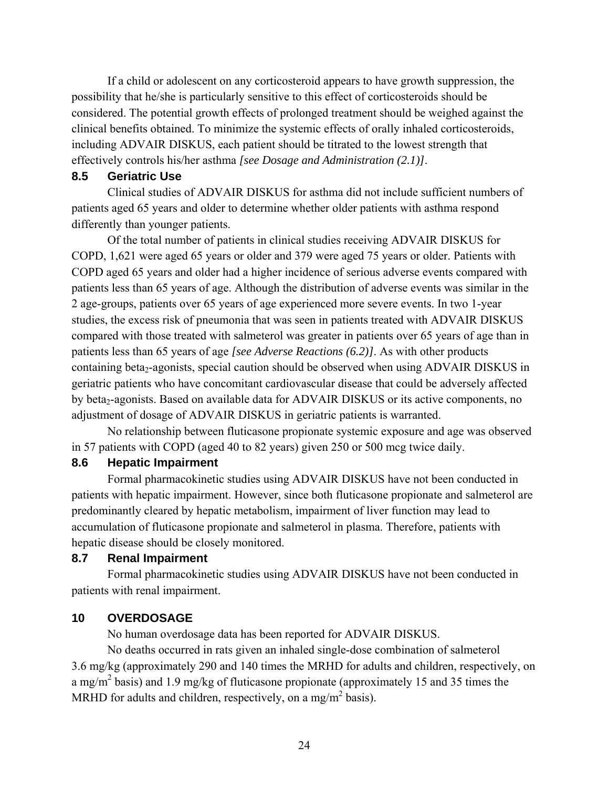<span id="page-23-0"></span> If a child or adolescent on any corticosteroid appears to have growth suppression, the possibility that he/she is particularly sensitive to this effect of corticosteroids should be considered. The potential growth effects of prolonged treatment should be weighed against the clinical benefits obtained. To minimize the systemic effects of orally inhaled corticosteroids, including ADVAIR DISKUS, each patient should be titrated to the lowest strength that effectively controls his/her asthma *[see Dosage and Administration (2.1)]*.

#### **8.5 Geriatric Use**

 Clinical studies of ADVAIR DISKUS for asthma did not include sufficient numbers of patients aged 65 years and older to determine whether older patients with asthma respond differently than younger patients.

 Of the total number of patients in clinical studies receiving ADVAIR DISKUS for COPD, 1,621 were aged 65 years or older and 379 were aged 75 years or older. Patients with COPD aged 65 years and older had a higher incidence of serious adverse events compared with patients less than 65 years of age. Although the distribution of adverse events was similar in the 2 age-groups, patients over 65 years of age experienced more severe events. In two 1-year studies, the excess risk of pneumonia that was seen in patients treated with ADVAIR DISKUS compared with those treated with salmeterol was greater in patients over 65 years of age than in patients less than 65 years of age *[see Adverse Reactions (6.2)]*. As with other products containing beta<sub>2</sub>-agonists, special caution should be observed when using ADVAIR DISKUS in geriatric patients who have concomitant cardiovascular disease that could be adversely affected by beta<sub>2</sub>-agonists. Based on available data for ADVAIR DISKUS or its active components, no adjustment of dosage of ADVAIR DISKUS in geriatric patients is warranted.

 No relationship between fluticasone propionate systemic exposure and age was observed in 57 patients with COPD (aged 40 to 82 years) given 250 or 500 mcg twice daily.

#### **8.6 Hepatic Impairment**

 Formal pharmacokinetic studies using ADVAIR DISKUS have not been conducted in patients with hepatic impairment. However, since both fluticasone propionate and salmeterol are predominantly cleared by hepatic metabolism, impairment of liver function may lead to accumulation of fluticasone propionate and salmeterol in plasma. Therefore, patients with hepatic disease should be closely monitored.

#### **8.7 Renal Impairment**

 Formal pharmacokinetic studies using ADVAIR DISKUS have not been conducted in patients with renal impairment.

#### **10 OVERDOSAGE**

No human overdosage data has been reported for ADVAIR DISKUS.

 No deaths occurred in rats given an inhaled single-dose combination of salmeterol 3.6 mg/kg (approximately 290 and 140 times the MRHD for adults and children, respectively, on a mg/m<sup>2</sup> basis) and 1.9 mg/kg of fluticasone propionate (approximately 15 and 35 times the MRHD for adults and children, respectively, on a mg/m<sup>2</sup> basis).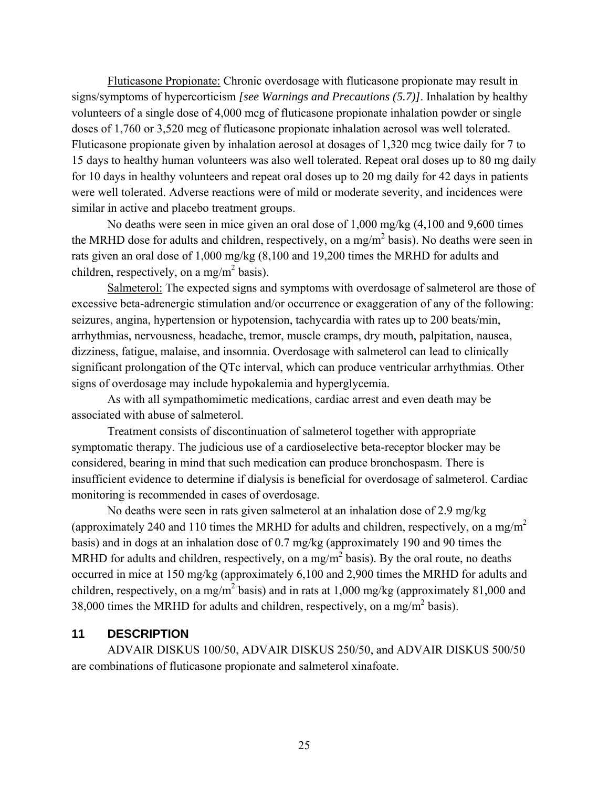<span id="page-24-0"></span>Fluticasone Propionate: Chronic overdosage with fluticasone propionate may result in signs/symptoms of hypercorticism *[see Warnings and Precautions (5.7)]*. Inhalation by healthy volunteers of a single dose of 4,000 mcg of fluticasone propionate inhalation powder or single doses of 1,760 or 3,520 mcg of fluticasone propionate inhalation aerosol was well tolerated. Fluticasone propionate given by inhalation aerosol at dosages of 1,320 mcg twice daily for 7 to 15 days to healthy human volunteers was also well tolerated. Repeat oral doses up to 80 mg daily for 10 days in healthy volunteers and repeat oral doses up to 20 mg daily for 42 days in patients were well tolerated. Adverse reactions were of mild or moderate severity, and incidences were similar in active and placebo treatment groups.

 No deaths were seen in mice given an oral dose of 1,000 mg/kg (4,100 and 9,600 times the MRHD dose for adults and children, respectively, on a mg/m<sup>2</sup> basis). No deaths were seen in rats given an oral dose of 1,000 mg/kg (8,100 and 19,200 times the MRHD for adults and children, respectively, on a mg/m<sup>2</sup> basis).

 Salmeterol: The expected signs and symptoms with overdosage of salmeterol are those of excessive beta-adrenergic stimulation and/or occurrence or exaggeration of any of the following: seizures, angina, hypertension or hypotension, tachycardia with rates up to 200 beats/min, arrhythmias, nervousness, headache, tremor, muscle cramps, dry mouth, palpitation, nausea, dizziness, fatigue, malaise, and insomnia. Overdosage with salmeterol can lead to clinically significant prolongation of the QTc interval, which can produce ventricular arrhythmias. Other signs of overdosage may include hypokalemia and hyperglycemia.

 As with all sympathomimetic medications, cardiac arrest and even death may be associated with abuse of salmeterol.

 Treatment consists of discontinuation of salmeterol together with appropriate symptomatic therapy. The judicious use of a cardioselective beta-receptor blocker may be considered, bearing in mind that such medication can produce bronchospasm. There is insufficient evidence to determine if dialysis is beneficial for overdosage of salmeterol. Cardiac monitoring is recommended in cases of overdosage.

 No deaths were seen in rats given salmeterol at an inhalation dose of 2.9 mg/kg (approximately 240 and 110 times the MRHD for adults and children, respectively, on a mg/m<sup>2</sup> basis) and in dogs at an inhalation dose of 0.7 mg/kg (approximately 190 and 90 times the MRHD for adults and children, respectively, on a mg/m<sup>2</sup> basis). By the oral route, no deaths occurred in mice at 150 mg/kg (approximately 6,100 and 2,900 times the MRHD for adults and children, respectively, on a mg/m<sup>2</sup> basis) and in rats at 1,000 mg/kg (approximately 81,000 and 38,000 times the MRHD for adults and children, respectively, on a mg/m<sup>2</sup> basis).

#### **11 DESCRIPTION**

 ADVAIR DISKUS 100/50, ADVAIR DISKUS 250/50, and ADVAIR DISKUS 500/50 are combinations of fluticasone propionate and salmeterol xinafoate.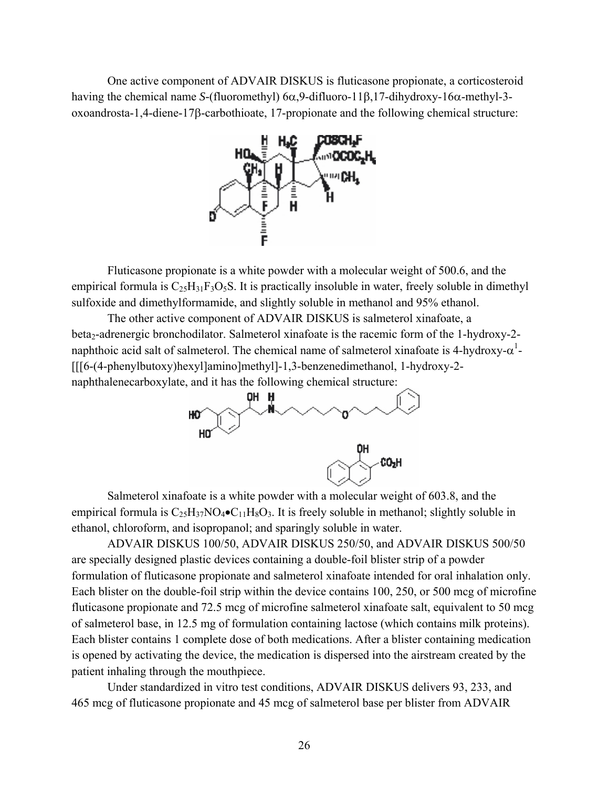One active component of ADVAIR DISKUS is fluticasone propionate, a corticosteroid having the chemical name *S-*(fluoromethyl) 6α,9-difluoro-11β,17-dihydroxy-16α-methyl-3 oxoandrosta-1,4-diene-17β-carbothioate, 17-propionate and the following chemical structure:



 Fluticasone propionate is a white powder with a molecular weight of 500.6, and the empirical formula is  $C_{25}H_{31}F_3O_5S$ . It is practically insoluble in water, freely soluble in dimethyl sulfoxide and dimethylformamide, and slightly soluble in methanol and 95% ethanol.

 The other active component of ADVAIR DISKUS is salmeterol xinafoate, a beta<sub>2</sub>-adrenergic bronchodilator. Salmeterol xinafoate is the racemic form of the 1-hydroxy-2naphthoic acid salt of salmeterol. The chemical name of salmeterol xinafoate is 4-hydroxy- $\alpha^1$ -[[[6-(4-phenylbutoxy)hexyl]amino]methyl]-1,3-benzenedimethanol, 1-hydroxy-2 naphthalenecarboxylate, and it has the following chemical structure:



 Salmeterol xinafoate is a white powder with a molecular weight of 603.8, and the empirical formula is  $C_{25}H_{37}NO_4 \bullet C_{11}H_8O_3$ . It is freely soluble in methanol; slightly soluble in ethanol, chloroform, and isopropanol; and sparingly soluble in water.

 ADVAIR DISKUS 100/50, ADVAIR DISKUS 250/50, and ADVAIR DISKUS 500/50 are specially designed plastic devices containing a double-foil blister strip of a powder formulation of fluticasone propionate and salmeterol xinafoate intended for oral inhalation only. Each blister on the double-foil strip within the device contains 100, 250, or 500 mcg of microfine fluticasone propionate and 72.5 mcg of microfine salmeterol xinafoate salt, equivalent to 50 mcg of salmeterol base, in 12.5 mg of formulation containing lactose (which contains milk proteins). Each blister contains 1 complete dose of both medications. After a blister containing medication is opened by activating the device, the medication is dispersed into the airstream created by the patient inhaling through the mouthpiece.

 Under standardized in vitro test conditions, ADVAIR DISKUS delivers 93, 233, and 465 mcg of fluticasone propionate and 45 mcg of salmeterol base per blister from ADVAIR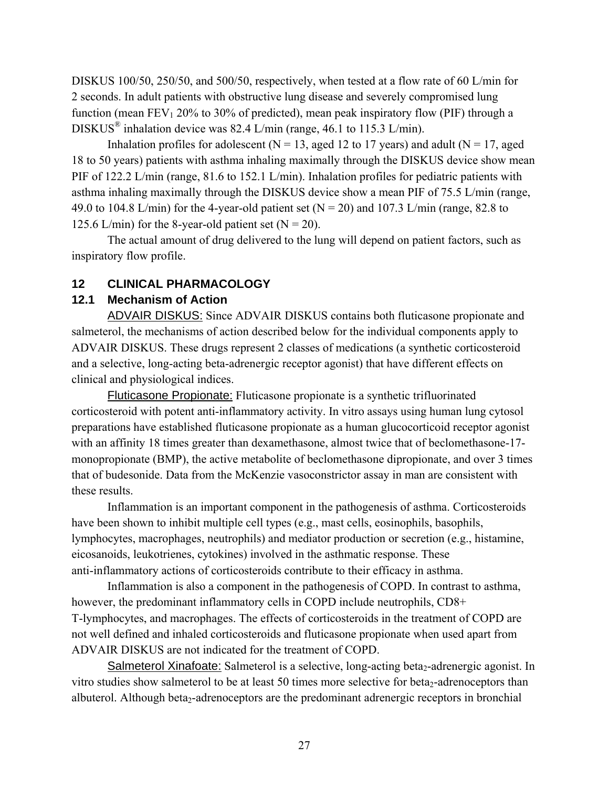<span id="page-26-0"></span>DISKUS 100/50, 250/50, and 500/50, respectively, when tested at a flow rate of 60 L/min for 2 seconds. In adult patients with obstructive lung disease and severely compromised lung function (mean  $FEV_1$  20% to 30% of predicted), mean peak inspiratory flow (PIF) through a DISKUS® inhalation device was 82.4 L/min (range, 46.1 to 115.3 L/min).

Inhalation profiles for adolescent ( $N = 13$ , aged 12 to 17 years) and adult ( $N = 17$ , aged 18 to 50 years) patients with asthma inhaling maximally through the DISKUS device show mean PIF of 122.2 L/min (range, 81.6 to 152.1 L/min). Inhalation profiles for pediatric patients with asthma inhaling maximally through the DISKUS device show a mean PIF of 75.5 L/min (range, 49.0 to 104.8 L/min) for the 4-year-old patient set ( $N = 20$ ) and 107.3 L/min (range, 82.8 to 125.6 L/min) for the 8-year-old patient set ( $N = 20$ ).

 The actual amount of drug delivered to the lung will depend on patient factors, such as inspiratory flow profile.

### **12 CLINICAL PHARMACOLOGY**

### **12.1 Mechanism of Action**

ADVAIR DISKUS: Since ADVAIR DISKUS contains both fluticasone propionate and salmeterol, the mechanisms of action described below for the individual components apply to ADVAIR DISKUS. These drugs represent 2 classes of medications (a synthetic corticosteroid and a selective, long-acting beta-adrenergic receptor agonist) that have different effects on clinical and physiological indices.

Fluticasone Propionate: Fluticasone propionate is a synthetic trifluorinated corticosteroid with potent anti-inflammatory activity. In vitro assays using human lung cytosol preparations have established fluticasone propionate as a human glucocorticoid receptor agonist with an affinity 18 times greater than dexamethasone, almost twice that of beclomethasone-17 monopropionate (BMP), the active metabolite of beclomethasone dipropionate, and over 3 times that of budesonide. Data from the McKenzie vasoconstrictor assay in man are consistent with these results.

 Inflammation is an important component in the pathogenesis of asthma. Corticosteroids have been shown to inhibit multiple cell types (e.g., mast cells, eosinophils, basophils, lymphocytes, macrophages, neutrophils) and mediator production or secretion (e.g., histamine, eicosanoids, leukotrienes, cytokines) involved in the asthmatic response. These anti-inflammatory actions of corticosteroids contribute to their efficacy in asthma.

 Inflammation is also a component in the pathogenesis of COPD. In contrast to asthma, however, the predominant inflammatory cells in COPD include neutrophils, CD8+ T-lymphocytes, and macrophages. The effects of corticosteroids in the treatment of COPD are not well defined and inhaled corticosteroids and fluticasone propionate when used apart from ADVAIR DISKUS are not indicated for the treatment of COPD.

Salmeterol Xinafoate: Salmeterol is a selective, long-acting beta<sub>2</sub>-adrenergic agonist. In vitro studies show salmeterol to be at least 50 times more selective for beta<sub>2</sub>-adrenoceptors than albuterol. Although beta<sub>2</sub>-adrenoceptors are the predominant adrenergic receptors in bronchial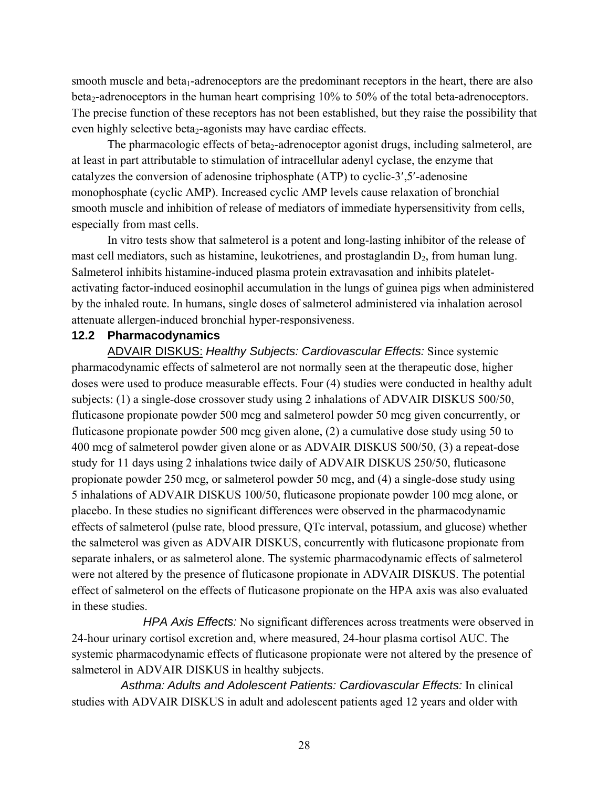<span id="page-27-0"></span>smooth muscle and beta<sub>1</sub>-adrenoceptors are the predominant receptors in the heart, there are also beta<sub>2</sub>-adrenoceptors in the human heart comprising  $10\%$  to 50% of the total beta-adrenoceptors. The precise function of these receptors has not been established, but they raise the possibility that even highly selective beta<sub>2</sub>-agonists may have cardiac effects.

The pharmacologic effects of beta<sub>2</sub>-adrenoceptor agonist drugs, including salmeterol, are at least in part attributable to stimulation of intracellular adenyl cyclase, the enzyme that catalyzes the conversion of adenosine triphosphate (ATP) to cyclic-3′,5′-adenosine monophosphate (cyclic AMP). Increased cyclic AMP levels cause relaxation of bronchial smooth muscle and inhibition of release of mediators of immediate hypersensitivity from cells, especially from mast cells.

 In vitro tests show that salmeterol is a potent and long-lasting inhibitor of the release of mast cell mediators, such as histamine, leukotrienes, and prostaglandin  $D_2$ , from human lung. Salmeterol inhibits histamine-induced plasma protein extravasation and inhibits plateletactivating factor-induced eosinophil accumulation in the lungs of guinea pigs when administered by the inhaled route. In humans, single doses of salmeterol administered via inhalation aerosol attenuate allergen-induced bronchial hyper-responsiveness.

### **12.2 Pharmacodynamics**

ADVAIR DISKUS: *Healthy Subjects: Cardiovascular Effects:* Since systemic pharmacodynamic effects of salmeterol are not normally seen at the therapeutic dose, higher doses were used to produce measurable effects. Four (4) studies were conducted in healthy adult subjects: (1) a single-dose crossover study using 2 inhalations of ADVAIR DISKUS 500/50, fluticasone propionate powder 500 mcg and salmeterol powder 50 mcg given concurrently, or fluticasone propionate powder 500 mcg given alone, (2) a cumulative dose study using 50 to 400 mcg of salmeterol powder given alone or as ADVAIR DISKUS 500/50, (3) a repeat-dose study for 11 days using 2 inhalations twice daily of ADVAIR DISKUS 250/50, fluticasone propionate powder 250 mcg, or salmeterol powder 50 mcg, and (4) a single-dose study using 5 inhalations of ADVAIR DISKUS 100/50, fluticasone propionate powder 100 mcg alone, or placebo. In these studies no significant differences were observed in the pharmacodynamic effects of salmeterol (pulse rate, blood pressure, QTc interval, potassium, and glucose) whether the salmeterol was given as ADVAIR DISKUS, concurrently with fluticasone propionate from separate inhalers, or as salmeterol alone. The systemic pharmacodynamic effects of salmeterol were not altered by the presence of fluticasone propionate in ADVAIR DISKUS. The potential effect of salmeterol on the effects of fluticasone propionate on the HPA axis was also evaluated in these studies.

 *HPA Axis Effects:* No significant differences across treatments were observed in 24-hour urinary cortisol excretion and, where measured, 24-hour plasma cortisol AUC. The systemic pharmacodynamic effects of fluticasone propionate were not altered by the presence of salmeterol in ADVAIR DISKUS in healthy subjects.

*Asthma: Adults and Adolescent Patients: Cardiovascular Effects:* In clinical studies with ADVAIR DISKUS in adult and adolescent patients aged 12 years and older with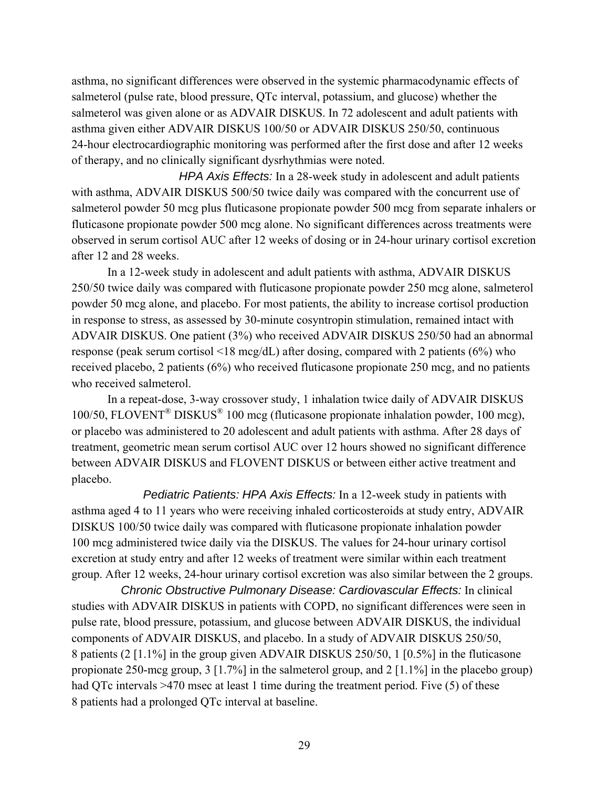asthma, no significant differences were observed in the systemic pharmacodynamic effects of salmeterol (pulse rate, blood pressure, QTc interval, potassium, and glucose) whether the salmeterol was given alone or as ADVAIR DISKUS. In 72 adolescent and adult patients with asthma given either ADVAIR DISKUS 100/50 or ADVAIR DISKUS 250/50, continuous 24-hour electrocardiographic monitoring was performed after the first dose and after 12 weeks of therapy, and no clinically significant dysrhythmias were noted.

 *HPA Axis Effects:* In a 28-week study in adolescent and adult patients with asthma, ADVAIR DISKUS 500/50 twice daily was compared with the concurrent use of salmeterol powder 50 mcg plus fluticasone propionate powder 500 mcg from separate inhalers or fluticasone propionate powder 500 mcg alone. No significant differences across treatments were observed in serum cortisol AUC after 12 weeks of dosing or in 24-hour urinary cortisol excretion after 12 and 28 weeks.

 In a 12-week study in adolescent and adult patients with asthma, ADVAIR DISKUS 250/50 twice daily was compared with fluticasone propionate powder 250 mcg alone, salmeterol powder 50 mcg alone, and placebo. For most patients, the ability to increase cortisol production in response to stress, as assessed by 30-minute cosyntropin stimulation, remained intact with ADVAIR DISKUS. One patient (3%) who received ADVAIR DISKUS 250/50 had an abnormal response (peak serum cortisol <18 mcg/dL) after dosing, compared with 2 patients (6%) who received placebo, 2 patients (6%) who received fluticasone propionate 250 mcg, and no patients who received salmeterol.

 In a repeat-dose, 3-way crossover study, 1 inhalation twice daily of ADVAIR DISKUS 100/50, FLOVENT® DISKUS® 100 mcg (fluticasone propionate inhalation powder, 100 mcg), or placebo was administered to 20 adolescent and adult patients with asthma. After 28 days of treatment, geometric mean serum cortisol AUC over 12 hours showed no significant difference between ADVAIR DISKUS and FLOVENT DISKUS or between either active treatment and placebo.

 *Pediatric Patients: HPA Axis Effects:* In a 12-week study in patients with asthma aged 4 to 11 years who were receiving inhaled corticosteroids at study entry, ADVAIR DISKUS 100/50 twice daily was compared with fluticasone propionate inhalation powder 100 mcg administered twice daily via the DISKUS. The values for 24-hour urinary cortisol excretion at study entry and after 12 weeks of treatment were similar within each treatment group. After 12 weeks, 24-hour urinary cortisol excretion was also similar between the 2 groups.

*Chronic Obstructive Pulmonary Disease: Cardiovascular Effects:* In clinical studies with ADVAIR DISKUS in patients with COPD, no significant differences were seen in pulse rate, blood pressure, potassium, and glucose between ADVAIR DISKUS, the individual components of ADVAIR DISKUS, and placebo. In a study of ADVAIR DISKUS 250/50, 8 patients (2 [1.1%] in the group given ADVAIR DISKUS 250/50, 1 [0.5%] in the fluticasone propionate 250-mcg group, 3 [1.7%] in the salmeterol group, and 2 [1.1%] in the placebo group) had OTc intervals >470 msec at least 1 time during the treatment period. Five (5) of these 8 patients had a prolonged QTc interval at baseline.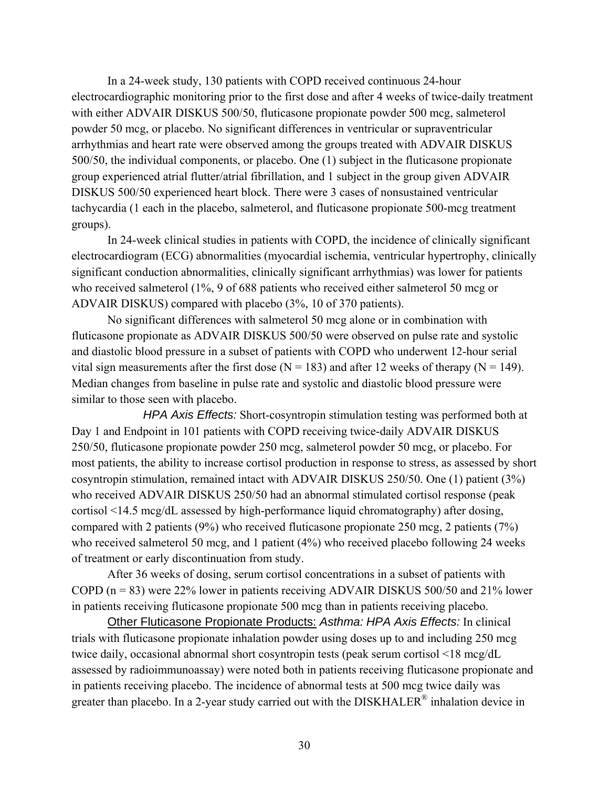In a 24-week study, 130 patients with COPD received continuous 24-hour electrocardiographic monitoring prior to the first dose and after 4 weeks of twice-daily treatment with either ADVAIR DISKUS 500/50, fluticasone propionate powder 500 mcg, salmeterol powder 50 mcg, or placebo. No significant differences in ventricular or supraventricular arrhythmias and heart rate were observed among the groups treated with ADVAIR DISKUS 500/50, the individual components, or placebo. One (1) subject in the fluticasone propionate group experienced atrial flutter/atrial fibrillation, and 1 subject in the group given ADVAIR DISKUS 500/50 experienced heart block. There were 3 cases of nonsustained ventricular tachycardia (1 each in the placebo, salmeterol, and fluticasone propionate 500-mcg treatment groups).

 In 24-week clinical studies in patients with COPD, the incidence of clinically significant electrocardiogram (ECG) abnormalities (myocardial ischemia, ventricular hypertrophy, clinically significant conduction abnormalities, clinically significant arrhythmias) was lower for patients who received salmeterol (1%, 9 of 688 patients who received either salmeterol 50 mcg or ADVAIR DISKUS) compared with placebo (3%, 10 of 370 patients).

 No significant differences with salmeterol 50 mcg alone or in combination with fluticasone propionate as ADVAIR DISKUS 500/50 were observed on pulse rate and systolic and diastolic blood pressure in a subset of patients with COPD who underwent 12-hour serial vital sign measurements after the first dose ( $N = 183$ ) and after 12 weeks of therapy ( $N = 149$ ). Median changes from baseline in pulse rate and systolic and diastolic blood pressure were similar to those seen with placebo.

 *HPA Axis Effects:* Short-cosyntropin stimulation testing was performed both at Day 1 and Endpoint in 101 patients with COPD receiving twice-daily ADVAIR DISKUS 250/50, fluticasone propionate powder 250 mcg, salmeterol powder 50 mcg, or placebo. For most patients, the ability to increase cortisol production in response to stress, as assessed by short cosyntropin stimulation, remained intact with ADVAIR DISKUS 250/50. One (1) patient (3%) who received ADVAIR DISKUS 250/50 had an abnormal stimulated cortisol response (peak cortisol <14.5 mcg/dL assessed by high-performance liquid chromatography) after dosing, compared with 2 patients (9%) who received fluticasone propionate 250 mcg, 2 patients (7%) who received salmeterol 50 mcg, and 1 patient (4%) who received placebo following 24 weeks of treatment or early discontinuation from study.

 After 36 weeks of dosing, serum cortisol concentrations in a subset of patients with COPD (n = 83) were 22% lower in patients receiving ADVAIR DISKUS 500/50 and 21% lower in patients receiving fluticasone propionate 500 mcg than in patients receiving placebo.

Other Fluticasone Propionate Products: *Asthma: HPA Axis Effects:* In clinical trials with fluticasone propionate inhalation powder using doses up to and including 250 mcg twice daily, occasional abnormal short cosyntropin tests (peak serum cortisol <18 mcg/dL assessed by radioimmunoassay) were noted both in patients receiving fluticasone propionate and in patients receiving placebo. The incidence of abnormal tests at 500 mcg twice daily was greater than placebo. In a 2-year study carried out with the DISKHALER® inhalation device in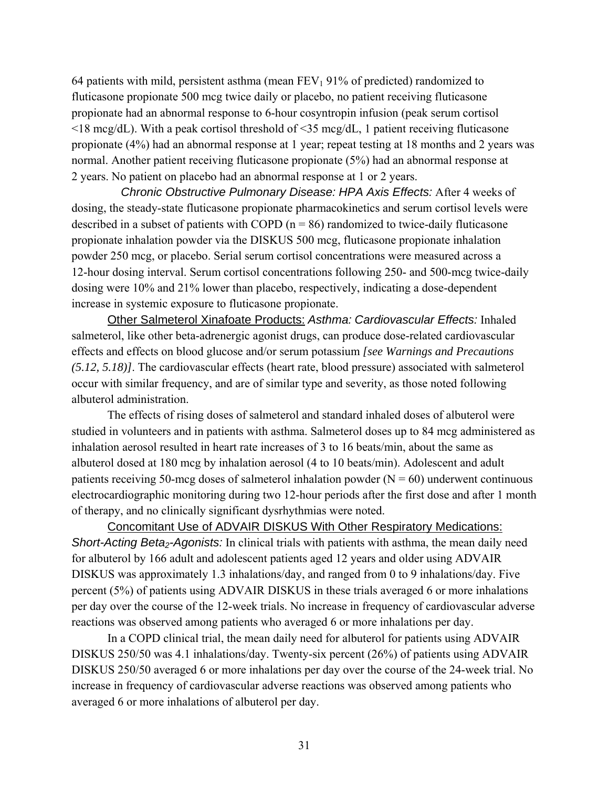64 patients with mild, persistent asthma (mean  $FEV<sub>1</sub>$  91% of predicted) randomized to fluticasone propionate 500 mcg twice daily or placebo, no patient receiving fluticasone propionate had an abnormal response to 6-hour cosyntropin infusion (peak serum cortisol  $\leq$ 18 mcg/dL). With a peak cortisol threshold of  $\leq$ 35 mcg/dL, 1 patient receiving fluticasone propionate (4%) had an abnormal response at 1 year; repeat testing at 18 months and 2 years was normal. Another patient receiving fluticasone propionate (5%) had an abnormal response at 2 years. No patient on placebo had an abnormal response at 1 or 2 years.

 *Chronic Obstructive Pulmonary Disease: HPA Axis Effects:* After 4 weeks of dosing, the steady-state fluticasone propionate pharmacokinetics and serum cortisol levels were described in a subset of patients with COPD ( $n = 86$ ) randomized to twice-daily fluticasone propionate inhalation powder via the DISKUS 500 mcg, fluticasone propionate inhalation powder 250 mcg, or placebo. Serial serum cortisol concentrations were measured across a 12-hour dosing interval. Serum cortisol concentrations following 250- and 500-mcg twice-daily dosing were 10% and 21% lower than placebo, respectively, indicating a dose-dependent increase in systemic exposure to fluticasone propionate.

Other Salmeterol Xinafoate Products: *Asthma: Cardiovascular Effects:* Inhaled salmeterol, like other beta-adrenergic agonist drugs, can produce dose-related cardiovascular effects and effects on blood glucose and/or serum potassium *[see Warnings and Precautions (5.12, 5.18)]*. The cardiovascular effects (heart rate, blood pressure) associated with salmeterol occur with similar frequency, and are of similar type and severity, as those noted following albuterol administration.

 The effects of rising doses of salmeterol and standard inhaled doses of albuterol were studied in volunteers and in patients with asthma. Salmeterol doses up to 84 mcg administered as inhalation aerosol resulted in heart rate increases of 3 to 16 beats/min, about the same as albuterol dosed at 180 mcg by inhalation aerosol (4 to 10 beats/min). Adolescent and adult patients receiving 50-mcg doses of salmeterol inhalation powder  $(N = 60)$  underwent continuous electrocardiographic monitoring during two 12-hour periods after the first dose and after 1 month of therapy, and no clinically significant dysrhythmias were noted.

 Concomitant Use of ADVAIR DISKUS With Other Respiratory Medications: *Short-Acting Beta<sub>2</sub>-Agonists:* In clinical trials with patients with asthma, the mean daily need for albuterol by 166 adult and adolescent patients aged 12 years and older using ADVAIR DISKUS was approximately 1.3 inhalations/day, and ranged from 0 to 9 inhalations/day. Five percent (5%) of patients using ADVAIR DISKUS in these trials averaged 6 or more inhalations per day over the course of the 12-week trials. No increase in frequency of cardiovascular adverse reactions was observed among patients who averaged 6 or more inhalations per day.

 In a COPD clinical trial, the mean daily need for albuterol for patients using ADVAIR DISKUS 250/50 was 4.1 inhalations/day. Twenty-six percent (26%) of patients using ADVAIR DISKUS 250/50 averaged 6 or more inhalations per day over the course of the 24-week trial. No increase in frequency of cardiovascular adverse reactions was observed among patients who averaged 6 or more inhalations of albuterol per day.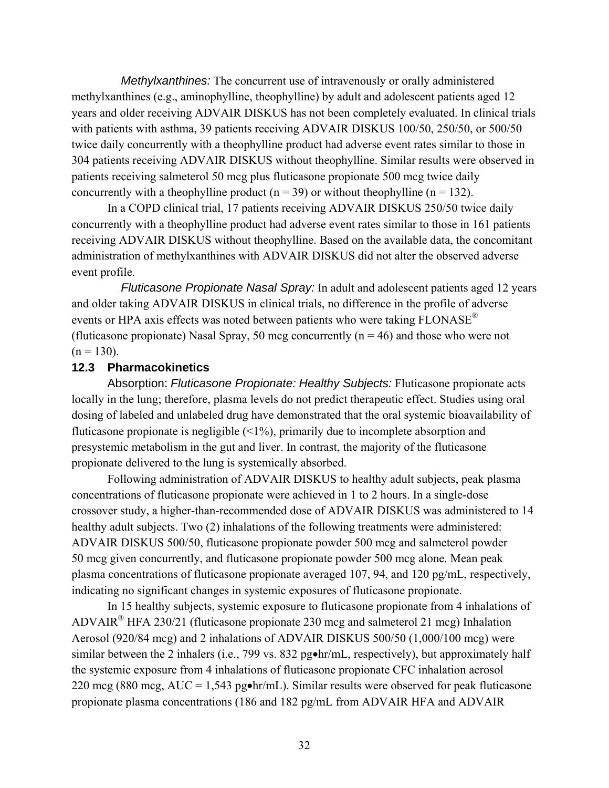<span id="page-31-0"></span> *Methylxanthines:* The concurrent use of intravenously or orally administered methylxanthines (e.g., aminophylline, theophylline) by adult and adolescent patients aged 12 years and older receiving ADVAIR DISKUS has not been completely evaluated. In clinical trials with patients with asthma, 39 patients receiving ADVAIR DISKUS 100/50, 250/50, or 500/50 twice daily concurrently with a theophylline product had adverse event rates similar to those in 304 patients receiving ADVAIR DISKUS without theophylline. Similar results were observed in patients receiving salmeterol 50 mcg plus fluticasone propionate 500 mcg twice daily concurrently with a theophylline product  $(n = 39)$  or without theophylline  $(n = 132)$ .

 In a COPD clinical trial, 17 patients receiving ADVAIR DISKUS 250/50 twice daily concurrently with a theophylline product had adverse event rates similar to those in 161 patients receiving ADVAIR DISKUS without theophylline. Based on the available data, the concomitant administration of methylxanthines with ADVAIR DISKUS did not alter the observed adverse event profile.

*Fluticasone Propionate Nasal Spray:* In adult and adolescent patients aged 12 years and older taking ADVAIR DISKUS in clinical trials, no difference in the profile of adverse events or HPA axis effects was noted between patients who were taking FLONASE® (fluticasone propionate) Nasal Spray, 50 mcg concurrently  $(n = 46)$  and those who were not  $(n = 130)$ .

### **12.3 Pharmacokinetics**

Absorption: *Fluticasone Propionate: Healthy Subjects:* Fluticasone propionate acts locally in the lung; therefore, plasma levels do not predict therapeutic effect. Studies using oral dosing of labeled and unlabeled drug have demonstrated that the oral systemic bioavailability of fluticasone propionate is negligible  $(\leq 1\%)$ , primarily due to incomplete absorption and presystemic metabolism in the gut and liver. In contrast, the majority of the fluticasone propionate delivered to the lung is systemically absorbed.

 Following administration of ADVAIR DISKUS to healthy adult subjects, peak plasma concentrations of fluticasone propionate were achieved in 1 to 2 hours. In a single-dose crossover study, a higher-than-recommended dose of ADVAIR DISKUS was administered to 14 healthy adult subjects. Two (2) inhalations of the following treatments were administered: ADVAIR DISKUS 500/50, fluticasone propionate powder 500 mcg and salmeterol powder 50 mcg given concurrently, and fluticasone propionate powder 500 mcg alone*.* Mean peak plasma concentrations of fluticasone propionate averaged 107, 94, and 120 pg/mL, respectively, indicating no significant changes in systemic exposures of fluticasone propionate.

 In 15 healthy subjects, systemic exposure to fluticasone propionate from 4 inhalations of ADVAIR® HFA 230/21 (fluticasone propionate 230 mcg and salmeterol 21 mcg) Inhalation Aerosol (920/84 mcg) and 2 inhalations of ADVAIR DISKUS 500/50 (1,000/100 mcg) were similar between the 2 inhalers (i.e., 799 vs. 832 pg•hr/mL, respectively), but approximately half the systemic exposure from 4 inhalations of fluticasone propionate CFC inhalation aerosol 220 mcg (880 mcg, AUC = 1,543 pg•hr/mL). Similar results were observed for peak fluticasone propionate plasma concentrations (186 and 182 pg/mL from ADVAIR HFA and ADVAIR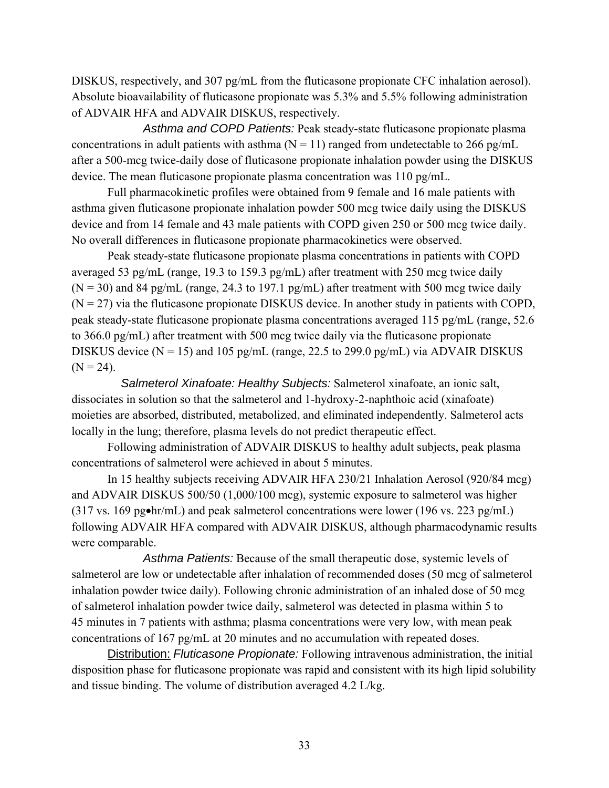DISKUS, respectively, and 307 pg/mL from the fluticasone propionate CFC inhalation aerosol). Absolute bioavailability of fluticasone propionate was 5.3% and 5.5% following administration of ADVAIR HFA and ADVAIR DISKUS, respectively.

 *Asthma and COPD Patients:* Peak steady-state fluticasone propionate plasma concentrations in adult patients with asthma  $(N = 11)$  ranged from undetectable to 266 pg/mL after a 500-mcg twice-daily dose of fluticasone propionate inhalation powder using the DISKUS device. The mean fluticasone propionate plasma concentration was 110 pg/mL.

Full pharmacokinetic profiles were obtained from 9 female and 16 male patients with asthma given fluticasone propionate inhalation powder 500 mcg twice daily using the DISKUS device and from 14 female and 43 male patients with COPD given 250 or 500 mcg twice daily. No overall differences in fluticasone propionate pharmacokinetics were observed.

 Peak steady-state fluticasone propionate plasma concentrations in patients with COPD averaged 53 pg/mL (range, 19.3 to 159.3 pg/mL) after treatment with 250 mcg twice daily  $(N = 30)$  and 84 pg/mL (range, 24.3 to 197.1 pg/mL) after treatment with 500 mcg twice daily  $(N = 27)$  via the fluticasone propionate DISKUS device. In another study in patients with COPD, peak steady-state fluticasone propionate plasma concentrations averaged 115 pg/mL (range, 52.6 to 366.0 pg/mL) after treatment with 500 mcg twice daily via the fluticasone propionate DISKUS device ( $N = 15$ ) and 105 pg/mL (range, 22.5 to 299.0 pg/mL) via ADVAIR DISKUS  $(N = 24)$ .

 *Salmeterol Xinafoate: Healthy Subjects:* Salmeterol xinafoate, an ionic salt, dissociates in solution so that the salmeterol and 1-hydroxy-2-naphthoic acid (xinafoate) moieties are absorbed, distributed, metabolized, and eliminated independently. Salmeterol acts locally in the lung; therefore, plasma levels do not predict therapeutic effect.

 Following administration of ADVAIR DISKUS to healthy adult subjects, peak plasma concentrations of salmeterol were achieved in about 5 minutes.

 In 15 healthy subjects receiving ADVAIR HFA 230/21 Inhalation Aerosol (920/84 mcg) and ADVAIR DISKUS 500/50 (1,000/100 mcg), systemic exposure to salmeterol was higher (317 vs. 169 pg•hr/mL) and peak salmeterol concentrations were lower (196 vs. 223 pg/mL) following ADVAIR HFA compared with ADVAIR DISKUS, although pharmacodynamic results were comparable.

 *Asthma Patients:* Because of the small therapeutic dose, systemic levels of salmeterol are low or undetectable after inhalation of recommended doses (50 mcg of salmeterol inhalation powder twice daily). Following chronic administration of an inhaled dose of 50 mcg of salmeterol inhalation powder twice daily, salmeterol was detected in plasma within 5 to 45 minutes in 7 patients with asthma; plasma concentrations were very low, with mean peak concentrations of 167 pg/mL at 20 minutes and no accumulation with repeated doses.

Distribution: *Fluticasone Propionate:* Following intravenous administration, the initial disposition phase for fluticasone propionate was rapid and consistent with its high lipid solubility and tissue binding. The volume of distribution averaged 4.2 L/kg.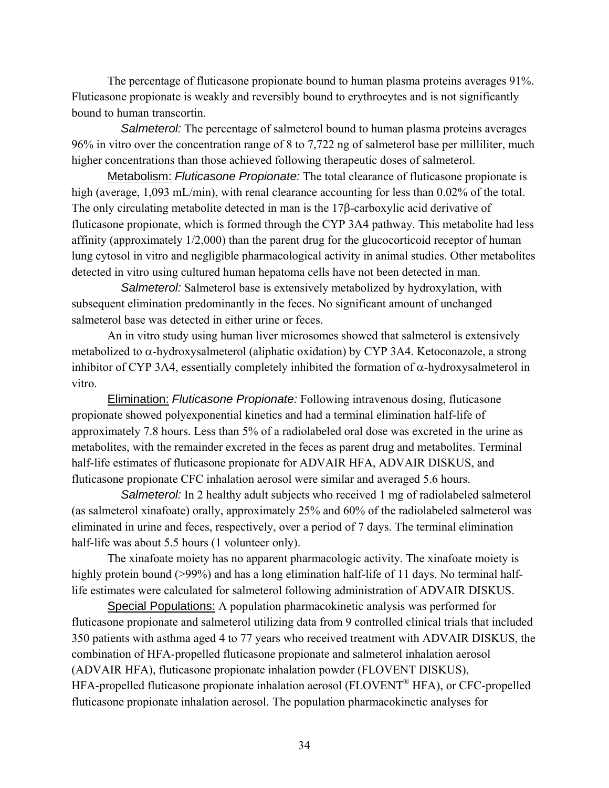The percentage of fluticasone propionate bound to human plasma proteins averages 91%. Fluticasone propionate is weakly and reversibly bound to erythrocytes and is not significantly bound to human transcortin.

 *Salmeterol:* The percentage of salmeterol bound to human plasma proteins averages 96% in vitro over the concentration range of 8 to 7,722 ng of salmeterol base per milliliter, much higher concentrations than those achieved following therapeutic doses of salmeterol.

Metabolism: *Fluticasone Propionate:* The total clearance of fluticasone propionate is high (average, 1,093 mL/min), with renal clearance accounting for less than 0.02% of the total. The only circulating metabolite detected in man is the 17β-carboxylic acid derivative of fluticasone propionate, which is formed through the CYP 3A4 pathway. This metabolite had less affinity (approximately 1/2,000) than the parent drug for the glucocorticoid receptor of human lung cytosol in vitro and negligible pharmacological activity in animal studies. Other metabolites detected in vitro using cultured human hepatoma cells have not been detected in man.

 *Salmeterol:* Salmeterol base is extensively metabolized by hydroxylation, with subsequent elimination predominantly in the feces. No significant amount of unchanged salmeterol base was detected in either urine or feces.

 An in vitro study using human liver microsomes showed that salmeterol is extensively metabolized to  $\alpha$ -hydroxysalmeterol (aliphatic oxidation) by CYP 3A4. Ketoconazole, a strong inhibitor of CYP 3A4, essentially completely inhibited the formation of  $\alpha$ -hydroxysalmeterol in vitro.

Elimination: *Fluticasone Propionate:* Following intravenous dosing, fluticasone propionate showed polyexponential kinetics and had a terminal elimination half-life of approximately 7.8 hours. Less than 5% of a radiolabeled oral dose was excreted in the urine as metabolites, with the remainder excreted in the feces as parent drug and metabolites. Terminal half-life estimates of fluticasone propionate for ADVAIR HFA, ADVAIR DISKUS, and fluticasone propionate CFC inhalation aerosol were similar and averaged 5.6 hours.

 *Salmeterol:* In 2 healthy adult subjects who received 1 mg of radiolabeled salmeterol (as salmeterol xinafoate) orally, approximately 25% and 60% of the radiolabeled salmeterol was eliminated in urine and feces, respectively, over a period of 7 days. The terminal elimination half-life was about 5.5 hours (1 volunteer only).

 The xinafoate moiety has no apparent pharmacologic activity. The xinafoate moiety is highly protein bound (>99%) and has a long elimination half-life of 11 days. No terminal halflife estimates were calculated for salmeterol following administration of ADVAIR DISKUS.

Special Populations: A population pharmacokinetic analysis was performed for fluticasone propionate and salmeterol utilizing data from 9 controlled clinical trials that included 350 patients with asthma aged 4 to 77 years who received treatment with ADVAIR DISKUS, the combination of HFA-propelled fluticasone propionate and salmeterol inhalation aerosol (ADVAIR HFA), fluticasone propionate inhalation powder (FLOVENT DISKUS), HFA-propelled fluticasone propionate inhalation aerosol (FLOVENT<sup>®</sup> HFA), or CFC-propelled fluticasone propionate inhalation aerosol. The population pharmacokinetic analyses for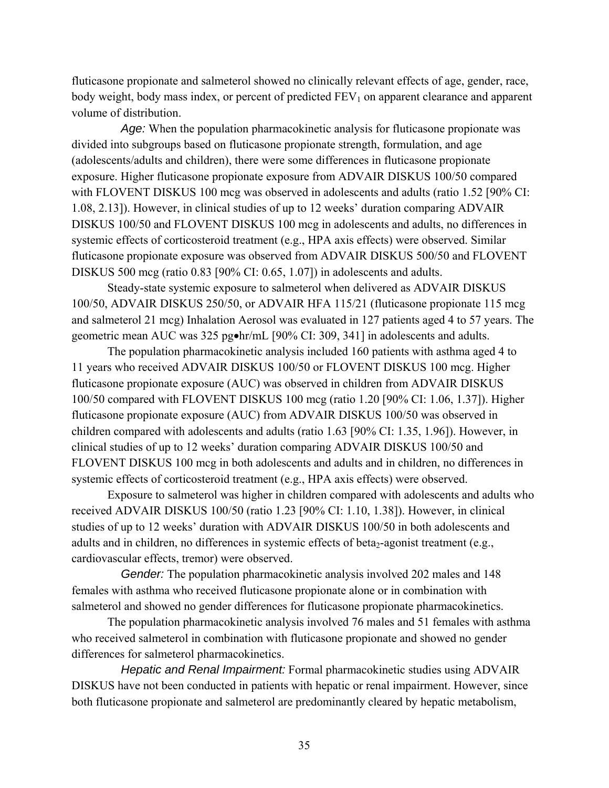fluticasone propionate and salmeterol showed no clinically relevant effects of age, gender, race, body weight, body mass index, or percent of predicted  $FEV<sub>1</sub>$  on apparent clearance and apparent volume of distribution.

 *Age:* When the population pharmacokinetic analysis for fluticasone propionate was divided into subgroups based on fluticasone propionate strength, formulation, and age (adolescents/adults and children), there were some differences in fluticasone propionate exposure. Higher fluticasone propionate exposure from ADVAIR DISKUS 100/50 compared with FLOVENT DISKUS 100 mcg was observed in adolescents and adults (ratio 1.52 [90% CI: 1.08, 2.13]). However, in clinical studies of up to 12 weeks' duration comparing ADVAIR DISKUS 100/50 and FLOVENT DISKUS 100 mcg in adolescents and adults, no differences in systemic effects of corticosteroid treatment (e.g., HPA axis effects) were observed. Similar fluticasone propionate exposure was observed from ADVAIR DISKUS 500/50 and FLOVENT DISKUS 500 mcg (ratio 0.83 [90% CI: 0.65, 1.07]) in adolescents and adults.

 Steady-state systemic exposure to salmeterol when delivered as ADVAIR DISKUS 100/50, ADVAIR DISKUS 250/50, or ADVAIR HFA 115/21 (fluticasone propionate 115 mcg and salmeterol 21 mcg) Inhalation Aerosol was evaluated in 127 patients aged 4 to 57 years. The geometric mean AUC was 325 pg•hr/mL [90% CI: 309, 341] in adolescents and adults.

 The population pharmacokinetic analysis included 160 patients with asthma aged 4 to 11 years who received ADVAIR DISKUS 100/50 or FLOVENT DISKUS 100 mcg. Higher fluticasone propionate exposure (AUC) was observed in children from ADVAIR DISKUS 100/50 compared with FLOVENT DISKUS 100 mcg (ratio 1.20 [90% CI: 1.06, 1.37]). Higher fluticasone propionate exposure (AUC) from ADVAIR DISKUS 100/50 was observed in children compared with adolescents and adults (ratio 1.63 [90% CI: 1.35, 1.96]). However, in clinical studies of up to 12 weeks' duration comparing ADVAIR DISKUS 100/50 and FLOVENT DISKUS 100 mcg in both adolescents and adults and in children, no differences in systemic effects of corticosteroid treatment (e.g., HPA axis effects) were observed.

 Exposure to salmeterol was higher in children compared with adolescents and adults who received ADVAIR DISKUS 100/50 (ratio 1.23 [90% CI: 1.10, 1.38]). However, in clinical studies of up to 12 weeks' duration with ADVAIR DISKUS 100/50 in both adolescents and adults and in children, no differences in systemic effects of beta<sub>2</sub>-agonist treatment (e.g., cardiovascular effects, tremor) were observed.

 *Gender:* The population pharmacokinetic analysis involved 202 males and 148 females with asthma who received fluticasone propionate alone or in combination with salmeterol and showed no gender differences for fluticasone propionate pharmacokinetics.

 The population pharmacokinetic analysis involved 76 males and 51 females with asthma who received salmeterol in combination with fluticasone propionate and showed no gender differences for salmeterol pharmacokinetics.

 *Hepatic and Renal Impairment:* Formal pharmacokinetic studies using ADVAIR DISKUS have not been conducted in patients with hepatic or renal impairment. However, since both fluticasone propionate and salmeterol are predominantly cleared by hepatic metabolism,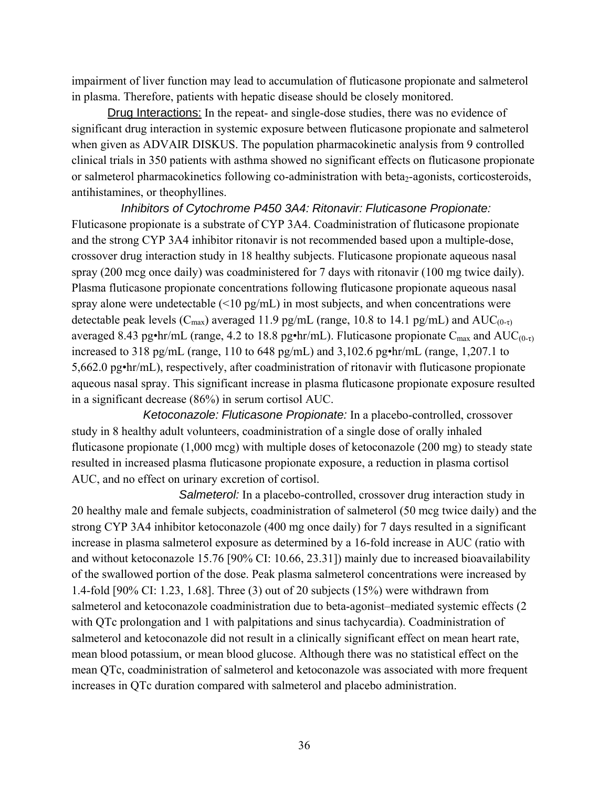impairment of liver function may lead to accumulation of fluticasone propionate and salmeterol in plasma. Therefore, patients with hepatic disease should be closely monitored.

Drug Interactions: In the repeat- and single-dose studies, there was no evidence of significant drug interaction in systemic exposure between fluticasone propionate and salmeterol when given as ADVAIR DISKUS. The population pharmacokinetic analysis from 9 controlled clinical trials in 350 patients with asthma showed no significant effects on fluticasone propionate or salmeterol pharmacokinetics following co-administration with beta<sub>2</sub>-agonists, corticosteroids, antihistamines, or theophyllines.

 *Inhibitors of Cytochrome P450 3A4: Ritonavir: Fluticasone Propionate:* Fluticasone propionate is a substrate of CYP 3A4. Coadministration of fluticasone propionate and the strong CYP 3A4 inhibitor ritonavir is not recommended based upon a multiple-dose, crossover drug interaction study in 18 healthy subjects. Fluticasone propionate aqueous nasal spray (200 mcg once daily) was coadministered for 7 days with ritonavir (100 mg twice daily). Plasma fluticasone propionate concentrations following fluticasone propionate aqueous nasal spray alone were undetectable  $(\leq 10 \text{ pg/mL})$  in most subjects, and when concentrations were detectable peak levels ( $C_{\text{max}}$ ) averaged 11.9 pg/mL (range, 10.8 to 14.1 pg/mL) and  $AUC_{(0-\tau)}$ averaged 8.43 pg•hr/mL (range, 4.2 to 18.8 pg•hr/mL). Fluticasone propionate C<sub>max</sub> and AUC<sub>(0-τ)</sub> increased to 318 pg/mL (range, 110 to 648 pg/mL) and 3,102.6 pg•hr/mL (range, 1,207.1 to 5,662.0 pg•hr/mL), respectively, after coadministration of ritonavir with fluticasone propionate aqueous nasal spray. This significant increase in plasma fluticasone propionate exposure resulted in a significant decrease (86%) in serum cortisol AUC.

 *Ketoconazole: Fluticasone Propionate:* In a placebo-controlled, crossover study in 8 healthy adult volunteers, coadministration of a single dose of orally inhaled fluticasone propionate (1,000 mcg) with multiple doses of ketoconazole (200 mg) to steady state resulted in increased plasma fluticasone propionate exposure, a reduction in plasma cortisol AUC, and no effect on urinary excretion of cortisol.

 *Salmeterol:* In a placebo-controlled, crossover drug interaction study in 20 healthy male and female subjects, coadministration of salmeterol (50 mcg twice daily) and the strong CYP 3A4 inhibitor ketoconazole (400 mg once daily) for 7 days resulted in a significant increase in plasma salmeterol exposure as determined by a 16-fold increase in AUC (ratio with and without ketoconazole 15.76 [90% CI: 10.66, 23.31]) mainly due to increased bioavailability of the swallowed portion of the dose. Peak plasma salmeterol concentrations were increased by 1.4-fold [90% CI: 1.23, 1.68]. Three (3) out of 20 subjects (15%) were withdrawn from salmeterol and ketoconazole coadministration due to beta-agonist–mediated systemic effects (2 with QTc prolongation and 1 with palpitations and sinus tachycardia). Coadministration of salmeterol and ketoconazole did not result in a clinically significant effect on mean heart rate, mean blood potassium, or mean blood glucose. Although there was no statistical effect on the mean QTc, coadministration of salmeterol and ketoconazole was associated with more frequent increases in QTc duration compared with salmeterol and placebo administration.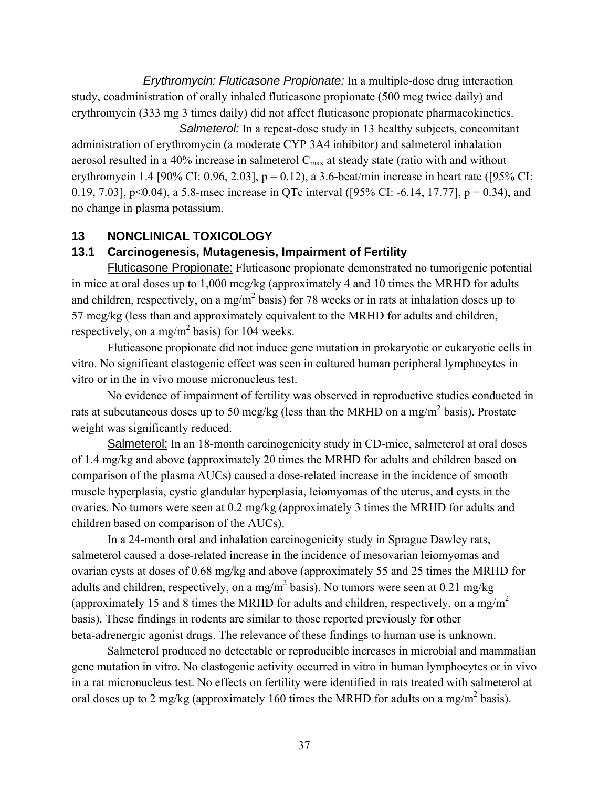<span id="page-36-0"></span> *Erythromycin: Fluticasone Propionate:* In a multiple-dose drug interaction study, coadministration of orally inhaled fluticasone propionate (500 mcg twice daily) and erythromycin (333 mg 3 times daily) did not affect fluticasone propionate pharmacokinetics.

 *Salmeterol:* In a repeat-dose study in 13 healthy subjects, concomitant administration of erythromycin (a moderate CYP 3A4 inhibitor) and salmeterol inhalation aerosol resulted in a 40% increase in salmeterol  $C_{\text{max}}$  at steady state (ratio with and without erythromycin 1.4 [90% CI: 0.96, 2.03],  $p = 0.12$ ), a 3.6-beat/min increase in heart rate ([95% CI: 0.19, 7.03], p<0.04), a 5.8-msec increase in QTc interval ([95% CI: -6.14, 17.77], p = 0.34), and no change in plasma potassium.

#### **13 NONCLINICAL TOXICOLOGY**

#### **13.1 Carcinogenesis, Mutagenesis, Impairment of Fertility**

Fluticasone Propionate: Fluticasone propionate demonstrated no tumorigenic potential in mice at oral doses up to 1,000 mcg/kg (approximately 4 and 10 times the MRHD for adults and children, respectively, on a mg/m<sup>2</sup> basis) for 78 weeks or in rats at inhalation doses up to 57 mcg/kg (less than and approximately equivalent to the MRHD for adults and children, respectively, on a mg/m<sup>2</sup> basis) for 104 weeks.

 Fluticasone propionate did not induce gene mutation in prokaryotic or eukaryotic cells in vitro. No significant clastogenic effect was seen in cultured human peripheral lymphocytes in vitro or in the in vivo mouse micronucleus test.

 No evidence of impairment of fertility was observed in reproductive studies conducted in rats at subcutaneous doses up to 50 mcg/kg (less than the MRHD on a mg/m<sup>2</sup> basis). Prostate weight was significantly reduced.

Salmeterol: In an 18-month carcinogenicity study in CD-mice, salmeterol at oral doses of 1.4 mg/kg and above (approximately 20 times the MRHD for adults and children based on comparison of the plasma AUCs) caused a dose-related increase in the incidence of smooth muscle hyperplasia, cystic glandular hyperplasia, leiomyomas of the uterus, and cysts in the ovaries. No tumors were seen at 0.2 mg/kg (approximately 3 times the MRHD for adults and children based on comparison of the AUCs).

 In a 24-month oral and inhalation carcinogenicity study in Sprague Dawley rats, salmeterol caused a dose-related increase in the incidence of mesovarian leiomyomas and ovarian cysts at doses of 0.68 mg/kg and above (approximately 55 and 25 times the MRHD for adults and children, respectively, on a mg/m<sup>2</sup> basis). No tumors were seen at 0.21 mg/kg (approximately 15 and 8 times the MRHD for adults and children, respectively, on a mg/m<sup>2</sup> basis). These findings in rodents are similar to those reported previously for other beta-adrenergic agonist drugs. The relevance of these findings to human use is unknown.

 Salmeterol produced no detectable or reproducible increases in microbial and mammalian gene mutation in vitro. No clastogenic activity occurred in vitro in human lymphocytes or in vivo in a rat micronucleus test. No effects on fertility were identified in rats treated with salmeterol at oral doses up to 2 mg/kg (approximately 160 times the MRHD for adults on a mg/m<sup>2</sup> basis).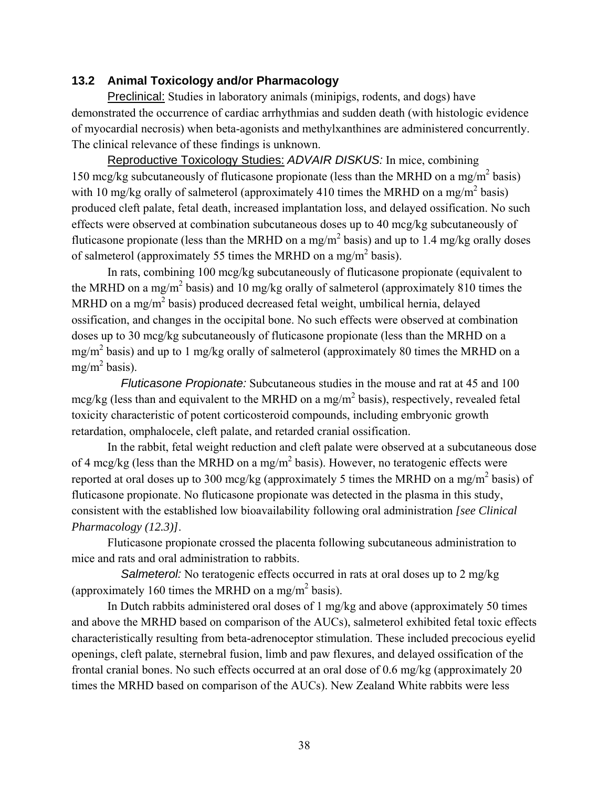### <span id="page-37-0"></span>**13.2 Animal Toxicology and/or Pharmacology**

Preclinical: Studies in laboratory animals (minipigs, rodents, and dogs) have demonstrated the occurrence of cardiac arrhythmias and sudden death (with histologic evidence of myocardial necrosis) when beta-agonists and methylxanthines are administered concurrently. The clinical relevance of these findings is unknown.

Reproductive Toxicology Studies: *ADVAIR DISKUS:* In mice, combining 150 mcg/kg subcutaneously of fluticasone propionate (less than the MRHD on a mg/m<sup>2</sup> basis) with 10 mg/kg orally of salmeterol (approximately 410 times the MRHD on a mg/m<sup>2</sup> basis) produced cleft palate, fetal death, increased implantation loss, and delayed ossification. No such effects were observed at combination subcutaneous doses up to 40 mcg/kg subcutaneously of fluticasone propionate (less than the MRHD on a mg/m<sup>2</sup> basis) and up to 1.4 mg/kg orally doses of salmeterol (approximately 55 times the MRHD on a mg/m<sup>2</sup> basis).

 In rats, combining 100 mcg/kg subcutaneously of fluticasone propionate (equivalent to the MRHD on a mg/m<sup>2</sup> basis) and 10 mg/kg orally of salmeterol (approximately 810 times the MRHD on a mg/m<sup>2</sup> basis) produced decreased fetal weight, umbilical hernia, delayed ossification, and changes in the occipital bone. No such effects were observed at combination doses up to 30 mcg/kg subcutaneously of fluticasone propionate (less than the MRHD on a  $mg/m<sup>2</sup>$  basis) and up to 1 mg/kg orally of salmeterol (approximately 80 times the MRHD on a  $mg/m^2$  basis).

 *Fluticasone Propionate:* Subcutaneous studies in the mouse and rat at 45 and 100 mcg/kg (less than and equivalent to the MRHD on a mg/m<sup>2</sup> basis), respectively, revealed fetal toxicity characteristic of potent corticosteroid compounds, including embryonic growth retardation, omphalocele, cleft palate, and retarded cranial ossification.

 In the rabbit, fetal weight reduction and cleft palate were observed at a subcutaneous dose of 4 mcg/kg (less than the MRHD on a mg/m<sup>2</sup> basis). However, no teratogenic effects were reported at oral doses up to 300 mcg/kg (approximately 5 times the MRHD on a mg/m<sup>2</sup> basis) of fluticasone propionate. No fluticasone propionate was detected in the plasma in this study, consistent with the established low bioavailability following oral administration *[see Clinical Pharmacology (12.3)]*.

 Fluticasone propionate crossed the placenta following subcutaneous administration to mice and rats and oral administration to rabbits.

 *Salmeterol:* No teratogenic effects occurred in rats at oral doses up to 2 mg/kg (approximately 160 times the MRHD on a mg/m<sup>2</sup> basis).

 In Dutch rabbits administered oral doses of 1 mg/kg and above (approximately 50 times and above the MRHD based on comparison of the AUCs), salmeterol exhibited fetal toxic effects characteristically resulting from beta-adrenoceptor stimulation. These included precocious eyelid openings, cleft palate, sternebral fusion, limb and paw flexures, and delayed ossification of the frontal cranial bones. No such effects occurred at an oral dose of 0.6 mg/kg (approximately 20 times the MRHD based on comparison of the AUCs). New Zealand White rabbits were less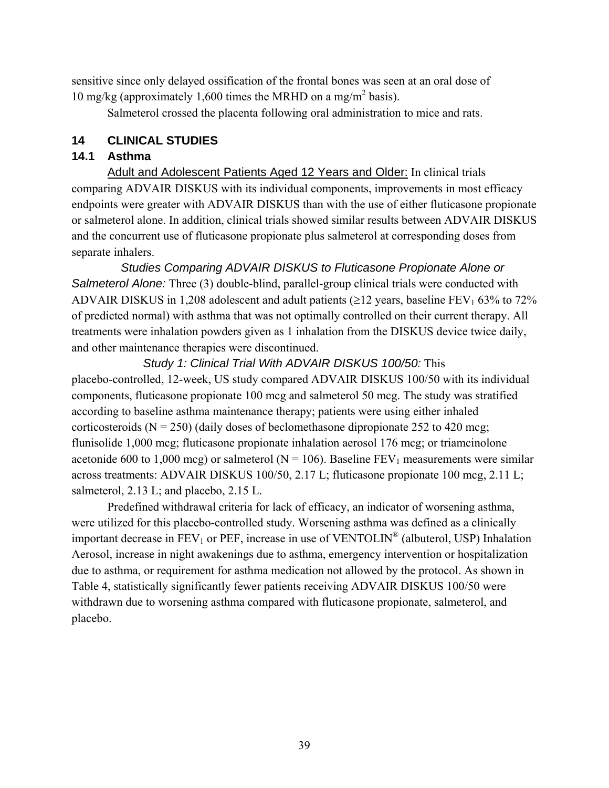<span id="page-38-0"></span>sensitive since only delayed ossification of the frontal bones was seen at an oral dose of 10 mg/kg (approximately 1,600 times the MRHD on a mg/m<sup>2</sup> basis).

Salmeterol crossed the placenta following oral administration to mice and rats.

#### **14 CLINICAL STUDIES**

#### **14.1 Asthma**

Adult and Adolescent Patients Aged 12 Years and Older: In clinical trials comparing ADVAIR DISKUS with its individual components, improvements in most efficacy endpoints were greater with ADVAIR DISKUS than with the use of either fluticasone propionate or salmeterol alone. In addition, clinical trials showed similar results between ADVAIR DISKUS and the concurrent use of fluticasone propionate plus salmeterol at corresponding doses from separate inhalers.

*Studies Comparing ADVAIR DISKUS to Fluticasone Propionate Alone or Salmeterol Alone:* Three (3) double-blind, parallel-group clinical trials were conducted with ADVAIR DISKUS in 1,208 adolescent and adult patients ( $\geq$ 12 years, baseline FEV<sub>1</sub> 63% to 72% of predicted normal) with asthma that was not optimally controlled on their current therapy. All treatments were inhalation powders given as 1 inhalation from the DISKUS device twice daily, and other maintenance therapies were discontinued.

 *Study 1: Clinical Trial With ADVAIR DISKUS 100/50:* This placebo-controlled, 12-week, US study compared ADVAIR DISKUS 100/50 with its individual components, fluticasone propionate 100 mcg and salmeterol 50 mcg. The study was stratified according to baseline asthma maintenance therapy; patients were using either inhaled corticosteroids  $(N = 250)$  (daily doses of beclomethasone dipropionate 252 to 420 mcg; flunisolide 1,000 mcg; fluticasone propionate inhalation aerosol 176 mcg; or triamcinolone acetonide 600 to 1,000 mcg) or salmeterol ( $N = 106$ ). Baseline FEV<sub>1</sub> measurements were similar across treatments: ADVAIR DISKUS 100/50, 2.17 L; fluticasone propionate 100 mcg, 2.11 L; salmeterol, 2.13 L; and placebo, 2.15 L.

 Predefined withdrawal criteria for lack of efficacy, an indicator of worsening asthma, were utilized for this placebo-controlled study. Worsening asthma was defined as a clinically important decrease in  $FEV_1$  or PEF, increase in use of VENTOLIN<sup>®</sup> (albuterol, USP) Inhalation Aerosol, increase in night awakenings due to asthma, emergency intervention or hospitalization due to asthma, or requirement for asthma medication not allowed by the protocol. As shown in Table 4, statistically significantly fewer patients receiving ADVAIR DISKUS 100/50 were withdrawn due to worsening asthma compared with fluticasone propionate, salmeterol, and placebo.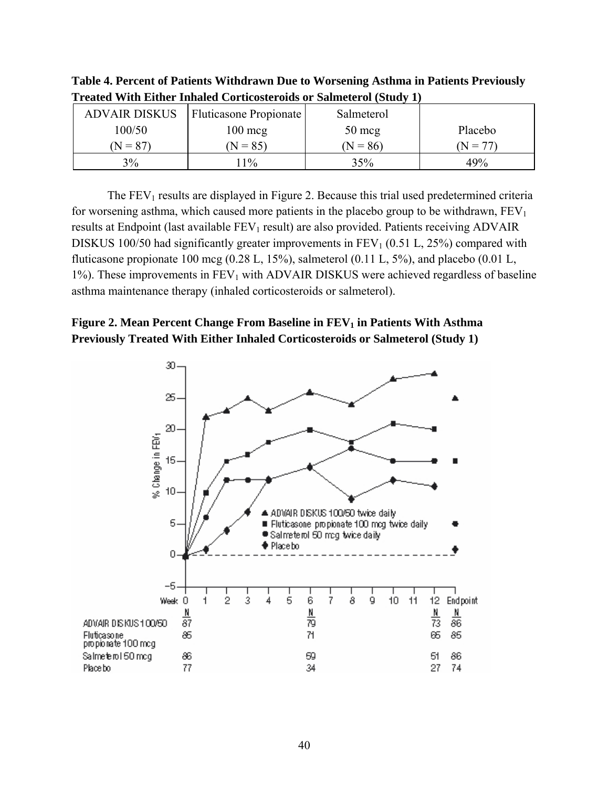**Table 4. Percent of Patients Withdrawn Due to Worsening Asthma in Patients Previously Treated With Either Inhaled Corticosteroids or Salmeterol (Study 1)** 

| <b>ADVAIR DISKUS</b> | Fluticasone Propionate | Salmeterol      |            |
|----------------------|------------------------|-----------------|------------|
| 100/50               | $100 \text{ mg}$       | $50 \text{~mg}$ | Placebo    |
| $N = 87$             | $(N = 85)$             | $(N = 86)$      | $(N = 77)$ |
| 3%                   | $1\%$                  | 35%             | 49%        |

The  $FEV<sub>1</sub>$  results are displayed in Figure 2. Because this trial used predetermined criteria for worsening asthma, which caused more patients in the placebo group to be withdrawn,  $FEV<sub>1</sub>$ results at Endpoint (last available  $FEV<sub>1</sub>$  result) are also provided. Patients receiving ADVAIR DISKUS 100/50 had significantly greater improvements in  $FEV<sub>1</sub>$  (0.51 L, 25%) compared with fluticasone propionate 100 mcg (0.28 L, 15%), salmeterol (0.11 L, 5%), and placebo (0.01 L, 1%). These improvements in  $FEV<sub>1</sub>$  with ADVAIR DISKUS were achieved regardless of baseline asthma maintenance therapy (inhaled corticosteroids or salmeterol).

**Figure 2. Mean Percent Change From Baseline in FEV<sub>1</sub> in Patients With Asthma Previously Treated With Either Inhaled Corticosteroids or Salmeterol (Study 1)** 

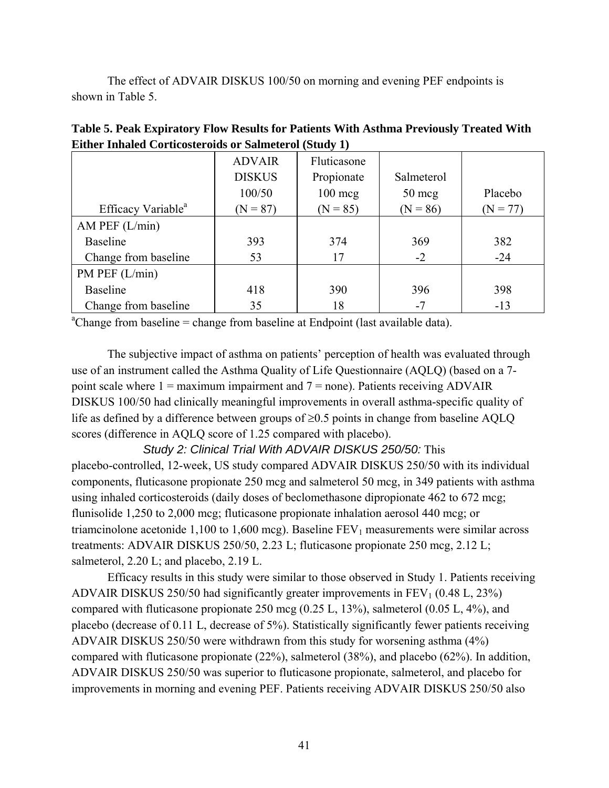The effect of ADVAIR DISKUS 100/50 on morning and evening PEF endpoints is shown in Table 5.

|                                                                                             | <b>ADVAIR</b> | Fluticasone      |                  |            |  |
|---------------------------------------------------------------------------------------------|---------------|------------------|------------------|------------|--|
|                                                                                             | <b>DISKUS</b> | Propionate       | Salmeterol       |            |  |
|                                                                                             | 100/50        | $100 \text{ mg}$ | $50 \text{ mcg}$ | Placebo    |  |
| Efficacy Variable <sup>a</sup>                                                              | $(N = 87)$    | $(N = 85)$       | $(N = 86)$       | $(N = 77)$ |  |
| AM PEF $(L/min)$                                                                            |               |                  |                  |            |  |
| <b>Baseline</b>                                                                             | 393           | 374              | 369              | 382        |  |
| Change from baseline                                                                        | 53            | 17               | $-2$             | $-24$      |  |
| PM PEF (L/min)                                                                              |               |                  |                  |            |  |
| <b>Baseline</b>                                                                             | 418           | 390              | 396              | 398        |  |
| Change from baseline                                                                        | 35            | 18               | $-7$             | $-13$      |  |
| <sup>a</sup> Change from baseline = change from baseline at Endpoint (last available data). |               |                  |                  |            |  |

**Table 5. Peak Expiratory Flow Results for Patients With Asthma Previously Treated With Either Inhaled Corticosteroids or Salmeterol (Study 1)** 

 The subjective impact of asthma on patients' perception of health was evaluated through use of an instrument called the Asthma Quality of Life Questionnaire (AQLQ) (based on a 7 point scale where  $1 =$  maximum impairment and  $7 =$  none). Patients receiving ADVAIR DISKUS 100/50 had clinically meaningful improvements in overall asthma-specific quality of life as defined by a difference between groups of ≥0.5 points in change from baseline AQLQ scores (difference in AQLQ score of 1.25 compared with placebo).

*Study 2: Clinical Trial With ADVAIR DISKUS 250/50:* This

placebo-controlled, 12-week, US study compared ADVAIR DISKUS 250/50 with its individual components, fluticasone propionate 250 mcg and salmeterol 50 mcg, in 349 patients with asthma using inhaled corticosteroids (daily doses of beclomethasone dipropionate 462 to 672 mcg; flunisolide 1,250 to 2,000 mcg; fluticasone propionate inhalation aerosol 440 mcg; or triamcinolone acetonide 1,100 to 1,600 mcg). Baseline  $FEV<sub>1</sub>$  measurements were similar across treatments: ADVAIR DISKUS 250/50, 2.23 L; fluticasone propionate 250 mcg, 2.12 L; salmeterol, 2.20 L; and placebo, 2.19 L.

 Efficacy results in this study were similar to those observed in Study 1. Patients receiving ADVAIR DISKUS 250/50 had significantly greater improvements in  $FEV<sub>1</sub>$  (0.48 L, 23%) compared with fluticasone propionate 250 mcg (0.25 L, 13%), salmeterol (0.05 L, 4%), and placebo (decrease of 0.11 L, decrease of 5%). Statistically significantly fewer patients receiving ADVAIR DISKUS 250/50 were withdrawn from this study for worsening asthma (4%) compared with fluticasone propionate (22%), salmeterol (38%), and placebo (62%). In addition, ADVAIR DISKUS 250/50 was superior to fluticasone propionate, salmeterol, and placebo for improvements in morning and evening PEF. Patients receiving ADVAIR DISKUS 250/50 also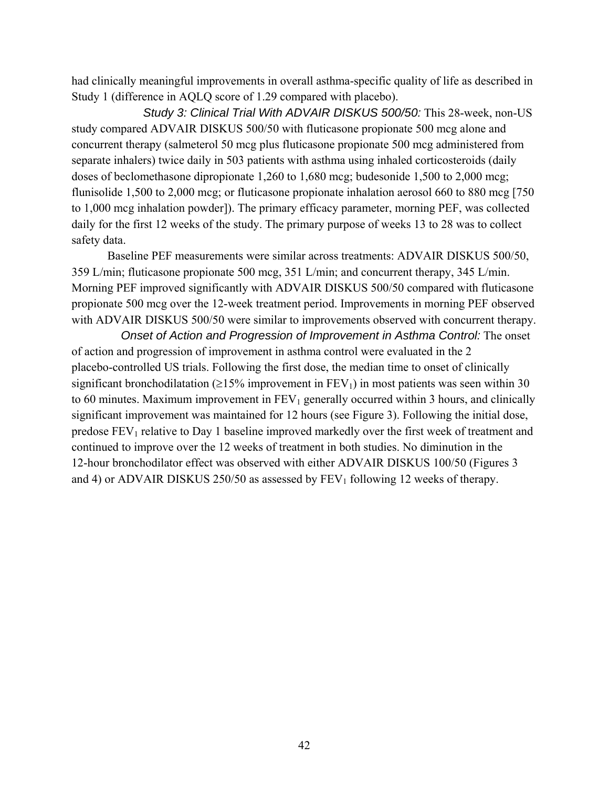had clinically meaningful improvements in overall asthma-specific quality of life as described in Study 1 (difference in AQLQ score of 1.29 compared with placebo).

 *Study 3: Clinical Trial With ADVAIR DISKUS 500/50:* This 28-week, non-US study compared ADVAIR DISKUS 500/50 with fluticasone propionate 500 mcg alone and concurrent therapy (salmeterol 50 mcg plus fluticasone propionate 500 mcg administered from separate inhalers) twice daily in 503 patients with asthma using inhaled corticosteroids (daily doses of beclomethasone dipropionate 1,260 to 1,680 mcg; budesonide 1,500 to 2,000 mcg; flunisolide 1,500 to 2,000 mcg; or fluticasone propionate inhalation aerosol 660 to 880 mcg [750 to 1,000 mcg inhalation powder]). The primary efficacy parameter, morning PEF, was collected daily for the first 12 weeks of the study. The primary purpose of weeks 13 to 28 was to collect safety data.

 Baseline PEF measurements were similar across treatments: ADVAIR DISKUS 500/50, 359 L/min; fluticasone propionate 500 mcg, 351 L/min; and concurrent therapy, 345 L/min. Morning PEF improved significantly with ADVAIR DISKUS 500/50 compared with fluticasone propionate 500 mcg over the 12-week treatment period. Improvements in morning PEF observed with ADVAIR DISKUS 500/50 were similar to improvements observed with concurrent therapy.

 *Onset of Action and Progression of Improvement in Asthma Control:* The onset of action and progression of improvement in asthma control were evaluated in the 2 placebo-controlled US trials. Following the first dose, the median time to onset of clinically significant bronchodilatation ( $\geq$ 15% improvement in FEV<sub>1</sub>) in most patients was seen within 30 to 60 minutes. Maximum improvement in  $FEV<sub>1</sub>$  generally occurred within 3 hours, and clinically significant improvement was maintained for 12 hours (see Figure 3). Following the initial dose, predose FEV<sub>1</sub> relative to Day 1 baseline improved markedly over the first week of treatment and continued to improve over the 12 weeks of treatment in both studies. No diminution in the 12-hour bronchodilator effect was observed with either ADVAIR DISKUS 100/50 (Figures 3 and 4) or ADVAIR DISKUS 250/50 as assessed by  $FEV<sub>1</sub>$  following 12 weeks of therapy.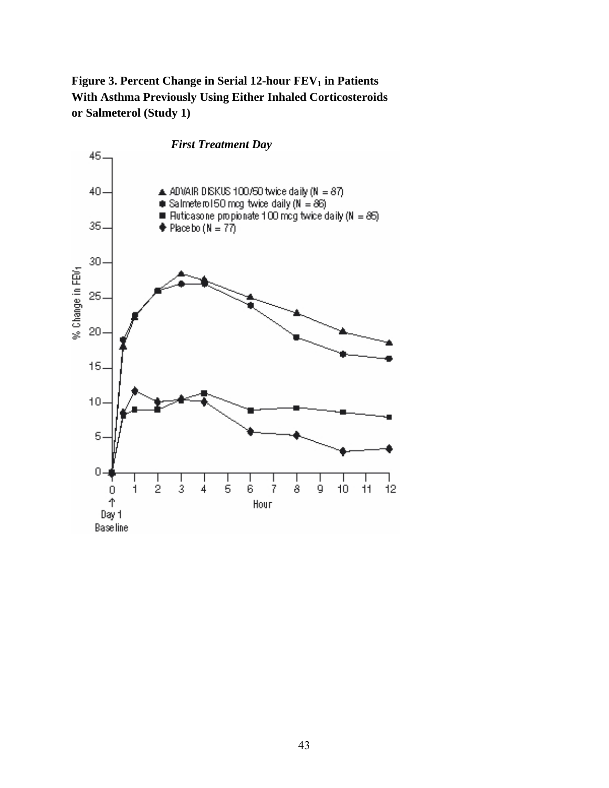Figure 3. Percent Change in Serial 12-hour FEV<sub>1</sub> in Patients **With Asthma Previously Using Either Inhaled Corticosteroids or Salmeterol (Study 1)** 

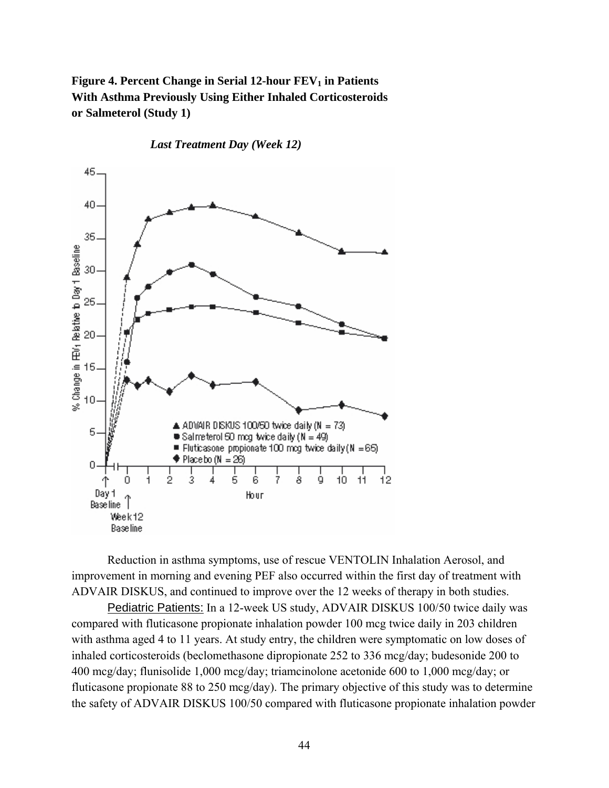# **Figure 4. Percent Change in Serial 12-hour FEV<sub>1</sub> in Patients With Asthma Previously Using Either Inhaled Corticosteroids or Salmeterol (Study 1)**



*Last Treatment Day (Week 12)* 

 Reduction in asthma symptoms, use of rescue VENTOLIN Inhalation Aerosol, and improvement in morning and evening PEF also occurred within the first day of treatment with ADVAIR DISKUS, and continued to improve over the 12 weeks of therapy in both studies.

Pediatric Patients: In a 12-week US study, ADVAIR DISKUS 100/50 twice daily was compared with fluticasone propionate inhalation powder 100 mcg twice daily in 203 children with asthma aged 4 to 11 years. At study entry, the children were symptomatic on low doses of inhaled corticosteroids (beclomethasone dipropionate 252 to 336 mcg/day; budesonide 200 to 400 mcg/day; flunisolide 1,000 mcg/day; triamcinolone acetonide 600 to 1,000 mcg/day; or fluticasone propionate 88 to 250 mcg/day). The primary objective of this study was to determine the safety of ADVAIR DISKUS 100/50 compared with fluticasone propionate inhalation powder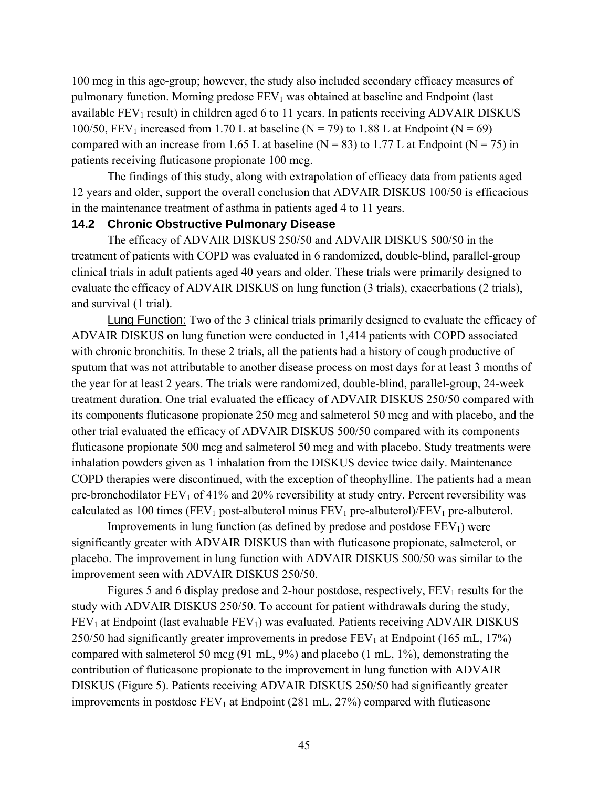<span id="page-44-0"></span>100 mcg in this age-group; however, the study also included secondary efficacy measures of pulmonary function. Morning predose  $FEV<sub>1</sub>$  was obtained at baseline and Endpoint (last available  $FEV<sub>1</sub>$  result) in children aged 6 to 11 years. In patients receiving ADVAIR DISKUS 100/50, FEV<sub>1</sub> increased from 1.70 L at baseline (N = 79) to 1.88 L at Endpoint (N = 69) compared with an increase from 1.65 L at baseline ( $N = 83$ ) to 1.77 L at Endpoint ( $N = 75$ ) in patients receiving fluticasone propionate 100 mcg.

 The findings of this study, along with extrapolation of efficacy data from patients aged 12 years and older, support the overall conclusion that ADVAIR DISKUS 100/50 is efficacious in the maintenance treatment of asthma in patients aged 4 to 11 years.

#### **14.2 Chronic Obstructive Pulmonary Disease**

 The efficacy of ADVAIR DISKUS 250/50 and ADVAIR DISKUS 500/50 in the treatment of patients with COPD was evaluated in 6 randomized, double-blind, parallel-group clinical trials in adult patients aged 40 years and older. These trials were primarily designed to evaluate the efficacy of ADVAIR DISKUS on lung function (3 trials), exacerbations (2 trials), and survival (1 trial).

Lung Function: Two of the 3 clinical trials primarily designed to evaluate the efficacy of ADVAIR DISKUS on lung function were conducted in 1,414 patients with COPD associated with chronic bronchitis. In these 2 trials, all the patients had a history of cough productive of sputum that was not attributable to another disease process on most days for at least 3 months of the year for at least 2 years. The trials were randomized, double-blind, parallel-group, 24-week treatment duration. One trial evaluated the efficacy of ADVAIR DISKUS 250/50 compared with its components fluticasone propionate 250 mcg and salmeterol 50 mcg and with placebo, and the other trial evaluated the efficacy of ADVAIR DISKUS 500/50 compared with its components fluticasone propionate 500 mcg and salmeterol 50 mcg and with placebo. Study treatments were inhalation powders given as 1 inhalation from the DISKUS device twice daily. Maintenance COPD therapies were discontinued, with the exception of theophylline. The patients had a mean pre-bronchodilator  $FEV_1$  of 41% and 20% reversibility at study entry. Percent reversibility was calculated as 100 times (FEV<sub>1</sub> post-albuterol minus FEV<sub>1</sub> pre-albuterol)/FEV<sub>1</sub> pre-albuterol.

Improvements in lung function (as defined by predose and postdose  $FEV<sub>1</sub>$ ) were significantly greater with ADVAIR DISKUS than with fluticasone propionate, salmeterol, or placebo. The improvement in lung function with ADVAIR DISKUS 500/50 was similar to the improvement seen with ADVAIR DISKUS 250/50.

Figures 5 and 6 display predose and 2-hour postdose, respectively,  $FEV<sub>1</sub>$  results for the study with ADVAIR DISKUS 250/50. To account for patient withdrawals during the study,  $FEV<sub>1</sub>$  at Endpoint (last evaluable  $FEV<sub>1</sub>$ ) was evaluated. Patients receiving ADVAIR DISKUS 250/50 had significantly greater improvements in predose  $FEV<sub>1</sub>$  at Endpoint (165 mL, 17%) compared with salmeterol 50 mcg (91 mL, 9%) and placebo (1 mL, 1%), demonstrating the contribution of fluticasone propionate to the improvement in lung function with ADVAIR DISKUS (Figure 5). Patients receiving ADVAIR DISKUS 250/50 had significantly greater improvements in postdose  $FEV<sub>1</sub>$  at Endpoint (281 mL, 27%) compared with fluticasone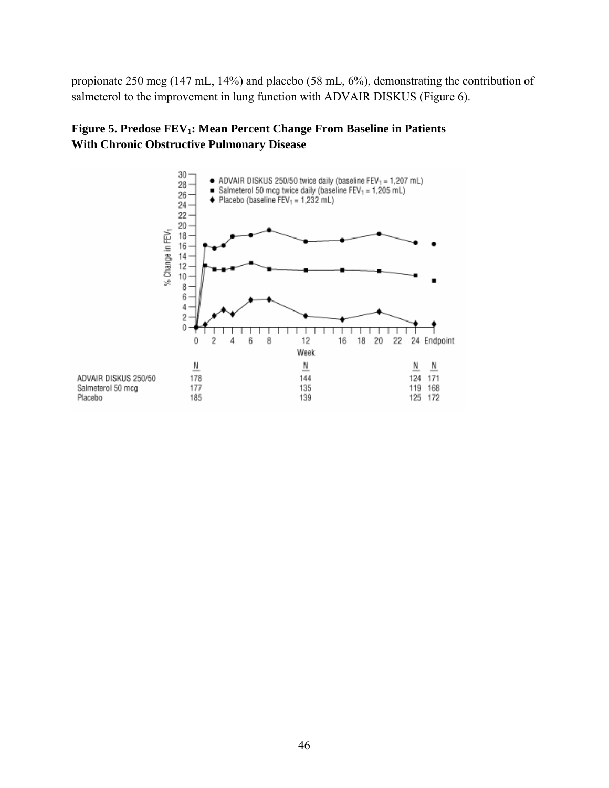propionate 250 mcg (147 mL, 14%) and placebo (58 mL, 6%), demonstrating the contribution of salmeterol to the improvement in lung function with ADVAIR DISKUS (Figure 6).



# Figure 5. Predose FEV<sub>1</sub>: Mean Percent Change From Baseline in Patients **With Chronic Obstructive Pulmonary Disease**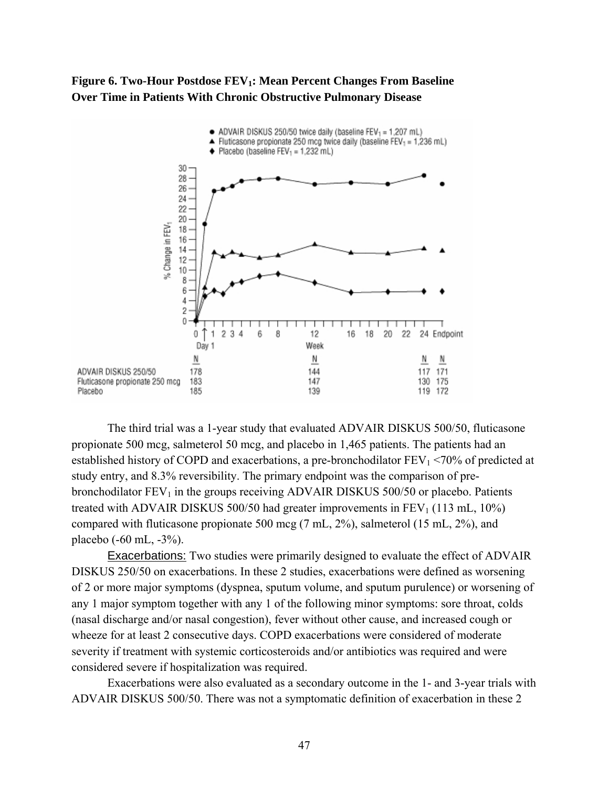### Figure 6. Two-Hour Postdose FEV<sub>1</sub>: Mean Percent Changes From Baseline **Over Time in Patients With Chronic Obstructive Pulmonary Disease**



 The third trial was a 1-year study that evaluated ADVAIR DISKUS 500/50, fluticasone propionate 500 mcg, salmeterol 50 mcg, and placebo in 1,465 patients. The patients had an established history of COPD and exacerbations, a pre-bronchodilator  $FEV<sub>1</sub> < 70%$  of predicted at study entry, and 8.3% reversibility. The primary endpoint was the comparison of prebronchodilator  $FEV<sub>1</sub>$  in the groups receiving ADVAIR DISKUS 500/50 or placebo. Patients treated with ADVAIR DISKUS 500/50 had greater improvements in  $FEV<sub>1</sub>$  (113 mL, 10%) compared with fluticasone propionate 500 mcg (7 mL, 2%), salmeterol (15 mL, 2%), and placebo (-60 mL, -3%).

Exacerbations: Two studies were primarily designed to evaluate the effect of ADVAIR DISKUS 250/50 on exacerbations. In these 2 studies, exacerbations were defined as worsening of 2 or more major symptoms (dyspnea, sputum volume, and sputum purulence) or worsening of any 1 major symptom together with any 1 of the following minor symptoms: sore throat, colds (nasal discharge and/or nasal congestion), fever without other cause, and increased cough or wheeze for at least 2 consecutive days. COPD exacerbations were considered of moderate severity if treatment with systemic corticosteroids and/or antibiotics was required and were considered severe if hospitalization was required.

 Exacerbations were also evaluated as a secondary outcome in the 1- and 3-year trials with ADVAIR DISKUS 500/50. There was not a symptomatic definition of exacerbation in these 2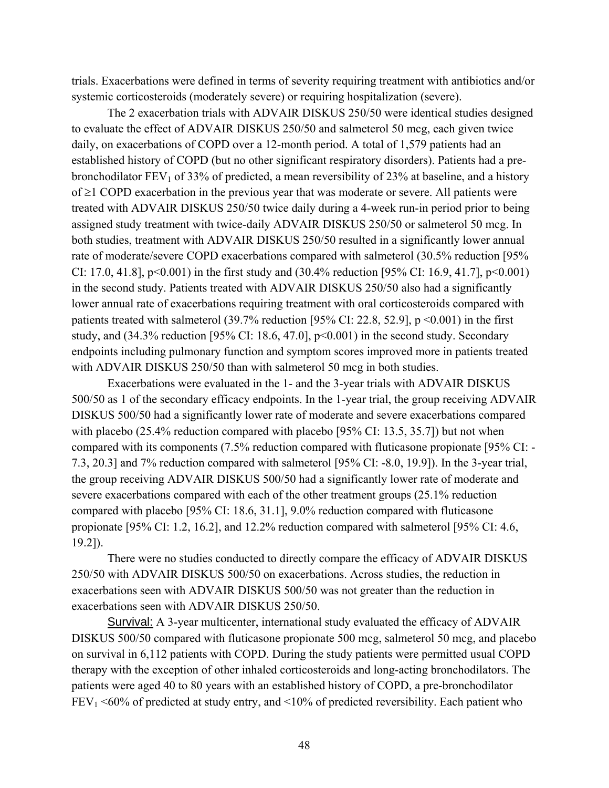trials. Exacerbations were defined in terms of severity requiring treatment with antibiotics and/or systemic corticosteroids (moderately severe) or requiring hospitalization (severe).

 The 2 exacerbation trials with ADVAIR DISKUS 250/50 were identical studies designed to evaluate the effect of ADVAIR DISKUS 250/50 and salmeterol 50 mcg, each given twice daily, on exacerbations of COPD over a 12-month period. A total of 1,579 patients had an established history of COPD (but no other significant respiratory disorders). Patients had a prebronchodilator  $FEV_1$  of 33% of predicted, a mean reversibility of 23% at baseline, and a history of ≥1 COPD exacerbation in the previous year that was moderate or severe. All patients were treated with ADVAIR DISKUS 250/50 twice daily during a 4-week run-in period prior to being assigned study treatment with twice-daily ADVAIR DISKUS 250/50 or salmeterol 50 mcg. In both studies, treatment with ADVAIR DISKUS 250/50 resulted in a significantly lower annual rate of moderate/severe COPD exacerbations compared with salmeterol (30.5% reduction [95% CI: 17.0, 41.8], p<0.001) in the first study and (30.4% reduction [95% CI: 16.9, 41.7], p<0.001) in the second study. Patients treated with ADVAIR DISKUS 250/50 also had a significantly lower annual rate of exacerbations requiring treatment with oral corticosteroids compared with patients treated with salmeterol  $(39.7\%$  reduction  $[95\%$  CI: 22.8, 52.9], p <0.001) in the first study, and  $(34.3\%$  reduction [95% CI: 18.6, 47.0],  $p<0.001$  in the second study. Secondary endpoints including pulmonary function and symptom scores improved more in patients treated with ADVAIR DISKUS 250/50 than with salmeterol 50 mcg in both studies.

 Exacerbations were evaluated in the 1- and the 3-year trials with ADVAIR DISKUS 500/50 as 1 of the secondary efficacy endpoints. In the 1-year trial, the group receiving ADVAIR DISKUS 500/50 had a significantly lower rate of moderate and severe exacerbations compared with placebo (25.4% reduction compared with placebo [95% CI: 13.5, 35.7]) but not when compared with its components (7.5% reduction compared with fluticasone propionate [95% CI: - 7.3, 20.3] and 7% reduction compared with salmeterol [95% CI: -8.0, 19.9]). In the 3-year trial, the group receiving ADVAIR DISKUS 500/50 had a significantly lower rate of moderate and severe exacerbations compared with each of the other treatment groups (25.1% reduction compared with placebo [95% CI: 18.6, 31.1], 9.0% reduction compared with fluticasone propionate [95% CI: 1.2, 16.2], and 12.2% reduction compared with salmeterol [95% CI: 4.6, 19.2]).

 There were no studies conducted to directly compare the efficacy of ADVAIR DISKUS 250/50 with ADVAIR DISKUS 500/50 on exacerbations. Across studies, the reduction in exacerbations seen with ADVAIR DISKUS 500/50 was not greater than the reduction in exacerbations seen with ADVAIR DISKUS 250/50.

Survival: A 3-year multicenter, international study evaluated the efficacy of ADVAIR DISKUS 500/50 compared with fluticasone propionate 500 mcg, salmeterol 50 mcg, and placebo on survival in 6,112 patients with COPD. During the study patients were permitted usual COPD therapy with the exception of other inhaled corticosteroids and long-acting bronchodilators. The patients were aged 40 to 80 years with an established history of COPD, a pre-bronchodilator  $FEV<sub>1</sub> < 60%$  of predicted at study entry, and  $< 10%$  of predicted reversibility. Each patient who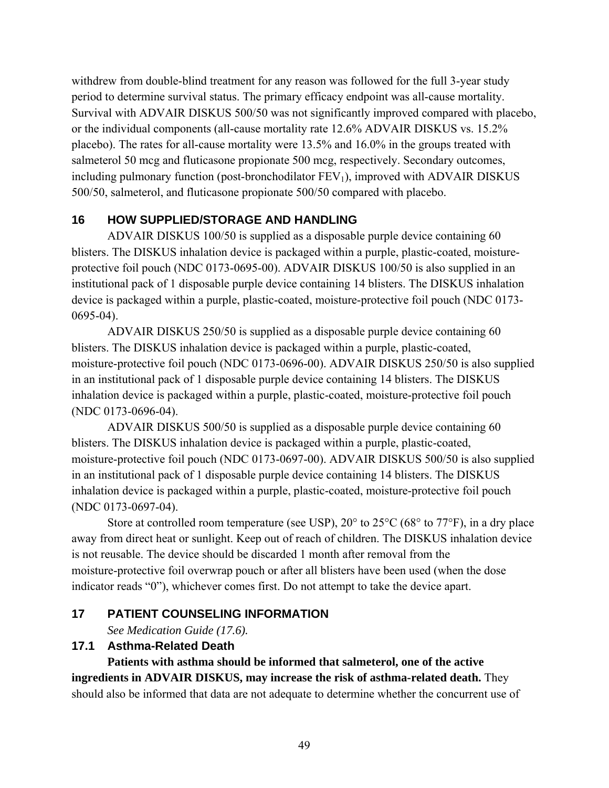<span id="page-48-0"></span>withdrew from double-blind treatment for any reason was followed for the full 3-year study period to determine survival status. The primary efficacy endpoint was all-cause mortality. Survival with ADVAIR DISKUS 500/50 was not significantly improved compared with placebo, or the individual components (all-cause mortality rate 12.6% ADVAIR DISKUS vs. 15.2% placebo). The rates for all-cause mortality were 13.5% and 16.0% in the groups treated with salmeterol 50 mcg and fluticasone propionate 500 mcg, respectively. Secondary outcomes, including pulmonary function (post-bronchodilator  $FEV_1$ ), improved with ADVAIR DISKUS 500/50, salmeterol, and fluticasone propionate 500/50 compared with placebo.

### **16 HOW SUPPLIED/STORAGE AND HANDLING**

 ADVAIR DISKUS 100/50 is supplied as a disposable purple device containing 60 blisters. The DISKUS inhalation device is packaged within a purple, plastic-coated, moistureprotective foil pouch (NDC 0173-0695-00). ADVAIR DISKUS 100/50 is also supplied in an institutional pack of 1 disposable purple device containing 14 blisters. The DISKUS inhalation device is packaged within a purple, plastic-coated, moisture-protective foil pouch (NDC 0173- 0695-04).

 ADVAIR DISKUS 250/50 is supplied as a disposable purple device containing 60 blisters. The DISKUS inhalation device is packaged within a purple, plastic-coated, moisture-protective foil pouch (NDC 0173-0696-00). ADVAIR DISKUS 250/50 is also supplied in an institutional pack of 1 disposable purple device containing 14 blisters. The DISKUS inhalation device is packaged within a purple, plastic-coated, moisture-protective foil pouch (NDC 0173-0696-04).

 ADVAIR DISKUS 500/50 is supplied as a disposable purple device containing 60 blisters. The DISKUS inhalation device is packaged within a purple, plastic-coated, moisture-protective foil pouch (NDC 0173-0697-00). ADVAIR DISKUS 500/50 is also supplied in an institutional pack of 1 disposable purple device containing 14 blisters. The DISKUS inhalation device is packaged within a purple, plastic-coated, moisture-protective foil pouch (NDC 0173-0697-04).

Store at controlled room temperature (see USP),  $20^{\circ}$  to  $25^{\circ}$ C (68° to  $77^{\circ}$ F), in a dry place away from direct heat or sunlight. Keep out of reach of children. The DISKUS inhalation device is not reusable. The device should be discarded 1 month after removal from the moisture-protective foil overwrap pouch or after all blisters have been used (when the dose indicator reads "0"), whichever comes first. Do not attempt to take the device apart.

### **17 PATIENT COUNSELING INFORMATION**

 *See Medication Guide (17.6).* 

### **17.1 Asthma-Related Death**

**Patients with asthma should be informed that salmeterol, one of the active ingredients in ADVAIR DISKUS, may increase the risk of asthma-related death.** They should also be informed that data are not adequate to determine whether the concurrent use of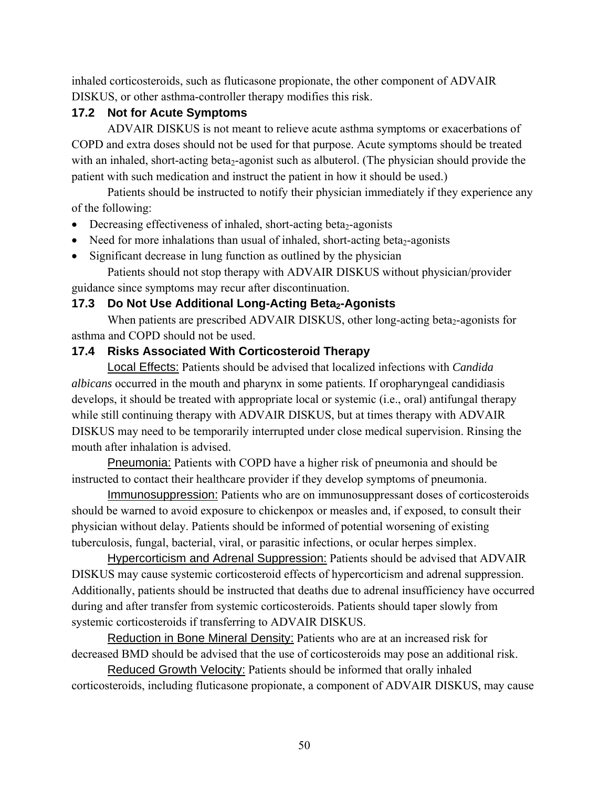<span id="page-49-0"></span>inhaled corticosteroids, such as fluticasone propionate, the other component of ADVAIR DISKUS, or other asthma-controller therapy modifies this risk.

#### **17.2 Not for Acute Symptoms**

 ADVAIR DISKUS is not meant to relieve acute asthma symptoms or exacerbations of COPD and extra doses should not be used for that purpose. Acute symptoms should be treated with an inhaled, short-acting beta<sub>2</sub>-agonist such as albuterol. (The physician should provide the patient with such medication and instruct the patient in how it should be used.)

 Patients should be instructed to notify their physician immediately if they experience any of the following:

- Decreasing effectiveness of inhaled, short-acting beta<sub>2</sub>-agonists
- Need for more inhalations than usual of inhaled, short-acting beta<sub>2</sub>-agonists
- Significant decrease in lung function as outlined by the physician

 Patients should not stop therapy with ADVAIR DISKUS without physician/provider guidance since symptoms may recur after discontinuation.

#### **17.3 Do Not Use Additional Long-Acting Beta<sub>2</sub>-Agonists**

When patients are prescribed ADVAIR DISKUS, other long-acting beta<sub>2</sub>-agonists for asthma and COPD should not be used.

### **17.4 Risks Associated With Corticosteroid Therapy**

Local Effects: Patients should be advised that localized infections with *Candida albicans* occurred in the mouth and pharynx in some patients. If oropharyngeal candidiasis develops, it should be treated with appropriate local or systemic (i.e., oral) antifungal therapy while still continuing therapy with ADVAIR DISKUS, but at times therapy with ADVAIR DISKUS may need to be temporarily interrupted under close medical supervision. Rinsing the mouth after inhalation is advised.

Pneumonia: Patients with COPD have a higher risk of pneumonia and should be instructed to contact their healthcare provider if they develop symptoms of pneumonia.

Immunosuppression: Patients who are on immunosuppressant doses of corticosteroids should be warned to avoid exposure to chickenpox or measles and, if exposed, to consult their physician without delay. Patients should be informed of potential worsening of existing tuberculosis, fungal, bacterial, viral, or parasitic infections, or ocular herpes simplex.

Hypercorticism and Adrenal Suppression: Patients should be advised that ADVAIR DISKUS may cause systemic corticosteroid effects of hypercorticism and adrenal suppression. Additionally, patients should be instructed that deaths due to adrenal insufficiency have occurred during and after transfer from systemic corticosteroids. Patients should taper slowly from systemic corticosteroids if transferring to ADVAIR DISKUS.

Reduction in Bone Mineral Density: Patients who are at an increased risk for decreased BMD should be advised that the use of corticosteroids may pose an additional risk.

Reduced Growth Velocity: Patients should be informed that orally inhaled corticosteroids, including fluticasone propionate, a component of ADVAIR DISKUS, may cause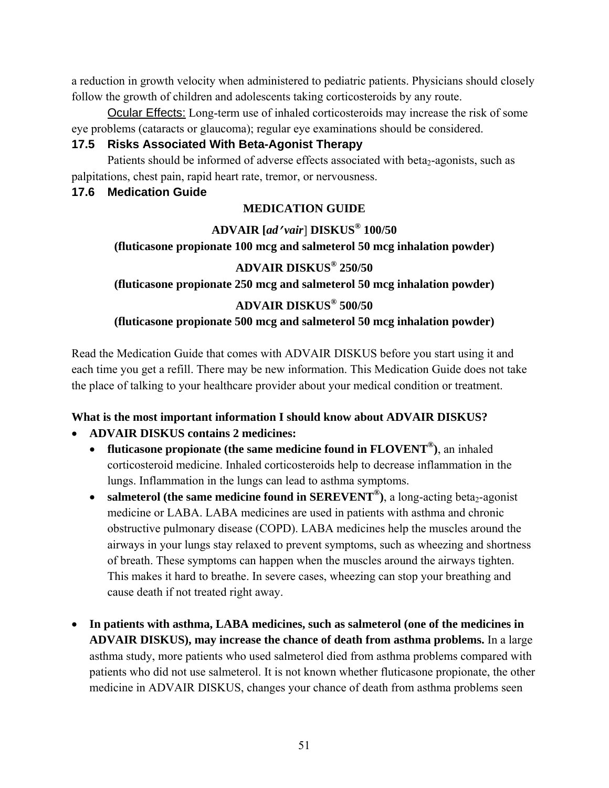<span id="page-50-0"></span>a reduction in growth velocity when administered to pediatric patients. Physicians should closely follow the growth of children and adolescents taking corticosteroids by any route.

Ocular Effects: Long-term use of inhaled corticosteroids may increase the risk of some eye problems (cataracts or glaucoma); regular eye examinations should be considered.

#### **17.5 Risks Associated With Beta-Agonist Therapy**

Patients should be informed of adverse effects associated with beta<sub>2</sub>-agonists, such as palpitations, chest pain, rapid heart rate, tremor, or nervousness.

#### **17.6 Medication Guide**

### **MEDICATION GUIDE**

# **ADVAIR [***ad*′ *vair*] **DISKUS® 100/50**

**(fluticasone propionate 100 mcg and salmeterol 50 mcg inhalation powder)** 

# **ADVAIR DISKUS® 250/50**

**(fluticasone propionate 250 mcg and salmeterol 50 mcg inhalation powder)** 

# **ADVAIR DISKUS® 500/50**

### **(fluticasone propionate 500 mcg and salmeterol 50 mcg inhalation powder)**

Read the Medication Guide that comes with ADVAIR DISKUS before you start using it and each time you get a refill. There may be new information. This Medication Guide does not take the place of talking to your healthcare provider about your medical condition or treatment.

### **What is the most important information I should know about ADVAIR DISKUS?**

- **ADVAIR DISKUS contains 2 medicines:** 
	- **fluticasone propionate (the same medicine found in FLOVENT®)**, an inhaled corticosteroid medicine. Inhaled corticosteroids help to decrease inflammation in the lungs. Inflammation in the lungs can lead to asthma symptoms.
	- **salmeterol (the same medicine found in SEREVENT<sup>®</sup>)**, a long-acting beta<sub>2</sub>-agonist medicine or LABA. LABA medicines are used in patients with asthma and chronic obstructive pulmonary disease (COPD). LABA medicines help the muscles around the airways in your lungs stay relaxed to prevent symptoms, such as wheezing and shortness of breath. These symptoms can happen when the muscles around the airways tighten. This makes it hard to breathe. In severe cases, wheezing can stop your breathing and cause death if not treated right away.
- **In patients with asthma, LABA medicines, such as salmeterol (one of the medicines in ADVAIR DISKUS), may increase the chance of death from asthma problems.** In a large asthma study, more patients who used salmeterol died from asthma problems compared with patients who did not use salmeterol. It is not known whether fluticasone propionate, the other medicine in ADVAIR DISKUS, changes your chance of death from asthma problems seen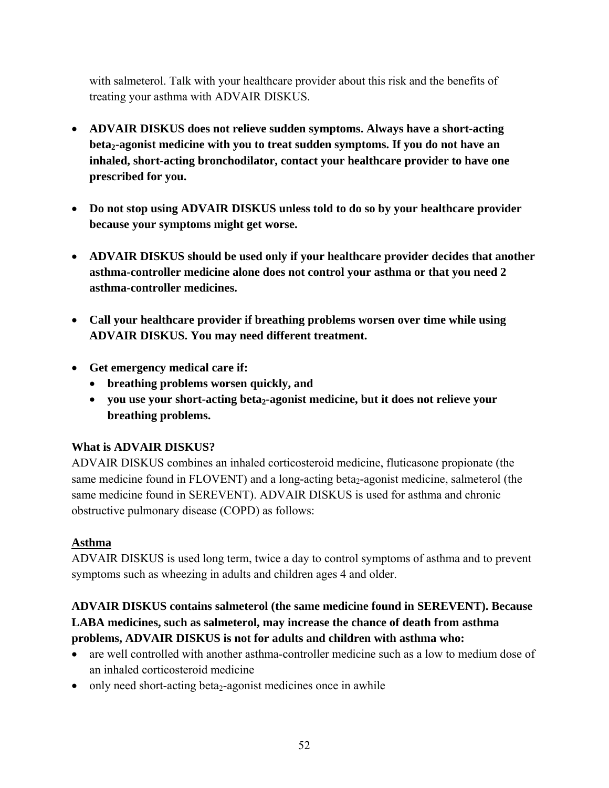with salmeterol. Talk with your healthcare provider about this risk and the benefits of treating your asthma with ADVAIR DISKUS.

- **ADVAIR DISKUS does not relieve sudden symptoms. Always have a short-acting**  beta<sub>2</sub>-agonist medicine with you to treat sudden symptoms. If you do not have an **inhaled, short-acting bronchodilator, contact your healthcare provider to have one prescribed for you.**
- **Do not stop using ADVAIR DISKUS unless told to do so by your healthcare provider because your symptoms might get worse.**
- **ADVAIR DISKUS should be used only if your healthcare provider decides that another asthma-controller medicine alone does not control your asthma or that you need 2 asthma-controller medicines.**
- **Call your healthcare provider if breathing problems worsen over time while using ADVAIR DISKUS. You may need different treatment.**
- **Get emergency medical care if:** 
	- **breathing problems worsen quickly, and**
	- you use your short-acting beta<sub>2</sub>-agonist medicine, but it does not relieve your **breathing problems.**

### **What is ADVAIR DISKUS?**

ADVAIR DISKUS combines an inhaled corticosteroid medicine, fluticasone propionate (the same medicine found in FLOVENT) and a long-acting beta<sub>2</sub>-agonist medicine, salmeterol (the same medicine found in SEREVENT). ADVAIR DISKUS is used for asthma and chronic obstructive pulmonary disease (COPD) as follows:

### **Asthma**

ADVAIR DISKUS is used long term, twice a day to control symptoms of asthma and to prevent symptoms such as wheezing in adults and children ages 4 and older.

# **ADVAIR DISKUS contains salmeterol (the same medicine found in SEREVENT). Because LABA medicines, such as salmeterol, may increase the chance of death from asthma problems, ADVAIR DISKUS is not for adults and children with asthma who:**

- are well controlled with another asthma-controller medicine such as a low to medium dose of an inhaled corticosteroid medicine
- only need short-acting beta<sub>2</sub>-agonist medicines once in awhile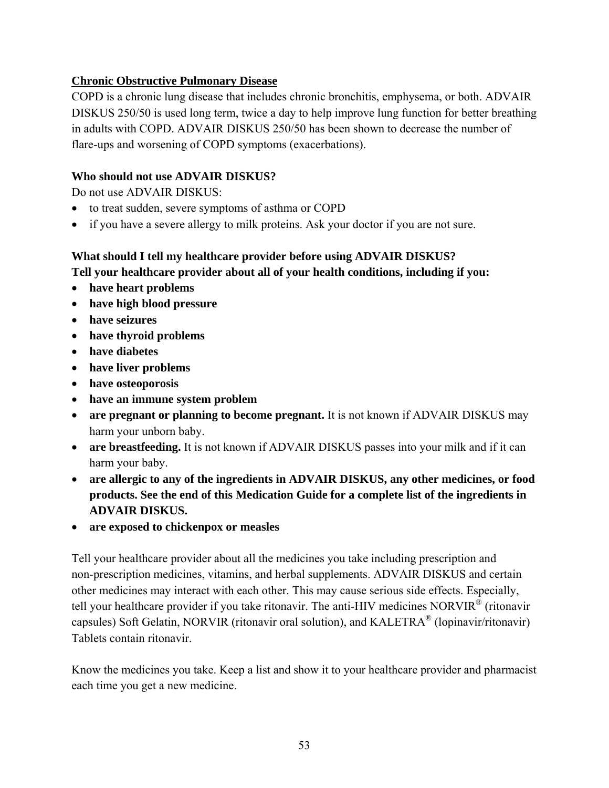### **Chronic Obstructive Pulmonary Disease**

COPD is a chronic lung disease that includes chronic bronchitis, emphysema, or both. ADVAIR DISKUS 250/50 is used long term, twice a day to help improve lung function for better breathing in adults with COPD. ADVAIR DISKUS 250/50 has been shown to decrease the number of flare-ups and worsening of COPD symptoms (exacerbations).

### **Who should not use ADVAIR DISKUS?**

Do not use ADVAIR DISKUS:

- to treat sudden, severe symptoms of asthma or COPD
- if you have a severe allergy to milk proteins. Ask your doctor if you are not sure.

# **What should I tell my healthcare provider before using ADVAIR DISKUS?**

### **Tell your healthcare provider about all of your health conditions, including if you:**

- **have heart problems**
- **have high blood pressure**
- **have seizures**
- **have thyroid problems**
- **have diabetes**
- **have liver problems**
- **have osteoporosis**
- **have an immune system problem**
- **are pregnant or planning to become pregnant.** It is not known if ADVAIR DISKUS may harm your unborn baby.
- **are breastfeeding.** It is not known if ADVAIR DISKUS passes into your milk and if it can harm your baby.
- **are allergic to any of the ingredients in ADVAIR DISKUS, any other medicines, or food products. See the end of this Medication Guide for a complete list of the ingredients in ADVAIR DISKUS.**
- **are exposed to chickenpox or measles**

Tell your healthcare provider about all the medicines you take including prescription and non-prescription medicines, vitamins, and herbal supplements. ADVAIR DISKUS and certain other medicines may interact with each other. This may cause serious side effects. Especially, tell your healthcare provider if you take ritonavir. The anti-HIV medicines NORVIR® (ritonavir capsules) Soft Gelatin, NORVIR (ritonavir oral solution), and KALETRA® (lopinavir/ritonavir) Tablets contain ritonavir.

Know the medicines you take. Keep a list and show it to your healthcare provider and pharmacist each time you get a new medicine.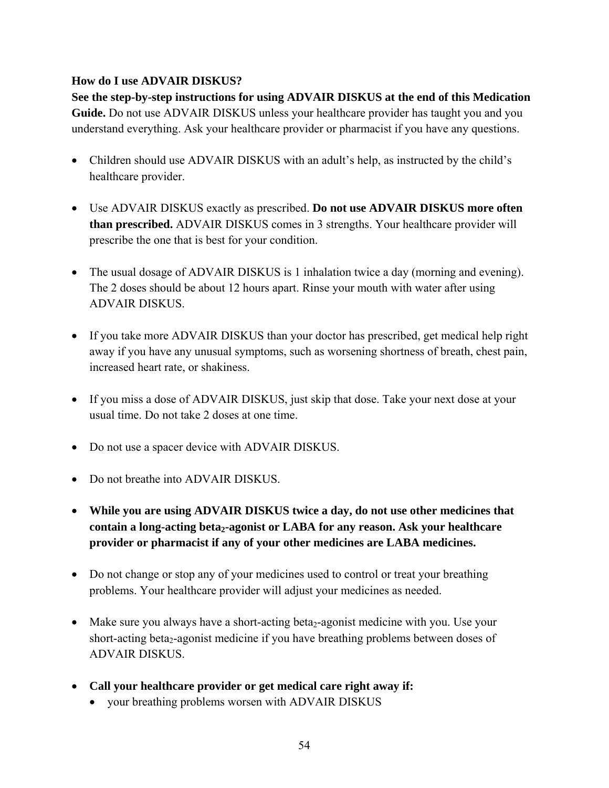### **How do I use ADVAIR DISKUS?**

**See the step-by-step instructions for using ADVAIR DISKUS at the end of this Medication Guide.** Do not use ADVAIR DISKUS unless your healthcare provider has taught you and you understand everything. Ask your healthcare provider or pharmacist if you have any questions.

- Children should use ADVAIR DISKUS with an adult's help, as instructed by the child's healthcare provider.
- Use ADVAIR DISKUS exactly as prescribed. **Do not use ADVAIR DISKUS more often than prescribed.** ADVAIR DISKUS comes in 3 strengths. Your healthcare provider will prescribe the one that is best for your condition.
- The usual dosage of ADVAIR DISKUS is 1 inhalation twice a day (morning and evening). The 2 doses should be about 12 hours apart. Rinse your mouth with water after using ADVAIR DISKUS.
- If you take more ADVAIR DISKUS than your doctor has prescribed, get medical help right away if you have any unusual symptoms, such as worsening shortness of breath, chest pain, increased heart rate, or shakiness.
- If you miss a dose of ADVAIR DISKUS, just skip that dose. Take your next dose at your usual time. Do not take 2 doses at one time.
- Do not use a spacer device with ADVAIR DISKUS.
- Do not breathe into ADVAIR DISKUS.
- **While you are using ADVAIR DISKUS twice a day, do not use other medicines that**  contain a long-acting beta<sub>2</sub>-agonist or LABA for any reason. Ask your healthcare **provider or pharmacist if any of your other medicines are LABA medicines.**
- Do not change or stop any of your medicines used to control or treat your breathing problems. Your healthcare provider will adjust your medicines as needed.
- Make sure you always have a short-acting beta<sub>2</sub>-agonist medicine with you. Use your short-acting beta<sub>2</sub>-agonist medicine if you have breathing problems between doses of ADVAIR DISKUS.
- **Call your healthcare provider or get medical care right away if:** 
	- your breathing problems worsen with ADVAIR DISKUS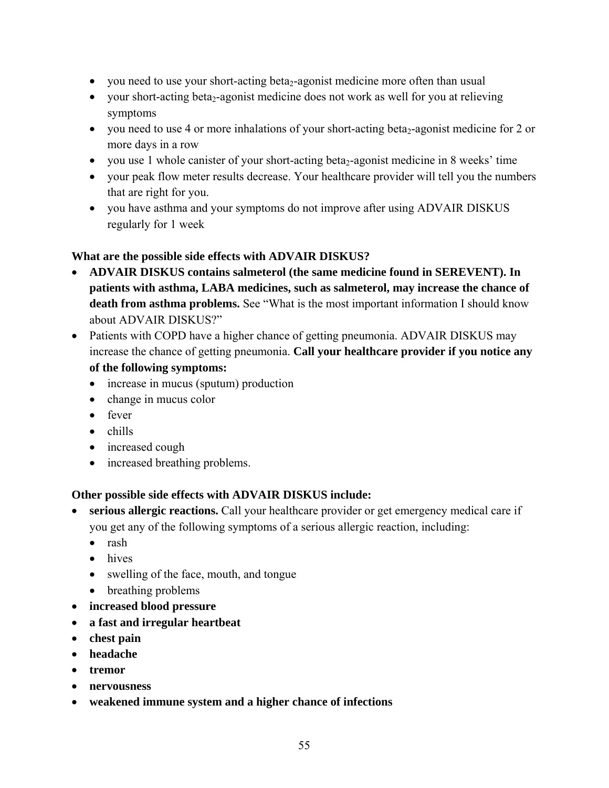- you need to use your short-acting beta<sub>2</sub>-agonist medicine more often than usual
- your short-acting beta<sub>2</sub>-agonist medicine does not work as well for you at relieving symptoms
- you need to use 4 or more inhalations of your short-acting beta<sub>2</sub>-agonist medicine for 2 or more days in a row
- you use 1 whole canister of your short-acting beta<sub>2</sub>-agonist medicine in 8 weeks' time
- your peak flow meter results decrease. Your healthcare provider will tell you the numbers that are right for you.
- you have asthma and your symptoms do not improve after using ADVAIR DISKUS regularly for 1 week

# **What are the possible side effects with ADVAIR DISKUS?**

- **ADVAIR DISKUS contains salmeterol (the same medicine found in SEREVENT). In patients with asthma, LABA medicines, such as salmeterol, may increase the chance of death from asthma problems.** See "What is the most important information I should know about ADVAIR DISKUS?"
- Patients with COPD have a higher chance of getting pneumonia. ADVAIR DISKUS may increase the chance of getting pneumonia. **Call your healthcare provider if you notice any of the following symptoms:**
	- increase in mucus (sputum) production
	- change in mucus color
	- fever
	- chills
	- increased cough
	- increased breathing problems.

### **Other possible side effects with ADVAIR DISKUS include:**

- **serious allergic reactions.** Call your healthcare provider or get emergency medical care if you get any of the following symptoms of a serious allergic reaction, including:
	- rash
	- hives
	- swelling of the face, mouth, and tongue
	- breathing problems
- **increased blood pressure**
- **a fast and irregular heartbeat**
- **chest pain**
- **headache**
- **tremor**
- **nervousness**
- **weakened immune system and a higher chance of infections**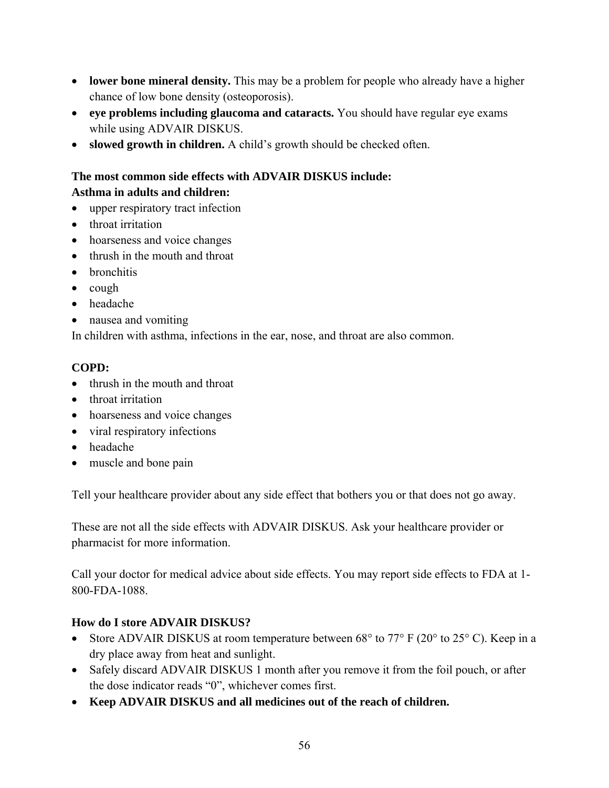- **lower bone mineral density.** This may be a problem for people who already have a higher chance of low bone density (osteoporosis).
- **eye problems including glaucoma and cataracts.** You should have regular eye exams while using ADVAIR DISKUS.
- **slowed growth in children.** A child's growth should be checked often.

### **The most common side effects with ADVAIR DISKUS include: Asthma in adults and children:**

- upper respiratory tract infection
- throat irritation
- hoarseness and voice changes
- thrush in the mouth and throat
- bronchitis
- cough
- headache
- nausea and vomiting

In children with asthma, infections in the ear, nose, and throat are also common.

### **COPD:**

- thrush in the mouth and throat
- throat irritation
- hoarseness and voice changes
- viral respiratory infections
- headache
- muscle and bone pain

Tell your healthcare provider about any side effect that bothers you or that does not go away.

These are not all the side effects with ADVAIR DISKUS. Ask your healthcare provider or pharmacist for more information.

Call your doctor for medical advice about side effects. You may report side effects to FDA at 1- 800-FDA-1088.

### **How do I store ADVAIR DISKUS?**

- Store ADVAIR DISKUS at room temperature between  $68^{\circ}$  to  $77^{\circ}$  F (20 $^{\circ}$  to 25 $^{\circ}$  C). Keep in a dry place away from heat and sunlight.
- Safely discard ADVAIR DISKUS 1 month after you remove it from the foil pouch, or after the dose indicator reads "0", whichever comes first.
- **Keep ADVAIR DISKUS and all medicines out of the reach of children.**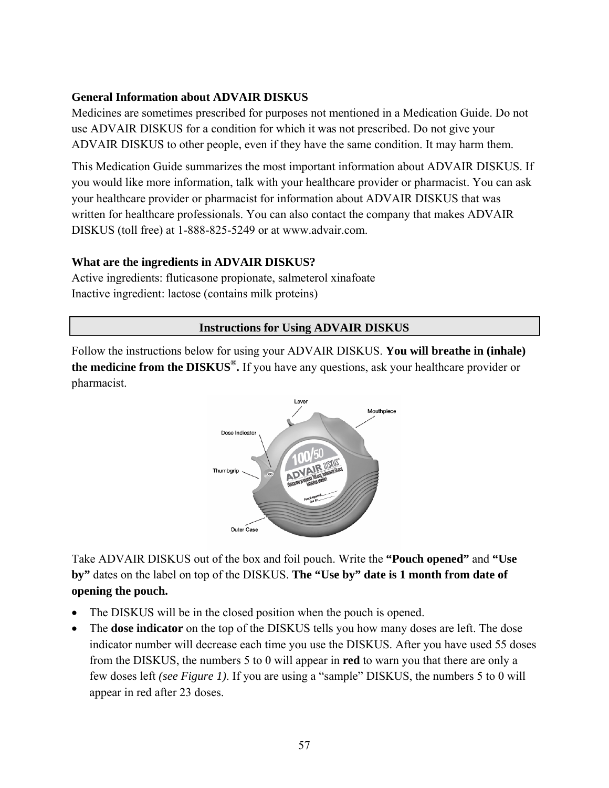### **General Information about ADVAIR DISKUS**

Medicines are sometimes prescribed for purposes not mentioned in a Medication Guide. Do not use ADVAIR DISKUS for a condition for which it was not prescribed. Do not give your ADVAIR DISKUS to other people, even if they have the same condition. It may harm them.

This Medication Guide summarizes the most important information about ADVAIR DISKUS. If you would like more information, talk with your healthcare provider or pharmacist. You can ask your healthcare provider or pharmacist for information about ADVAIR DISKUS that was written for healthcare professionals. You can also contact the company that makes ADVAIR DISKUS (toll free) at 1-888-825-5249 or at www.advair.com.

### **What are the ingredients in ADVAIR DISKUS?**

Active ingredients: fluticasone propionate, salmeterol xinafoate Inactive ingredient: lactose (contains milk proteins)

### **Instructions for Using ADVAIR DISKUS**

Follow the instructions below for using your ADVAIR DISKUS. **You will breathe in (inhale) the medicine from the DISKUS®.** If you have any questions, ask your healthcare provider or pharmacist.



Take ADVAIR DISKUS out of the box and foil pouch. Write the **"Pouch opened"** and **"Use by"** dates on the label on top of the DISKUS. **The "Use by" date is 1 month from date of opening the pouch.** 

- The DISKUS will be in the closed position when the pouch is opened.
- The **dose indicator** on the top of the DISKUS tells you how many doses are left. The dose indicator number will decrease each time you use the DISKUS. After you have used 55 doses from the DISKUS, the numbers 5 to 0 will appear in **red** to warn you that there are only a few doses left *(see Figure 1)*. If you are using a "sample" DISKUS, the numbers 5 to 0 will appear in red after 23 doses.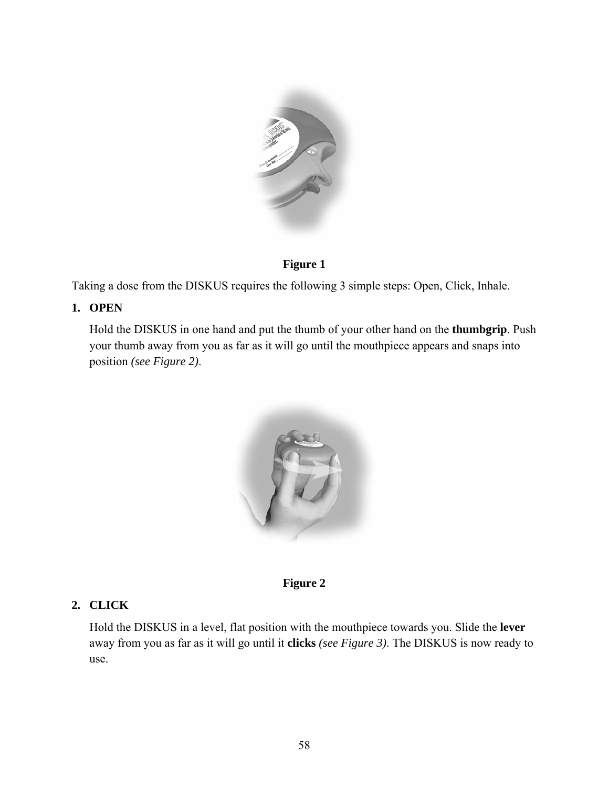

**Figure 1** 

Taking a dose from the DISKUS requires the following 3 simple steps: Open, Click, Inhale.

### **1. OPEN**

Hold the DISKUS in one hand and put the thumb of your other hand on the **thumbgrip**. Push your thumb away from you as far as it will go until the mouthpiece appears and snaps into position *(see Figure 2)*.



**Figure 2** 

# **2. CLICK**

Hold the DISKUS in a level, flat position with the mouthpiece towards you. Slide the **lever** away from you as far as it will go until it **clicks** *(see Figure 3)*. The DISKUS is now ready to use.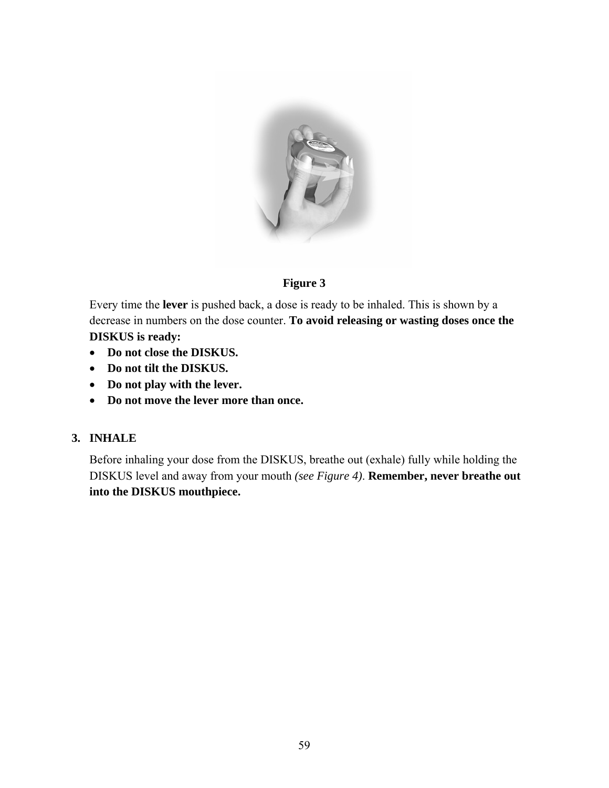

### **Figure 3**

Every time the **lever** is pushed back, a dose is ready to be inhaled. This is shown by a decrease in numbers on the dose counter. **To avoid releasing or wasting doses once the DISKUS is ready:** 

- **Do not close the DISKUS.**
- **Do not tilt the DISKUS.**
- **Do not play with the lever.**
- **Do not move the lever more than once.**

### **3. INHALE**

Before inhaling your dose from the DISKUS, breathe out (exhale) fully while holding the DISKUS level and away from your mouth *(see Figure 4)*. **Remember, never breathe out into the DISKUS mouthpiece.**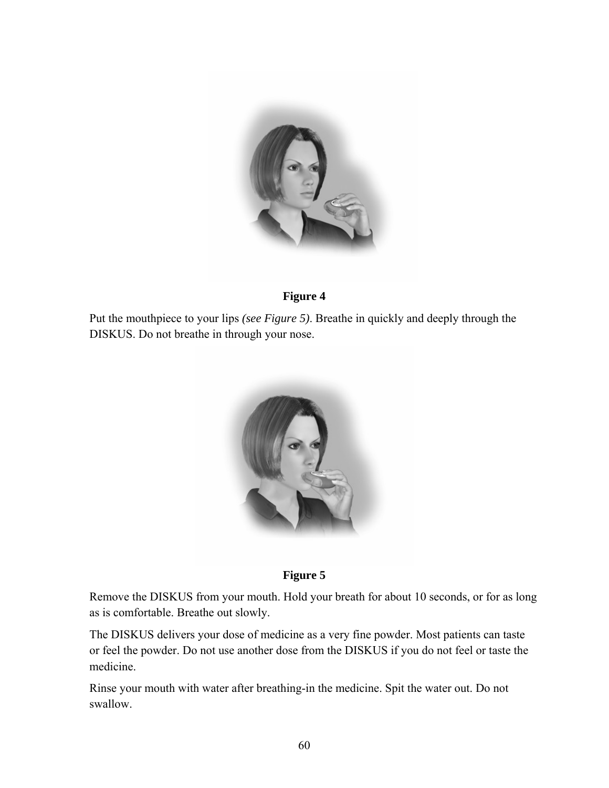

### **Figure 4**

Put the mouthpiece to your lips *(see Figure 5)*. Breathe in quickly and deeply through the DISKUS. Do not breathe in through your nose.



#### **Figure 5**

Remove the DISKUS from your mouth. Hold your breath for about 10 seconds, or for as long as is comfortable. Breathe out slowly.

The DISKUS delivers your dose of medicine as a very fine powder. Most patients can taste or feel the powder. Do not use another dose from the DISKUS if you do not feel or taste the medicine.

Rinse your mouth with water after breathing-in the medicine. Spit the water out. Do not swallow.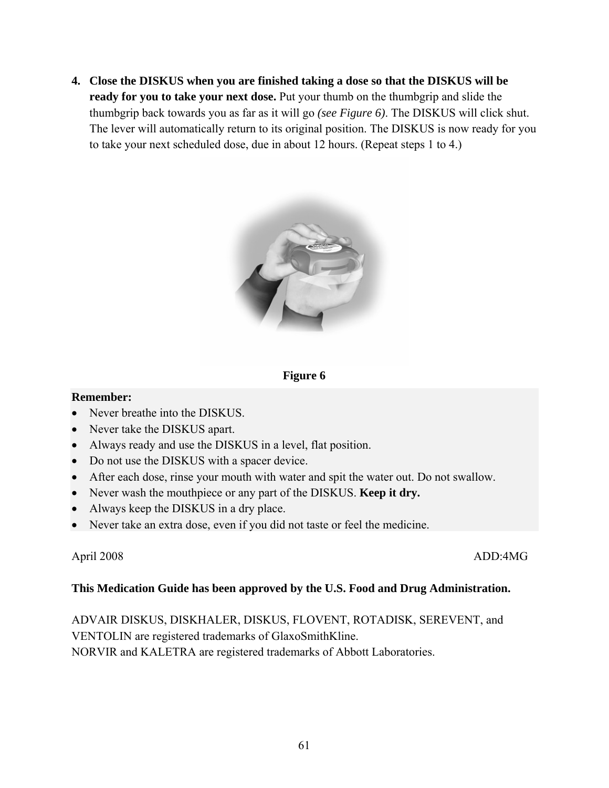**4. Close the DISKUS when you are finished taking a dose so that the DISKUS will be ready for you to take your next dose.** Put your thumb on the thumbgrip and slide the thumbgrip back towards you as far as it will go *(see Figure 6)*. The DISKUS will click shut. The lever will automatically return to its original position. The DISKUS is now ready for you to take your next scheduled dose, due in about 12 hours. (Repeat steps 1 to 4.)



**Figure 6** 

### **Remember:**

- Never breathe into the DISKUS.
- Never take the DISKUS apart.
- Always ready and use the DISKUS in a level, flat position.
- Do not use the DISKUS with a spacer device.
- After each dose, rinse your mouth with water and spit the water out. Do not swallow.
- Never wash the mouthpiece or any part of the DISKUS. **Keep it dry.**
- Always keep the DISKUS in a dry place.
- Never take an extra dose, even if you did not taste or feel the medicine.

### April 2008 ADD:4MG

### **This Medication Guide has been approved by the U.S. Food and Drug Administration.**

ADVAIR DISKUS, DISKHALER, DISKUS, FLOVENT, ROTADISK, SEREVENT, and VENTOLIN are registered trademarks of GlaxoSmithKline. NORVIR and KALETRA are registered trademarks of Abbott Laboratories.